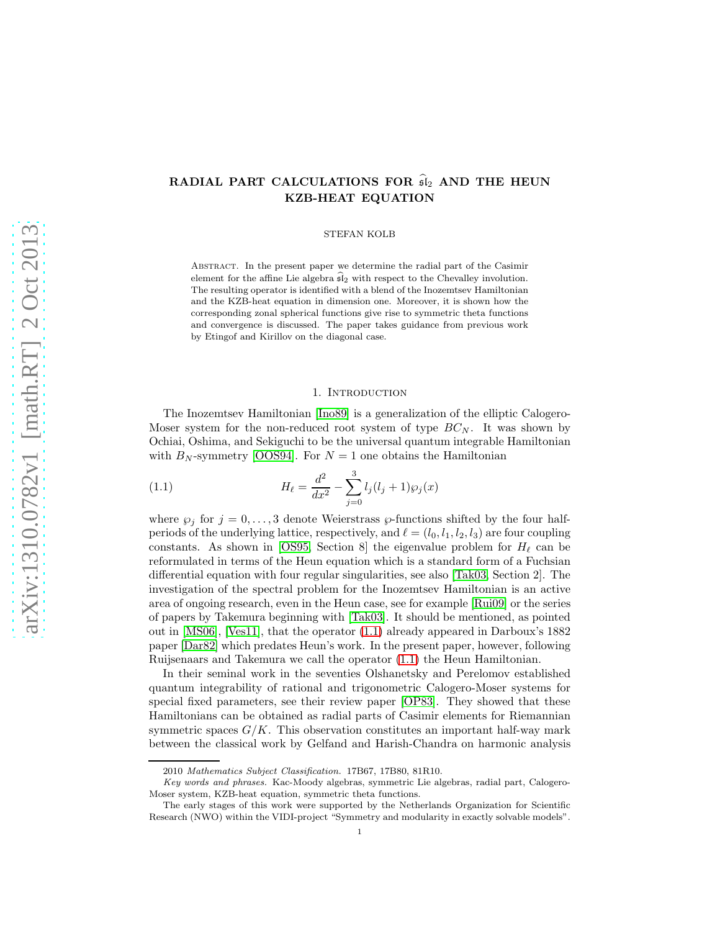# RADIAL PART CALCULATIONS FOR  $\widehat{\mathfrak{sl}}_2$  AND THE HEUN KZB-HEAT EQUATION

STEFAN KOLB

Abstract. In the present paper we determine the radial part of the Casimir element for the affine Lie algebra  $\widehat{\mathfrak{sl}}_2$  with respect to the Chevalley involution. The resulting operator is identified with a blend of the Inozemtsev Hamiltonian and the KZB-heat equation in dimension one. Moreover, it is shown how the corresponding zonal spherical functions give rise to symmetric theta functions and convergence is discussed. The paper takes guidance from previous work by Etingof and Kirillov on the diagonal case.

## 1. INTRODUCTION

The Inozemtsev Hamiltonian [\[Ino89\]](#page-36-0) is a generalization of the elliptic Calogero-Moser system for the non-reduced root system of type  $BC_N$ . It was shown by Ochiai, Oshima, and Sekiguchi to be the universal quantum integrable Hamiltonian with  $B_N$ -symmetry [\[OOS94\]](#page-36-1). For  $N = 1$  one obtains the Hamiltonian

<span id="page-0-0"></span>(1.1) 
$$
H_{\ell} = \frac{d^2}{dx^2} - \sum_{j=0}^{3} l_j (l_j + 1) \wp_j(x)
$$

where  $\wp_j$  for  $j = 0, \ldots, 3$  denote Weierstrass  $\wp$ -functions shifted by the four halfperiods of the underlying lattice, respectively, and  $\ell = (l_0, l_1, l_2, l_3)$  are four coupling constants. As shown in [\[OS95,](#page-36-2) Section 8] the eigenvalue problem for  $H_{\ell}$  can be reformulated in terms of the Heun equation which is a standard form of a Fuchsian differential equation with four regular singularities, see also [\[Tak03,](#page-37-0) Section 2]. The investigation of the spectral problem for the Inozemtsev Hamiltonian is an active area of ongoing research, even in the Heun case, see for example [\[Rui09\]](#page-36-3) or the series of papers by Takemura beginning with [\[Tak03\]](#page-37-0). It should be mentioned, as pointed out in [\[MS06\]](#page-36-4), [\[Ves11\]](#page-37-1), that the operator [\(1.1\)](#page-0-0) already appeared in Darboux's 1882 paper [\[Dar82\]](#page-35-0) which predates Heun's work. In the present paper, however, following Ruijsenaars and Takemura we call the operator [\(1.1\)](#page-0-0) the Heun Hamiltonian.

In their seminal work in the seventies Olshanetsky and Perelomov established quantum integrability of rational and trigonometric Calogero-Moser systems for special fixed parameters, see their review paper [\[OP83\]](#page-36-5). They showed that these Hamiltonians can be obtained as radial parts of Casimir elements for Riemannian symmetric spaces  $G/K$ . This observation constitutes an important half-way mark between the classical work by Gelfand and Harish-Chandra on harmonic analysis

<sup>2010</sup> Mathematics Subject Classification. 17B67, 17B80, 81R10.

Key words and phrases. Kac-Moody algebras, symmetric Lie algebras, radial part, Calogero-Moser system, KZB-heat equation, symmetric theta functions.

The early stages of this work were supported by the Netherlands Organization for Scientific Research (NWO) within the VIDI-project "Symmetry and modularity in exactly solvable models".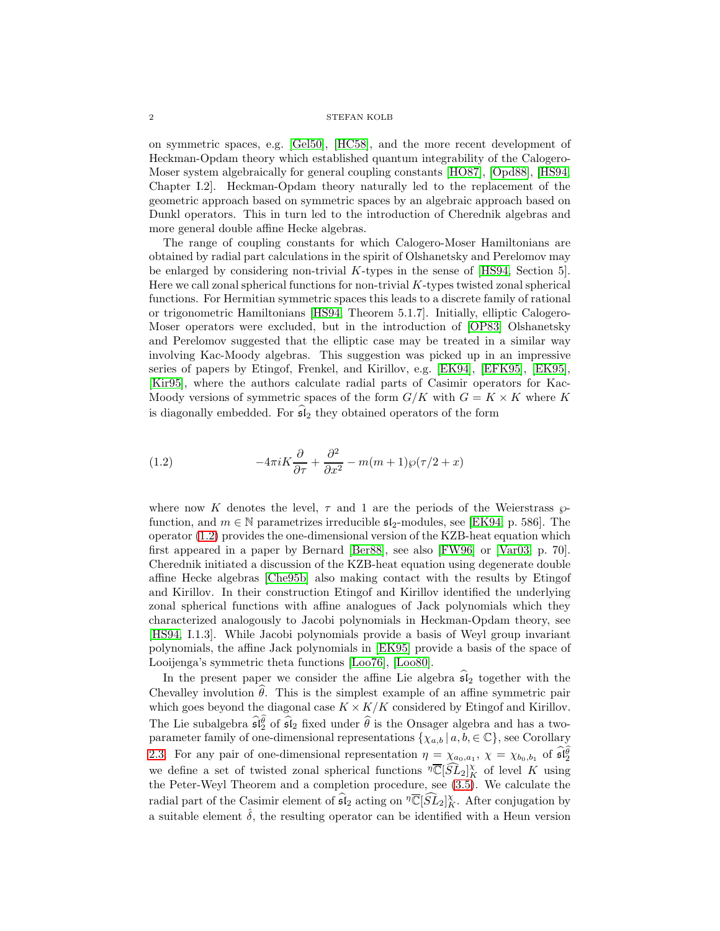#### $2\,$   $\,$   $\,$  STEFAN KOLB  $\,$

on symmetric spaces, e.g. [\[Gel50\]](#page-35-1), [\[HC58\]](#page-36-6), and the more recent development of Heckman-Opdam theory which established quantum integrability of the Calogero-Moser system algebraically for general coupling constants [\[HO87\]](#page-36-7), [\[Opd88\]](#page-36-8), [\[HS94,](#page-36-9) Chapter I.2]. Heckman-Opdam theory naturally led to the replacement of the geometric approach based on symmetric spaces by an algebraic approach based on Dunkl operators. This in turn led to the introduction of Cherednik algebras and more general double affine Hecke algebras.

The range of coupling constants for which Calogero-Moser Hamiltonians are obtained by radial part calculations in the spirit of Olshanetsky and Perelomov may be enlarged by considering non-trivial K-types in the sense of [\[HS94,](#page-36-9) Section 5]. Here we call zonal spherical functions for non-trivial  $K$ -types twisted zonal spherical functions. For Hermitian symmetric spaces this leads to a discrete family of rational or trigonometric Hamiltonians [\[HS94,](#page-36-9) Theorem 5.1.7]. Initially, elliptic Calogero-Moser operators were excluded, but in the introduction of [\[OP83\]](#page-36-5) Olshanetsky and Perelomov suggested that the elliptic case may be treated in a similar way involving Kac-Moody algebras. This suggestion was picked up in an impressive series of papers by Etingof, Frenkel, and Kirillov, e.g. [\[EK94\]](#page-35-2), [\[EFK95\]](#page-35-3), [\[EK95\]](#page-35-4), [\[Kir95\]](#page-36-10), where the authors calculate radial parts of Casimir operators for Kac-Moody versions of symmetric spaces of the form  $G/K$  with  $G = K \times K$  where K is diagonally embedded. For  $\widehat{\mathfrak{sl}}_2$  they obtained operators of the form

<span id="page-1-0"></span>(1.2) 
$$
-4\pi i K \frac{\partial}{\partial \tau} + \frac{\partial^2}{\partial x^2} - m(m+1)\wp(\tau/2 + x)
$$

where now K denotes the level,  $\tau$  and 1 are the periods of the Weierstrass  $\wp$ function, and  $m \in \mathbb{N}$  parametrizes irreducible  $\mathfrak{sl}_2$ -modules, see [\[EK94,](#page-35-2) p. 586]. The operator [\(1.2\)](#page-1-0) provides the one-dimensional version of the KZB-heat equation which first appeared in a paper by Bernard [\[Ber88\]](#page-35-5), see also [\[FW96\]](#page-35-6) or [\[Var03,](#page-37-2) p. 70]. Cherednik initiated a discussion of the KZB-heat equation using degenerate double affine Hecke algebras [\[Che95b\]](#page-35-7) also making contact with the results by Etingof and Kirillov. In their construction Etingof and Kirillov identified the underlying zonal spherical functions with affine analogues of Jack polynomials which they characterized analogously to Jacobi polynomials in Heckman-Opdam theory, see [\[HS94,](#page-36-9) I.1.3]. While Jacobi polynomials provide a basis of Weyl group invariant polynomials, the affine Jack polynomials in [\[EK95\]](#page-35-4) provide a basis of the space of Looijenga's symmetric theta functions [\[Loo76\]](#page-36-11), [\[Loo80\]](#page-36-12).

In the present paper we consider the affine Lie algebra  $\mathfrak{sl}_2$  together with the Chevalley involution  $\theta$ . This is the simplest example of an affine symmetric pair which goes beyond the diagonal case  $K \times K/K$  considered by Etingof and Kirillov. The Lie subalgebra  $\widehat{\mathfrak{sl}}_2^{\widehat{\theta}}$  of  $\widehat{\mathfrak{sl}}_2$  fixed under  $\widehat{\theta}$  is the Onsager algebra and has a twoparameter family of one-dimensional representations  $\{\chi_{a,b} | a,b,\in\mathbb{C}\}$ , see Corollary [2.3.](#page-4-0) For any pair of one-dimensional representation  $\eta = \chi_{a_0,a_1}$ ,  $\chi = \chi_{b_0,b_1}$  of  $\widehat{\mathfrak{sl}_2^{\theta}}$ we define a set of twisted zonal spherical functions  $\sqrt[n]{\mathbb{C}}[\widehat{SL}_2]_K^{\chi}$  of level K using the Peter-Weyl Theorem and a completion procedure, see [\(3.5\)](#page-15-0). We calculate the radial part of the Casimir element of  $\widehat{\mathfrak{sl}}_2$  acting on  $\sqrt[n]{\mathbb{C}}[\widehat{SL}_2]_K^\chi$ . After conjugation by a suitable element  $\hat{\delta}$ , the resulting operator can be identified with a Heun version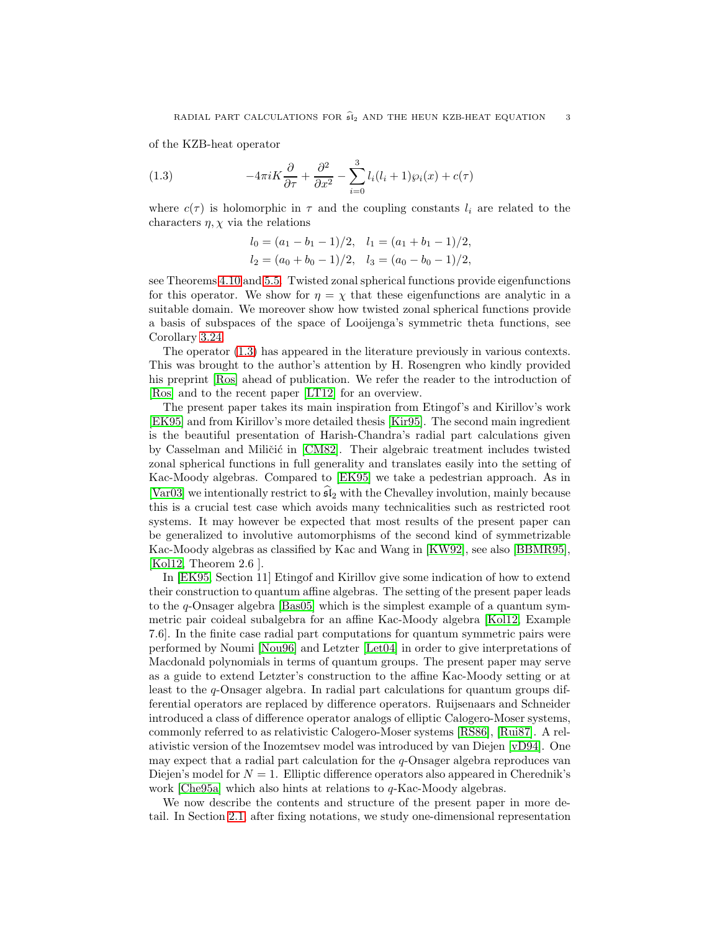of the KZB-heat operator

<span id="page-2-0"></span>(1.3) 
$$
-4\pi i K \frac{\partial}{\partial \tau} + \frac{\partial^2}{\partial x^2} - \sum_{i=0}^3 l_i (l_i + 1) \wp_i(x) + c(\tau)
$$

where  $c(\tau)$  is holomorphic in  $\tau$  and the coupling constants  $l_i$  are related to the characters  $\eta$ ,  $\chi$  via the relations

$$
l_0 = (a_1 - b_1 - 1)/2, \quad l_1 = (a_1 + b_1 - 1)/2,
$$
  
\n
$$
l_2 = (a_0 + b_0 - 1)/2, \quad l_3 = (a_0 - b_0 - 1)/2,
$$

see Theorems [4.10](#page-27-0) and [5.5.](#page-30-0) Twisted zonal spherical functions provide eigenfunctions for this operator. We show for  $\eta = \chi$  that these eigenfunctions are analytic in a suitable domain. We moreover show how twisted zonal spherical functions provide a basis of subspaces of the space of Looijenga's symmetric theta functions, see Corollary [3.24.](#page-17-0)

The operator [\(1.3\)](#page-2-0) has appeared in the literature previously in various contexts. This was brought to the author's attention by H. Rosengren who kindly provided his preprint [\[Ros\]](#page-36-13) ahead of publication. We refer the reader to the introduction of [\[Ros\]](#page-36-13) and to the recent paper [\[LT12\]](#page-36-14) for an overview.

The present paper takes its main inspiration from Etingof's and Kirillov's work [\[EK95\]](#page-35-4) and from Kirillov's more detailed thesis [\[Kir95\]](#page-36-10). The second main ingredient is the beautiful presentation of Harish-Chandra's radial part calculations given by Casselman and Miličić in [\[CM82\]](#page-35-8). Their algebraic treatment includes twisted zonal spherical functions in full generality and translates easily into the setting of Kac-Moody algebras. Compared to [\[EK95\]](#page-35-4) we take a pedestrian approach. As in [\[Var03\]](#page-37-2) we intentionally restrict to  $\mathfrak{sl}_2$  with the Chevalley involution, mainly because this is a crucial test case which avoids many technicalities such as restricted root systems. It may however be expected that most results of the present paper can be generalized to involutive automorphisms of the second kind of symmetrizable Kac-Moody algebras as classified by Kac and Wang in [\[KW92\]](#page-36-15), see also [\[BBMR95\]](#page-35-9), [\[Kol12,](#page-36-16) Theorem 2.6 ].

In [\[EK95,](#page-35-4) Section 11] Etingof and Kirillov give some indication of how to extend their construction to quantum affine algebras. The setting of the present paper leads to the q-Onsager algebra [\[Bas05\]](#page-35-10) which is the simplest example of a quantum symmetric pair coideal subalgebra for an affine Kac-Moody algebra [\[Kol12,](#page-36-16) Example 7.6]. In the finite case radial part computations for quantum symmetric pairs were performed by Noumi [\[Nou96\]](#page-36-17) and Letzter [\[Let04\]](#page-36-18) in order to give interpretations of Macdonald polynomials in terms of quantum groups. The present paper may serve as a guide to extend Letzter's construction to the affine Kac-Moody setting or at least to the q-Onsager algebra. In radial part calculations for quantum groups differential operators are replaced by difference operators. Ruijsenaars and Schneider introduced a class of difference operator analogs of elliptic Calogero-Moser systems, commonly referred to as relativistic Calogero-Moser systems [\[RS86\]](#page-36-19), [\[Rui87\]](#page-36-20). A relativistic version of the Inozemtsev model was introduced by van Diejen [\[vD94\]](#page-37-3). One may expect that a radial part calculation for the q-Onsager algebra reproduces van Diejen's model for  $N = 1$ . Elliptic difference operators also appeared in Cherednik's work [\[Che95a\]](#page-35-11) which also hints at relations to  $q$ -Kac-Moody algebras.

We now describe the contents and structure of the present paper in more detail. In Section [2.1,](#page-3-0) after fixing notations, we study one-dimensional representation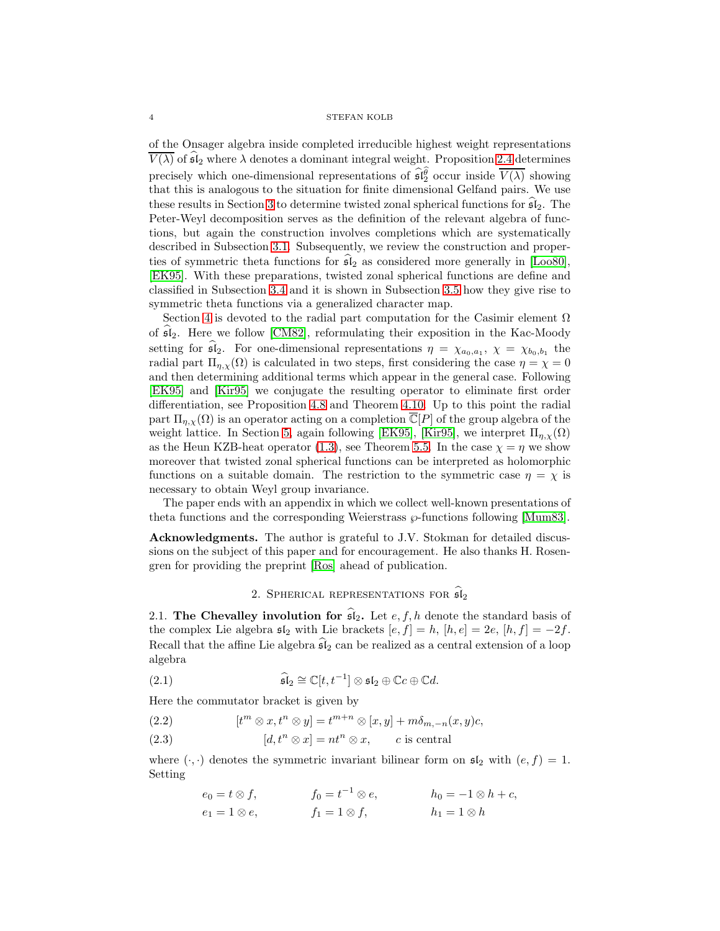### 4 STEFAN KOLB

of the Onsager algebra inside completed irreducible highest weight representations  $\overline{V(\lambda)}$  of  $\widehat{\mathfrak{sl}}_2$  where  $\lambda$  denotes a dominant integral weight. Proposition [2.4](#page-6-0) determines precisely which one-dimensional representations of  $\widehat{\mathfrak{sl}_2^\theta}$  occur inside  $\overline{V(\lambda)}$  showing that this is analogous to the situation for finite dimensional Gelfand pairs. We use these results in Section [3](#page-8-0) to determine twisted zonal spherical functions for  $\mathfrak{sl}_2$ . The Peter-Weyl decomposition serves as the definition of the relevant algebra of functions, but again the construction involves completions which are systematically described in Subsection [3.1.](#page-9-0) Subsequently, we review the construction and properties of symmetric theta functions for  $\widehat{\mathfrak{sl}}_2$  as considered more generally in [\[Loo80\]](#page-36-12), [\[EK95\]](#page-35-4). With these preparations, twisted zonal spherical functions are define and classified in Subsection [3.4](#page-15-1) and it is shown in Subsection [3.5](#page-15-2) how they give rise to symmetric theta functions via a generalized character map.

Section [4](#page-18-0) is devoted to the radial part computation for the Casimir element  $\Omega$ of  $sI_2$ . Here we follow [\[CM82\]](#page-35-8), reformulating their exposition in the Kac-Moody setting for  $\mathfrak{sl}_2$ . For one-dimensional representations  $\eta = \chi_{a_0, a_1}, \chi = \chi_{b_0, b_1}$  the radial part  $\Pi_{\eta,\chi}(\Omega)$  is calculated in two steps, first considering the case  $\eta = \chi = 0$ and then determining additional terms which appear in the general case. Following [\[EK95\]](#page-35-4) and [\[Kir95\]](#page-36-10) we conjugate the resulting operator to eliminate first order differentiation, see Proposition [4.8](#page-24-0) and Theorem [4.10.](#page-27-0) Up to this point the radial part  $\Pi_{\eta,\chi}(\Omega)$  is an operator acting on a completion  $\overline{\mathbb{C}}[P]$  of the group algebra of the weight lattice. In Section [5,](#page-28-0) again following [\[EK95\]](#page-35-4), [\[Kir95\]](#page-36-10), we interpret  $\Pi_{n,x}(\Omega)$ as the Heun KZB-heat operator [\(1.3\)](#page-2-0), see Theorem [5.5.](#page-30-0) In the case  $\chi = \eta$  we show moreover that twisted zonal spherical functions can be interpreted as holomorphic functions on a suitable domain. The restriction to the symmetric case  $\eta = \chi$  is necessary to obtain Weyl group invariance.

The paper ends with an appendix in which we collect well-known presentations of theta functions and the corresponding Weierstrass  $\wp$ -functions following [\[Mum83\]](#page-36-21).

Acknowledgments. The author is grateful to J.V. Stokman for detailed discussions on the subject of this paper and for encouragement. He also thanks H. Rosengren for providing the preprint [\[Ros\]](#page-36-13) ahead of publication.

## 2. SPHERICAL REPRESENTATIONS FOR  $\widehat{\mathfrak{sl}}_2$

<span id="page-3-0"></span>2.1. The Chevalley involution for  $\widehat{\mathfrak{sl}}_2$ . Let  $e, f, h$  denote the standard basis of the complex Lie algebra  $\mathfrak{sl}_2$  with Lie brackets  $[e, f] = h$ ,  $[h, e] = 2e$ ,  $[h, f] = -2f$ . Recall that the affine Lie algebra  $\widehat{\mathfrak{sl}}_2$  can be realized as a central extension of a loop algebra

(2.1) 
$$
\widehat{\mathfrak{sl}}_2 \cong \mathbb{C}[t, t^{-1}] \otimes \mathfrak{sl}_2 \oplus \mathbb{C}c \oplus \mathbb{C}d.
$$

Here the commutator bracket is given by

- <span id="page-3-1"></span>(2.2)  $[t^m \otimes x, t^n \otimes y] = t^{m+n} \otimes [x, y] + m\delta_{m,-n}(x, y)c,$
- <span id="page-3-2"></span>(2.3)  $[d, t^n \otimes x] = nt^n \otimes x$ , c is central

where  $(\cdot, \cdot)$  denotes the symmetric invariant bilinear form on  $\mathfrak{sl}_2$  with  $(e, f) = 1$ . Setting

> $e_0 = t \otimes f,$   $f_0 = t^{-1} \otimes e,$   $h_0 = -1 \otimes h + c,$  $e_1 = 1 \otimes e,$   $f_1 = 1 \otimes f,$   $h_1 = 1 \otimes h$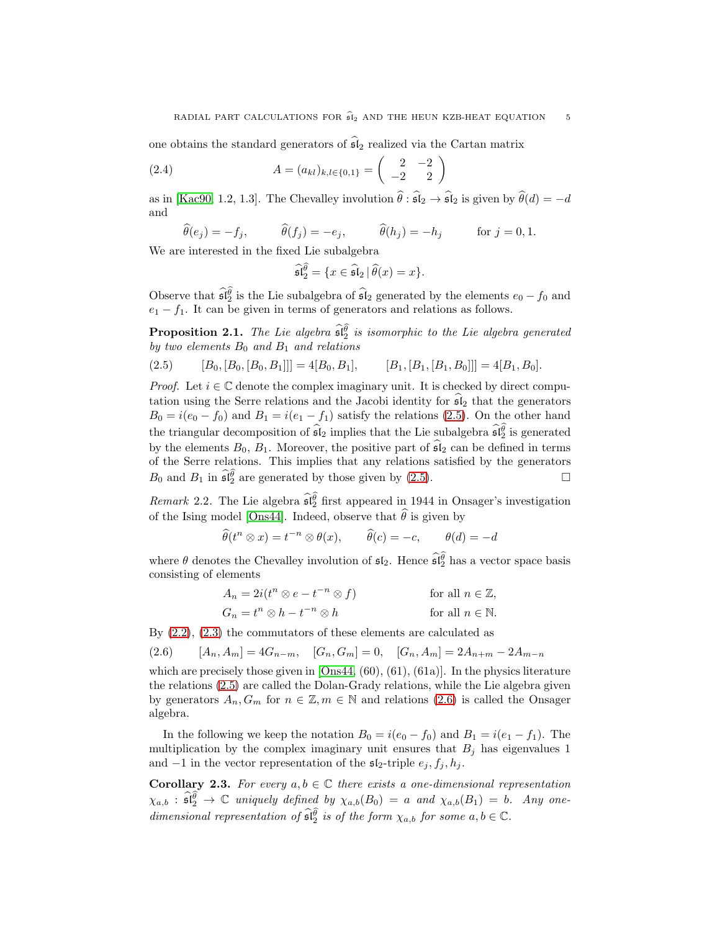one obtains the standard generators of  $\widehat{\mathfrak{sl}}_2$  realized via the Cartan matrix

(2.4) 
$$
A = (a_{kl})_{k,l \in \{0,1\}} = \begin{pmatrix} 2 & -2 \\ -2 & 2 \end{pmatrix}
$$

as in [\[Kac90,](#page-36-22) 1.2, 1.3]. The Chevalley involution  $\hat{\theta}$  :  $\hat{\mathfrak{sl}}_2 \to \hat{\mathfrak{sl}}_2$  is given by  $\hat{\theta}(d) = -d$ and

$$
\widehat{\theta}(e_j) = -f_j, \qquad \widehat{\theta}(f_j) = -e_j, \qquad \widehat{\theta}(h_j) = -h_j \qquad \text{for } j = 0, 1.
$$

We are interested in the fixed Lie subalgebra

$$
\widehat{\mathfrak{sl}_2^{\theta}} = \{ x \in \widehat{\mathfrak{sl}}_2 \, | \, \widehat{\theta}(x) = x \}.
$$

Observe that  $\widehat{\mathfrak{sl}}_2$  is the Lie subalgebra of  $\widehat{\mathfrak{sl}}_2$  generated by the elements  $e_0 - f_0$  and  $e_1 - f_1$ . It can be given in terms of generators and relations as follows.

**Proposition 2.1.** The Lie algebra  $\widehat{\mathfrak{sl}_2^{\theta}}$  is isomorphic to the Lie algebra generated by two elements  $B_0$  and  $B_1$  and relations

<span id="page-4-1"></span>
$$
(2.5) \t [B0, [B0, [B0, B1]]] = 4[B0, B1], \t [B1, [B1, [B0]]] = 4[B1, B0].
$$

*Proof.* Let  $i \in \mathbb{C}$  denote the complex imaginary unit. It is checked by direct computation using the Serre relations and the Jacobi identity for  $\mathfrak{sl}_2$  that the generators  $B_0 = i(e_0 - f_0)$  and  $B_1 = i(e_1 - f_1)$  satisfy the relations [\(2.5\)](#page-4-1). On the other hand the triangular decomposition of  $\hat{\mathfrak{sl}}_2$  implies that the Lie subalgebra  $\hat{\mathfrak{sl}}_2^0$  is generated by the elements  $B_0$ ,  $B_1$ . Moreover, the positive part of  $\widehat{\mathfrak{sl}}_2$  can be defined in terms of the Serre relations. This implies that any relations satisfied by the generators  $B_0$  and  $B_1$  in  $\widehat{\mathfrak{sl}_2^{\theta}}$  are generated by those given by [\(2.5\)](#page-4-1).

<span id="page-4-3"></span>*Remark* 2.2. The Lie algebra  $\widehat{\mathfrak{sl}_2^{\theta}}$  first appeared in 1944 in Onsager's investigation of the Ising model [\[Ons44\]](#page-36-23). Indeed, observe that  $\hat{\theta}$  is given by

$$
\widehat{\theta}(t^n \otimes x) = t^{-n} \otimes \theta(x), \qquad \widehat{\theta}(c) = -c, \qquad \theta(d) = -d
$$

where  $\theta$  denotes the Chevalley involution of  $\mathfrak{sl}_2$ . Hence  $\widehat{\mathfrak{sl}}_2^{\widehat{\theta}}$  has a vector space basis consisting of elements

$$
A_n = 2i(t^n \otimes e - t^{-n} \otimes f)
$$
 for all  $n \in \mathbb{Z}$ ,  
\n
$$
G_n = t^n \otimes h - t^{-n} \otimes h
$$
 for all  $n \in \mathbb{N}$ .

By [\(2.2\)](#page-3-1), [\(2.3\)](#page-3-2) the commutators of these elements are calculated as

<span id="page-4-2"></span>
$$
(2.6) \qquad [A_n, A_m] = 4G_{n-m}, \quad [G_n, G_m] = 0, \quad [G_n, A_m] = 2A_{n+m} - 2A_{m-n}
$$

which are precisely those given in  $[Ons44, (60), (61), (61a)]$ . In the physics literature the relations [\(2.5\)](#page-4-1) are called the Dolan-Grady relations, while the Lie algebra given by generators  $A_n, G_m$  for  $n \in \mathbb{Z}, m \in \mathbb{N}$  and relations [\(2.6\)](#page-4-2) is called the Onsager algebra.

In the following we keep the notation  $B_0 = i(e_0 - f_0)$  and  $B_1 = i(e_1 - f_1)$ . The multiplication by the complex imaginary unit ensures that  $B_j$  has eigenvalues 1 and  $-1$  in the vector representation of the  $\mathfrak{sl}_2$ -triple  $e_j, f_j, h_j$ .

<span id="page-4-0"></span>Corollary 2.3. For every  $a, b \in \mathbb{C}$  there exists a one-dimensional representation  $\chi_{a,b}$  :  $\widehat{\mathfrak{sl}_2^{\theta}} \to \mathbb{C}$  uniquely defined by  $\chi_{a,b}(B_0) = a$  and  $\chi_{a,b}(B_1) = b$ . Any onedimensional representation of  $\widehat{\mathfrak{sl}_2^{\theta}}$  is of the form  $\chi_{a,b}$  for some  $a, b \in \mathbb{C}$ .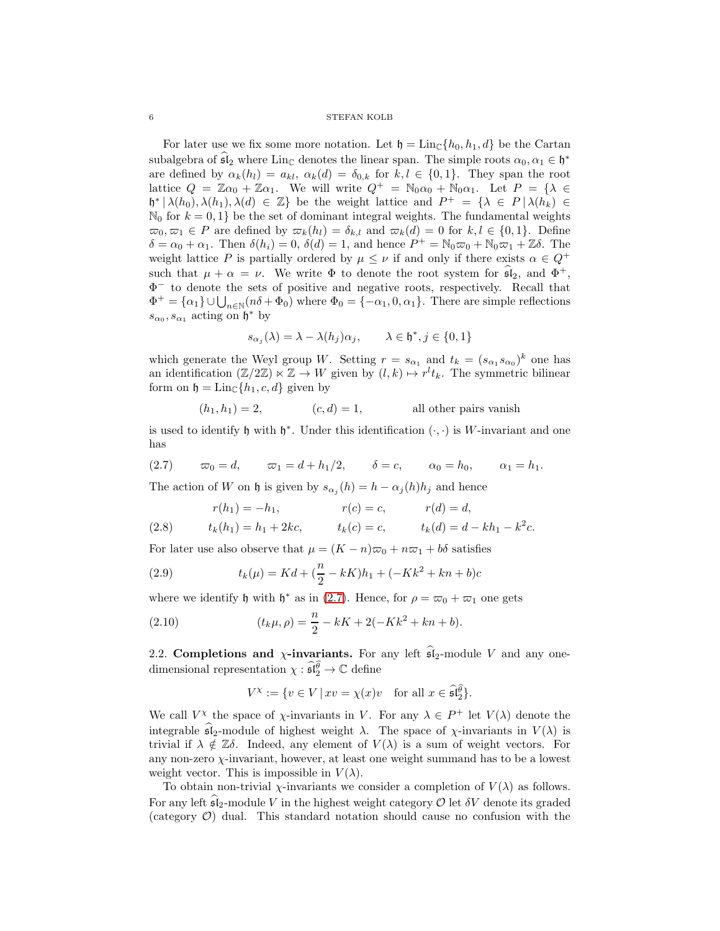#### $6\,$   $\,$  STEFAN KOLB  $\,$

For later use we fix some more notation. Let  $\mathfrak{h} = \text{Lin}_{\mathbb{C}}\{h_0, h_1, d\}$  be the Cartan subalgebra of  $\mathfrak{sl}_2$  where Lin<sub>C</sub> denotes the linear span. The simple roots  $\alpha_0, \alpha_1 \in \mathfrak{h}^*$ are defined by  $\alpha_k(h_l) = a_{kl}, \alpha_k(d) = \delta_{0,k}$  for  $k, l \in \{0, 1\}$ . They span the root lattice  $Q = \mathbb{Z}\alpha_0 + \mathbb{Z}\alpha_1$ . We will write  $Q^+ = \mathbb{N}_0\alpha_0 + \mathbb{N}_0\alpha_1$ . Let  $P = \{\lambda \in$  $\mathfrak{h}^* \mid \lambda(h_0), \lambda(h_1), \lambda(d) \in \mathbb{Z}$  be the weight lattice and  $P^+ = \{\lambda \in P \mid \lambda(h_k) \in \mathbb{Z}\}$  $\mathbb{N}_0$  for  $k = 0, 1$  be the set of dominant integral weights. The fundamental weights  $\overline{\omega}_0, \overline{\omega}_1 \in P$  are defined by  $\overline{\omega}_k(h_l) = \delta_{k,l}$  and  $\overline{\omega}_k(d) = 0$  for  $k, l \in \{0, 1\}$ . Define  $\delta = \alpha_0 + \alpha_1$ . Then  $\delta(h_i) = 0$ ,  $\delta(d) = 1$ , and hence  $P^+ = \mathbb{N}_0 \varpi_0 + \mathbb{N}_0 \varpi_1 + \mathbb{Z} \delta$ . The weight lattice P is partially ordered by  $\mu \leq \nu$  if and only if there exists  $\alpha \in Q^+$ such that  $\mu + \alpha = \nu$ . We write  $\Phi$  to denote the root system for  $\mathfrak{sl}_2$ , and  $\Phi^+$ , Φ <sup>−</sup> to denote the sets of positive and negative roots, respectively. Recall that  $\Phi^+ = {\alpha_1} \cup \bigcup_{n \in \mathbb{N}} (n\delta + \Phi_0)$  where  $\Phi_0 = {-\alpha_1, 0, \alpha_1}.$  There are simple reflections  $s_{\alpha_0}, s_{\alpha_1}$  acting on  $\mathfrak{h}^*$  by

$$
s_{\alpha_j}(\lambda) = \lambda - \lambda(h_j)\alpha_j, \qquad \lambda \in \mathfrak{h}^*, j \in \{0, 1\}
$$

which generate the Weyl group W. Setting  $r = s_{\alpha_1}$  and  $t_k = (s_{\alpha_1} s_{\alpha_0})^k$  one has an identification  $(\mathbb{Z}/2\mathbb{Z}) \ltimes \mathbb{Z} \to W$  given by  $(l,k) \mapsto r^l t_k$ . The symmetric bilinear form on  $\mathfrak{h} = \text{Lin}_{\mathbb{C}}\{h_1, c, d\}$  given by

$$
(h_1, h_1) = 2,
$$
  $(c, d) = 1,$  all other pairs vanish

is used to identify  $\mathfrak h$  with  $\mathfrak h^*$ . Under this identification  $(\cdot, \cdot)$  is W-invariant and one has

<span id="page-5-0"></span>
$$
(2.7) \qquad \varpi_0 = d, \qquad \varpi_1 = d + h_1/2, \qquad \delta = c, \qquad \alpha_0 = h_0, \qquad \alpha_1 = h_1.
$$

The action of W on h is given by  $s_{\alpha_j}(h) = h - \alpha_j(h)h_j$  and hence

(2.8) 
$$
r(h_1) = -h_1, \t r(c) = c, \t r(d) = d,
$$

$$
t_k(h_1) = h_1 + 2kc, \t t_k(c) = c, \t t_k(d) = d - kh_1 - k^2c.
$$

For later use also observe that  $\mu = (K - n)\varpi_0 + n\varpi_1 + b\delta$  satisfies

<span id="page-5-2"></span>(2.9) 
$$
t_k(\mu) = Kd + \left(\frac{n}{2} - kK\right)h_1 + (-Kk^2 + kn + b)c
$$

where we identify  $\mathfrak h$  with  $\mathfrak h^*$  as in [\(2.7\)](#page-5-0). Hence, for  $\rho = \varpi_0 + \varpi_1$  one gets

<span id="page-5-1"></span>(2.10) 
$$
(t_k \mu, \rho) = \frac{n}{2} - kK + 2(-Kk^2 + kn + b).
$$

2.2. Completions and  $\chi$ -invariants. For any left  $\widehat{\mathfrak{sl}}_2$ -module V and any onedimensional representation  $\chi : \widehat{\mathfrak{sl}}_2^{\widehat{\theta}} \to \mathbb{C}$  define

$$
V^\chi:=\{v\in V\,|\, xv=\chi(x)v\quad\text{for all }x\in \widehat{\mathfrak{sl}}_2^{\widehat{\theta}}\}.
$$

We call  $V^{\chi}$  the space of  $\chi$ -invariants in V. For any  $\lambda \in P^+$  let  $V(\lambda)$  denote the integrable  $\widehat{\mathfrak{sl}}_2$ -module of highest weight  $\lambda$ . The space of  $\chi$ -invariants in  $V(\lambda)$  is trivial if  $\lambda \notin \mathbb{Z}\delta$ . Indeed, any element of  $V(\lambda)$  is a sum of weight vectors. For any non-zero  $\chi$ -invariant, however, at least one weight summand has to be a lowest weight vector. This is impossible in  $V(\lambda)$ .

To obtain non-trivial  $\chi$ -invariants we consider a completion of  $V(\lambda)$  as follows. For any left  $\mathfrak{sl}_2$ -module V in the highest weight category  $\mathcal O$  let  $\delta V$  denote its graded (category  $\mathcal{O}$ ) dual. This standard notation should cause no confusion with the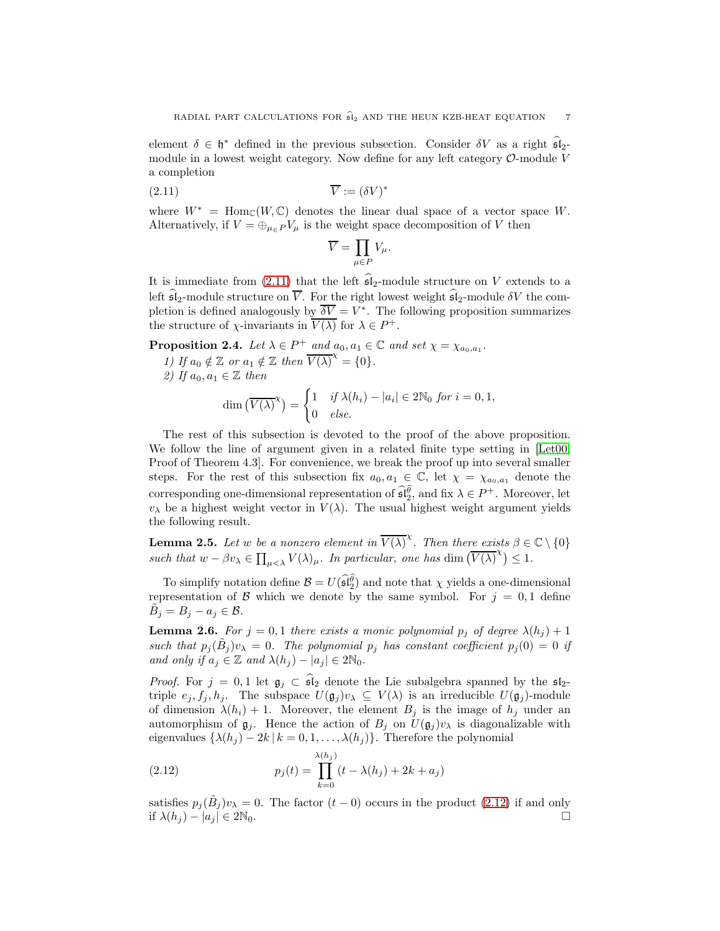element  $\delta \in \mathfrak{h}^*$  defined in the previous subsection. Consider  $\delta V$  as a right  $\mathfrak{sl}_2$ module in a lowest weight category. Now define for any left category  $\mathcal{O}\text{-module }V$ a completion

<span id="page-6-1"></span>
$$
\overline{V} := (\delta V)^* \tag{2.11}
$$

where  $W^* = \text{Hom}_{\mathbb{C}}(W, \mathbb{C})$  denotes the linear dual space of a vector space W. Alternatively, if  $V = \bigoplus_{\mu \in P} V_{\mu}$  is the weight space decomposition of V then

$$
\overline{V} = \prod_{\mu \in P} V_{\mu}.
$$

It is immediate from [\(2.11\)](#page-6-1) that the left  $\widehat{\mathfrak{sl}}_2$ -module structure on V extends to a left  $\widehat{\mathfrak{sl}}_2$ -module structure on  $\overline{V}$ . For the right lowest weight  $\widehat{\mathfrak{sl}}_2$ -module  $\delta V$  the completion is defined analogously by  $\overline{\delta V} = V^*$ . The following proposition summarizes the structure of  $\chi$ -invariants in  $\overline{V(\lambda)}$  for  $\lambda \in P^+$ .

<span id="page-6-0"></span>**Proposition 2.4.** Let  $\lambda \in P^+$  and  $a_0, a_1 \in \mathbb{C}$  and set  $\chi = \chi_{a_0, a_1}$ .

1) If  $a_0 \notin \mathbb{Z}$  or  $a_1 \notin \mathbb{Z}$  then  $\overline{V(\lambda)}^{\chi} = \{0\}.$ 

2) If 
$$
a_0, a_1 \in \mathbb{Z}
$$
 then

$$
\dim\left(\overline{V(\lambda)}^{\chi}\right) = \begin{cases} 1 & \text{if } \lambda(h_i) - |a_i| \in 2\mathbb{N}_0 \text{ for } i = 0, 1, \\ 0 & \text{else.} \end{cases}
$$

The rest of this subsection is devoted to the proof of the above proposition. We follow the line of argument given in a related finite type setting in [\[Let00,](#page-36-24) Proof of Theorem 4.3. For convenience, we break the proof up into several smaller steps. For the rest of this subsection fix  $a_0, a_1 \in \mathbb{C}$ , let  $\chi = \chi_{a_0, a_1}$  denote the corresponding one-dimensional representation of  $\widehat{\mathfrak{sl}_2^{\theta}}$ , and fix  $\lambda \in P^+$ . Moreover, let  $v_{\lambda}$  be a highest weight vector in  $V(\lambda)$ . The usual highest weight argument yields the following result.

<span id="page-6-4"></span>**Lemma 2.5.** Let w be a nonzero element in  $\overline{V(\lambda)}^{\chi}$ . Then there exists  $\beta \in \mathbb{C} \setminus \{0\}$ such that  $w - \beta v_\lambda \in \prod_{\mu < \lambda} V(\lambda)_{\mu}$ . In particular, one has dim  $(\overline{V(\lambda)}^{\chi}) \leq 1$ .

To simplify notation define  $\mathcal{B} = U(\widehat{\mathfrak{sl}_2^{\theta}})$  and note that  $\chi$  yields a one-dimensional representation of B which we denote by the same symbol. For  $j = 0, 1$  define  $\tilde{B}_j = B_j - a_j \in \mathcal{B}.$ 

<span id="page-6-3"></span>**Lemma 2.6.** For  $j = 0, 1$  there exists a monic polynomial  $p_j$  of degree  $\lambda(h_j) + 1$ such that  $p_j(\tilde{B}_j)v_\lambda = 0$ . The polynomial  $p_j$  has constant coefficient  $p_j(0) = 0$  if and only if  $a_i \in \mathbb{Z}$  and  $\lambda(h_i) - |a_i| \in 2\mathbb{N}_0$ .

*Proof.* For  $j = 0, 1$  let  $\mathfrak{g}_j \subset \widehat{\mathfrak{sl}}_2$  denote the Lie subalgebra spanned by the  $\mathfrak{sl}_2$ triple  $e_j, f_j, h_j$ . The subspace  $U(\mathfrak{g}_j)v_\lambda \subseteq V(\lambda)$  is an irreducible  $U(\mathfrak{g}_j)$ -module of dimension  $\lambda(h_i) + 1$ . Moreover, the element  $B_j$  is the image of  $h_j$  under an automorphism of  $\mathfrak{g}_j$ . Hence the action of  $B_j$  on  $U(\mathfrak{g}_j)v_\lambda$  is diagonalizable with eigenvalues  $\{\lambda(h_j) - 2k \mid k = 0, 1, \ldots, \lambda(h_j)\}\)$ . Therefore the polynomial

<span id="page-6-2"></span>(2.12) 
$$
p_j(t) = \prod_{k=0}^{\lambda(h_j)} (t - \lambda(h_j) + 2k + a_j)
$$

satisfies  $p_j(\tilde{B}_j)v_\lambda = 0$ . The factor  $(t-0)$  occurs in the product [\(2.12\)](#page-6-2) if and only if  $\lambda(h_i) - |a_i| \in 2\mathbb{N}_0$ .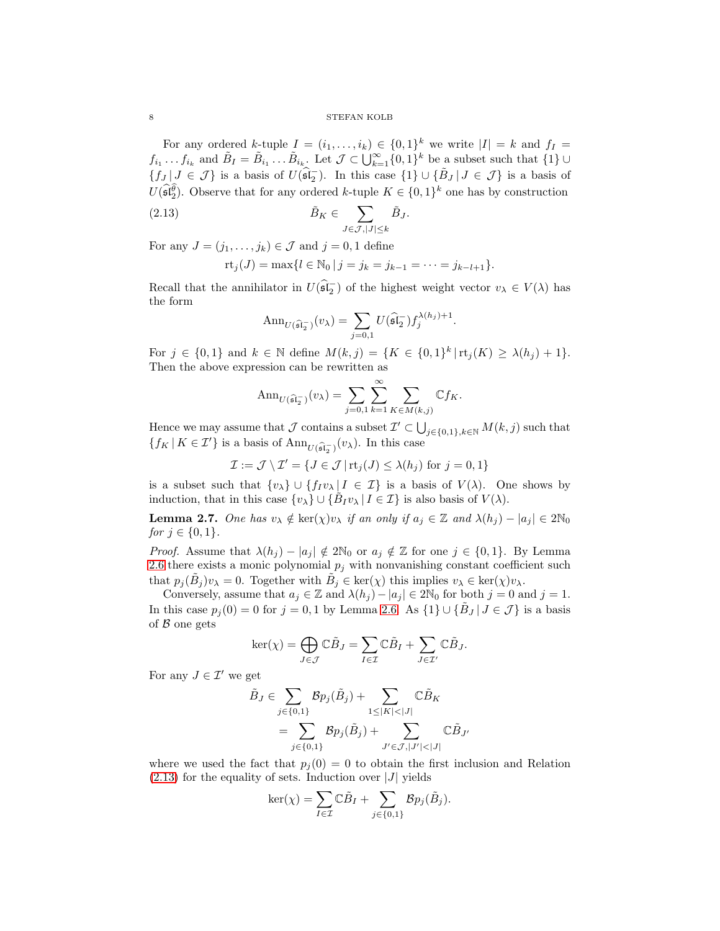8 STEFAN KOLB

For any ordered k-tuple  $I = (i_1, \ldots, i_k) \in \{0,1\}^k$  we write  $|I| = k$  and  $f_I =$  $f_{i_1} \ldots f_{i_k}$  and  $\tilde{B}_I = \tilde{B}_{i_1} \ldots \tilde{B}_{i_k}$ . Let  $\mathcal{J} \subset \bigcup_{k=1}^{\infty} \{0,1\}^k$  be a subset such that  $\{1\} \cup$  ${f_J | J \in \mathcal{J}}$  is a basis of  $U(\widehat{\mathfrak{sl}_2})$ . In this case  ${1} \cup {\widetilde{B}_J | J \in \mathcal{J}}$  is a basis of  $U(\widehat{\mathfrak{sl}_2^{\theta}})$ . Observe that for any ordered k-tuple  $K \in \{0,1\}^k$  one has by construction

<span id="page-7-0"></span>(2.13) 
$$
\tilde{B}_K \in \sum_{J \in \mathcal{J}, |J| \leq k} \tilde{B}_J.
$$

For any  $J = (j_1, \ldots, j_k) \in \mathcal{J}$  and  $j = 0, 1$  define

$$
rt_j(J) = \max\{l \in \mathbb{N}_0 \mid j = j_k = j_{k-1} = \cdots = j_{k-l+1}\}.
$$

Recall that the annihilator in  $U(\widehat{\mathfrak{sl}_2})$  of the highest weight vector  $v_\lambda \in V(\lambda)$  has the form

$$
\operatorname{Ann}_{U(\widehat{\mathfrak{sl}}_2^-)}(v_\lambda) = \sum_{j=0,1} U(\widehat{\mathfrak{sl}}_2^-) f_j^{\lambda(h_j)+1}.
$$

For  $j \in \{0,1\}$  and  $k \in \mathbb{N}$  define  $M(k, j) = \{K \in \{0,1\}^k | \text{rt}_j(K) \ge \lambda(h_j) + 1\}.$ Then the above expression can be rewritten as

$$
\operatorname{Ann}_{U(\widehat{\mathfrak{sl}_2}^{\neg})}(v_{\lambda}) = \sum_{j=0,1} \sum_{k=1}^{\infty} \sum_{K \in M(k,j)} \mathbb{C} f_K.
$$

Hence we may assume that  $\mathcal J$  contains a subset  $\mathcal I' \subset \bigcup_{j\in\{0,1\},k\in\mathbb N} M(k,j)$  such that  $\{f_K | K \in \mathcal{I}'\}$  is a basis of  $\text{Ann}_{U(\widehat{\mathfrak{sl}_2})}(v_\lambda)$ . In this case

 $\mathcal{I} := \mathcal{J} \setminus \mathcal{I}' = \{ J \in \mathcal{J} \mid \text{rt}_j(J) \leq \lambda(h_j) \text{ for } j = 0, 1 \}$ 

is a subset such that  $\{v_\lambda\} \cup \{f_I v_\lambda | I \in \mathcal{I}\}\$ is a basis of  $V(\lambda)$ . One shows by induction, that in this case  $\{v_\lambda\} \cup \{\tilde{B}_I v_\lambda \mid I \in \mathcal{I}\}\$ is also basis of  $V(\lambda)$ .

<span id="page-7-1"></span>**Lemma 2.7.** One has  $v_{\lambda} \notin \text{ker}(\chi)v_{\lambda}$  if an only if  $a_j \in \mathbb{Z}$  and  $\lambda(h_j) - |a_j| \in 2\mathbb{N}_0$ *for*  $j \in \{0, 1\}$ .

*Proof.* Assume that  $\lambda(h_i) - |a_i| \notin 2\mathbb{N}_0$  or  $a_i \notin \mathbb{Z}$  for one  $j \in \{0,1\}$ . By Lemma [2.6](#page-6-3) there exists a monic polynomial  $p_j$  with nonvanishing constant coefficient such that  $p_j(\tilde{B}_j)v_\lambda = 0$ . Together with  $\tilde{B}_j \in \text{ker}(\chi)$  this implies  $v_\lambda \in \text{ker}(\chi)v_\lambda$ .

Conversely, assume that  $a_j \in \mathbb{Z}$  and  $\lambda(h_j) - |a_j| \in 2\mathbb{N}_0$  for both  $j = 0$  and  $j = 1$ . In this case  $p_j(0) = 0$  for  $j = 0, 1$  by Lemma [2.6.](#page-6-3) As  $\{1\} \cup \{\tilde{B}_J | J \in \mathcal{J}\}\$ is a basis of  $\beta$  one gets

$$
\ker(\chi)=\bigoplus_{J\in\mathcal{J}}\mathbb{C}\tilde{B}_J=\sum_{I\in\mathcal{I}}\mathbb{C}\tilde{B}_I+\sum_{J\in\mathcal{I}'}\mathbb{C}\tilde{B}_J.
$$

For any  $J \in \mathcal{I}'$  we get

$$
\begin{aligned} \tilde{B}_J &\in \sum_{j\in\{0,1\}} \mathcal{B} p_j(\tilde{B}_j) + \sum_{1\leq |K|<|J|} \mathbb{C}\tilde{B}_K \\ &= \sum_{j\in\{0,1\}} \mathcal{B} p_j(\tilde{B}_j) + \sum_{J'\in\mathcal{J},|J'|<|J|} \mathbb{C}\tilde{B}_{J'} \end{aligned}
$$

where we used the fact that  $p_i(0) = 0$  to obtain the first inclusion and Relation  $(2.13)$  for the equality of sets. Induction over |J| yields

$$
\ker(\chi) = \sum_{I \in \mathcal{I}} \mathbb{C}\tilde{B}_I + \sum_{j \in \{0,1\}} \mathcal{B}p_j(\tilde{B}_j).
$$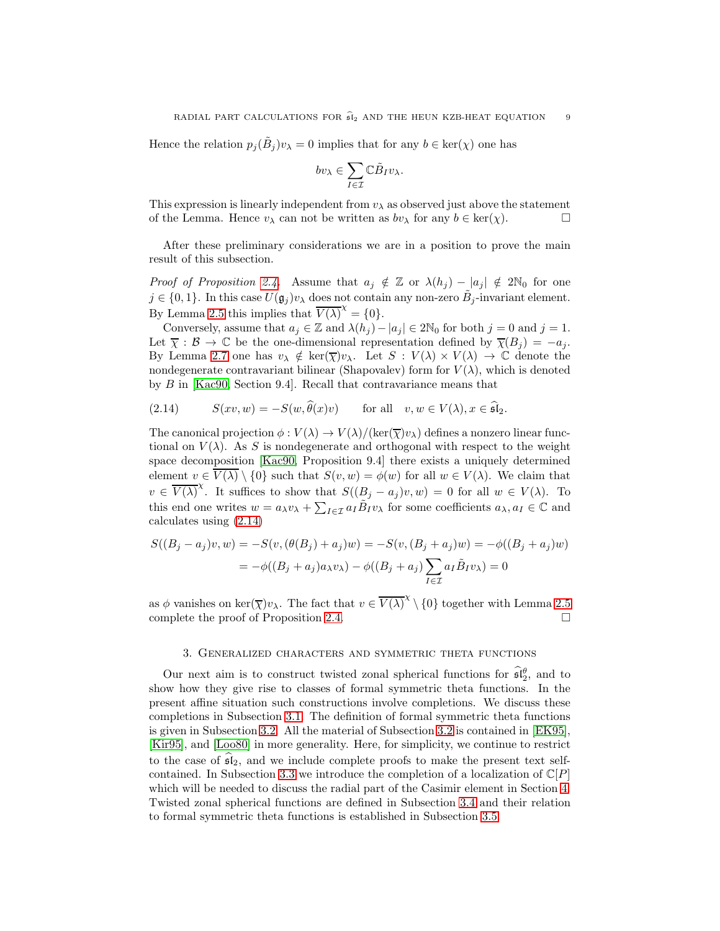Hence the relation  $p_j(\tilde{B}_j)v_\lambda = 0$  implies that for any  $b \in \text{ker}(\chi)$  one has

$$
bv_\lambda\in \sum_{I\in \mathcal{I}}\mathbb{C}\tilde{B}_I v_\lambda.
$$

This expression is linearly independent from  $v_{\lambda}$  as observed just above the statement of the Lemma. Hence  $v_\lambda$  can not be written as  $bv_\lambda$  for any  $b \in \text{ker}(\chi)$ .

After these preliminary considerations we are in a position to prove the main result of this subsection.

*Proof of Proposition [2.4.](#page-6-0)* Assume that  $a_j \notin \mathbb{Z}$  or  $\lambda(h_j) - |a_j| \notin 2\mathbb{N}_0$  for one  $j \in \{0,1\}$ . In this case  $U(\mathfrak{g}_j)v_\lambda$  does not contain any non-zero  $\tilde{B}_j$ -invariant element. By Lemma [2.5](#page-6-4) this implies that  $\overline{V(\lambda)}^{\chi} = \{0\}.$ 

Conversely, assume that  $a_j \in \mathbb{Z}$  and  $\lambda(h_j) - |a_j| \in 2\mathbb{N}_0$  for both  $j = 0$  and  $j = 1$ . Let  $\overline{\chi}: \mathcal{B} \to \mathbb{C}$  be the one-dimensional representation defined by  $\overline{\chi}(B_i) = -a_i$ . By Lemma [2.7](#page-7-1) one has  $v_{\lambda} \notin \text{ker}(\overline{\chi})v_{\lambda}$ . Let  $S : V(\lambda) \times V(\lambda) \to \mathbb{C}$  denote the nondegenerate contravariant bilinear (Shapovalev) form for  $V(\lambda)$ , which is denoted by B in [\[Kac90,](#page-36-22) Section 9.4]. Recall that contravariance means that

<span id="page-8-1"></span>(2.14) 
$$
S(xv, w) = -S(w, \hat{\theta}(x)v) \quad \text{for all} \quad v, w \in V(\lambda), x \in \hat{\mathfrak{sl}}_2.
$$

The canonical projection  $\phi: V(\lambda) \to V(\lambda)/(\ker(\overline{\chi})v_\lambda)$  defines a nonzero linear functional on  $V(\lambda)$ . As S is nondegenerate and orthogonal with respect to the weight space decomposition [\[Kac90,](#page-36-22) Proposition 9.4] there exists a uniquely determined element  $v \in \overline{V(\lambda)} \setminus \{0\}$  such that  $S(v, w) = \phi(w)$  for all  $w \in V(\lambda)$ . We claim that  $v \in \overline{V(\lambda)}^{\chi}$ . It suffices to show that  $S((B_j - a_j)v, w) = 0$  for all  $w \in V(\lambda)$ . To this end one writes  $w = a_\lambda v_\lambda + \sum_{I \in \mathcal{I}} a_I \tilde{B}_I v_\lambda$  for some coefficients  $a_\lambda, a_I \in \mathbb{C}$  and calculates using [\(2.14\)](#page-8-1)

$$
S((B_j - a_j)v, w) = -S(v, (\theta(B_j) + a_j)w) = -S(v, (B_j + a_j)w) = -\phi((B_j + a_j)w)
$$
  
=  $-\phi((B_j + a_j)a_{\lambda}v_{\lambda}) - \phi((B_j + a_j)\sum_{I \in \mathcal{I}} a_I \tilde{B}_I v_{\lambda}) = 0$ 

as  $\phi$  vanishes on ker $(\overline{\chi})v_\lambda$ . The fact that  $v \in \overline{V(\lambda)}^{\chi} \setminus \{0\}$  together with Lemma [2.5](#page-6-4) complete the proof of Proposition [2.4.](#page-6-0)

### 3. Generalized characters and symmetric theta functions

<span id="page-8-0"></span>Our next aim is to construct twisted zonal spherical functions for  $\mathfrak{sl}_2^{\theta}$ , and to show how they give rise to classes of formal symmetric theta functions. In the present affine situation such constructions involve completions. We discuss these completions in Subsection [3.1.](#page-9-0) The definition of formal symmetric theta functions is given in Subsection [3.2.](#page-10-0) All the material of Subsection [3.2](#page-10-0) is contained in [\[EK95\]](#page-35-4), [\[Kir95\]](#page-36-10), and [\[Loo80\]](#page-36-12) in more generality. Here, for simplicity, we continue to restrict to the case of  $\mathfrak{sl}_2$ , and we include complete proofs to make the present text self-contained. In Subsection [3.3](#page-13-0) we introduce the completion of a localization of  $\mathbb{C}[P]$ which will be needed to discuss the radial part of the Casimir element in Section [4.](#page-18-0) Twisted zonal spherical functions are defined in Subsection [3.4](#page-15-1) and their relation to formal symmetric theta functions is established in Subsection [3.5.](#page-15-2)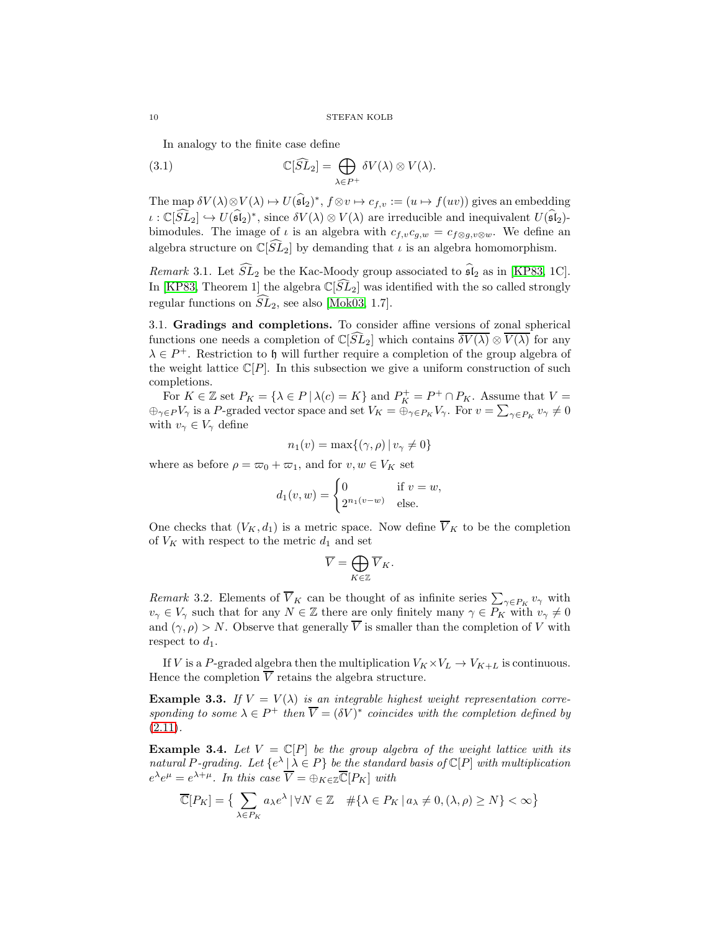In analogy to the finite case define

<span id="page-9-1"></span>(3.1) 
$$
\mathbb{C}[\widehat{SL}_2] = \bigoplus_{\lambda \in P^+} \delta V(\lambda) \otimes V(\lambda).
$$

The map  $\delta V(\lambda) \otimes V(\lambda) \mapsto U(\mathfrak{sl}_2)^*, f \otimes v \mapsto c_{f,v} := (u \mapsto f(uv))$  gives an embedding  $\iota : \mathbb{C}[\widehat{SL}_2] \hookrightarrow U(\widehat{\mathfrak{sl}}_2)^*$ , since  $\delta V(\lambda) \otimes V(\lambda)$  are irreducible and inequivalent  $U(\widehat{\mathfrak{sl}}_2)$ bimodules. The image of  $\iota$  is an algebra with  $c_{f,v}c_{g,w} = c_{f\otimes g,v\otimes w}$ . We define an algebra structure on  $\mathbb{C}[\tilde{SL}_2]$  by demanding that  $\iota$  is an algebra homomorphism.

Remark 3.1. Let  $\widehat{SL}_2$  be the Kac-Moody group associated to  $\widehat{\mathfrak{sl}}_2$  as in [\[KP83,](#page-36-25) 1C]. In [\[KP83,](#page-36-25) Theorem 1] the algebra  $\mathbb{C}[\tilde{SL}_2]$  was identified with the so called strongly regular functions on  $SL_2$ , see also [\[Mok03,](#page-36-26) 1.7].

<span id="page-9-0"></span>3.1. Gradings and completions. To consider affine versions of zonal spherical functions one needs a completion of  $\mathbb{C}[\tilde{SL}_2]$  which contains  $\overline{\delta V(\lambda)} \otimes \overline{V(\lambda)}$  for any  $\lambda \in P^+$ . Restriction to h will further require a completion of the group algebra of the weight lattice  $\mathbb{C}[P]$ . In this subsection we give a uniform construction of such completions.

For  $K \in \mathbb{Z}$  set  $P_K = \{ \lambda \in P \mid \lambda(c) = K \}$  and  $P_K^+ = P^+ \cap P_K$ . Assume that  $V =$  $\oplus_{\gamma \in P} V_{\gamma}$  is a P-graded vector space and set  $V_K = \oplus_{\gamma \in P_K} V_{\gamma}$ . For  $v = \sum_{\gamma \in P_K} v_{\gamma} \neq 0$ with  $v_{\gamma} \in V_{\gamma}$  define

$$
n_1(v) = \max\{(\gamma, \rho) \mid v_\gamma \neq 0\}
$$

where as before  $\rho = \varpi_0 + \varpi_1$ , and for  $v, w \in V_K$  set

$$
d_1(v, w) = \begin{cases} 0 & \text{if } v = w, \\ 2^{n_1(v-w)} & \text{else.} \end{cases}
$$

One checks that  $(V_K, d_1)$  is a metric space. Now define  $\overline{V}_K$  to be the completion of  $V_K$  with respect to the metric  $d_1$  and set

$$
\overline{V}=\bigoplus_{K\in\mathbb{Z}}\overline{V}_K.
$$

Remark 3.2. Elements of  $\overline{V}_K$  can be thought of as infinite series  $\sum_{\gamma \in P_K} v_{\gamma}$  with  $v_{\gamma} \in V_{\gamma}$  such that for any  $N \in \mathbb{Z}$  there are only finitely many  $\gamma \in P_K$  with  $v_{\gamma} \neq 0$ and  $(\gamma, \rho) > N$ . Observe that generally  $\overline{V}$  is smaller than the completion of V with respect to  $d_1$ .

If V is a P-graded algebra then the multiplication  $V_K \times V_L \rightarrow V_{K+L}$  is continuous. Hence the completion  $\overline{V}$  retains the algebra structure.

**Example 3.3.** If  $V = V(\lambda)$  is an integrable highest weight representation corresponding to some  $\lambda \in P^+$  then  $\overline{V} = (\delta V)^*$  coincides with the completion defined by  $(2.11).$  $(2.11).$ 

<span id="page-9-2"></span>**Example 3.4.** Let  $V = \mathbb{C}[P]$  be the group algebra of the weight lattice with its natural P-grading. Let  $\{e^{\lambda} | \lambda \in P\}$  be the standard basis of  $\mathbb{C}[P]$  with multiplication  $e^{\lambda}e^{\mu} = e^{\lambda+\mu}$ . In this case  $\overline{V} = \bigoplus_{K \in \mathbb{Z}} \overline{\mathbb{C}}[P_K]$  with

$$
\overline{\mathbb{C}}[P_K] = \left\{ \sum_{\lambda \in P_K} a_{\lambda} e^{\lambda} \, | \, \forall N \in \mathbb{Z} \quad \# \{ \lambda \in P_K \, | \, a_{\lambda} \neq 0, (\lambda, \rho) \ge N \} < \infty \right\}
$$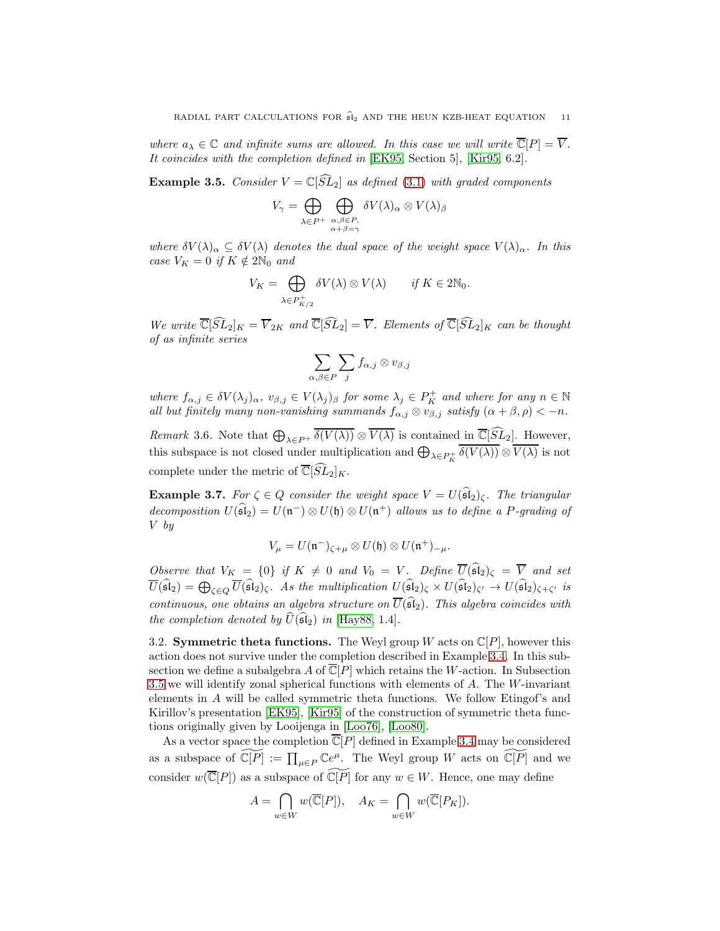where  $a_{\lambda} \in \mathbb{C}$  and infinite sums are allowed. In this case we will write  $\overline{\mathbb{C}}[P] = \overline{V}$ . It coincides with the completion defined in [\[EK95,](#page-35-4) Section 5], [\[Kir95,](#page-36-10) 6.2].

**Example 3.5.** Consider  $V = \mathbb{C}[\widehat{SL}_2]$  as defined [\(3.1\)](#page-9-1) with graded components

$$
V_{\gamma} = \bigoplus_{\lambda \in P^+} \bigoplus_{\substack{\alpha, \beta \in P, \\ \alpha + \beta = \gamma}} \delta V(\lambda)_{\alpha} \otimes V(\lambda)_{\beta}
$$

where  $\delta V(\lambda)_{\alpha} \subseteq \delta V(\lambda)$  denotes the dual space of the weight space  $V(\lambda)_{\alpha}$ . In this case  $V_K = 0$  if  $K \notin 2\mathbb{N}_0$  and

$$
V_K = \bigoplus_{\lambda \in P_{K/2}^+} \delta V(\lambda) \otimes V(\lambda) \qquad \text{if } K \in 2\mathbb{N}_0.
$$

We write  $\overline{\mathbb{C}}[\widehat{SL}_2]_K = \overline{V}_{2K}$  and  $\overline{\mathbb{C}}[\widehat{SL}_2] = \overline{V}$ . Elements of  $\overline{\mathbb{C}}[\widehat{SL}_2]_K$  can be thought of as infinite series

$$
\sum_{\alpha,\beta\in P}\sum_j f_{\alpha,j}\otimes v_{\beta,j}
$$

where  $f_{\alpha,j} \in \delta V(\lambda_j)_{\alpha}, v_{\beta,j} \in V(\lambda_j)_{\beta}$  for some  $\lambda_j \in P_K^+$  and where for any  $n \in \mathbb{N}$ all but finitely many non-vanishing summands  $f_{\alpha,j} \otimes v_{\beta,j}$  satisfy  $(\alpha + \beta, \rho) < -n$ .

*Remark* 3.6. Note that  $\bigoplus_{\lambda \in P^+} \overline{\delta(V(\lambda))} \otimes \overline{V(\lambda)}$  is contained in  $\overline{\mathbb{C}}[\widehat{SL}_2]$ . However, this subspace is not closed under multiplication and  $\bigoplus_{\lambda \in P_K^+} \overline{\delta(V(\lambda))} \otimes \overline{V(\lambda)}$  is not complete under the metric of  $\overline{\mathbb{C}}[\widehat{SL}_2]_K$ .

<span id="page-10-1"></span>**Example 3.7.** For  $\zeta \in Q$  consider the weight space  $V = U(\widehat{\mathfrak{sl}}_2)_{\zeta}$ . The triangular decomposition  $U(\widehat{\mathfrak{sl}}_2) = U(\mathfrak{n}^-) \otimes U(\mathfrak{h}) \otimes U(\mathfrak{n}^+)$  allows us to define a P-grading of V by

$$
V_{\mu}=U(\mathfrak{n}^-)_{\zeta+\mu}\otimes U(\mathfrak{h})\otimes U(\mathfrak{n}^+)_{-\mu}.
$$

Observe that  $V_K = \{0\}$  if  $K \neq 0$  and  $V_0 = V$ . Define  $\overline{U}(\widehat{\mathfrak{sl}}_2)_{\zeta} = \overline{V}$  and set  $\overline{U}(\widehat{\mathfrak{sl}}_2) = \bigoplus_{\zeta \in Q} \overline{U}(\widehat{\mathfrak{sl}}_2)_{\zeta}.$  As the multiplication  $U(\widehat{\mathfrak{sl}}_2)_{\zeta} \times U(\widehat{\mathfrak{sl}}_2)_{\zeta'} \to U(\widehat{\mathfrak{sl}}_2)_{\zeta + \zeta'}$  is continuous, one obtains an algebra structure on  $\overline{U}(\widehat{\mathfrak{sl}}_2)$ . This algebra coincides with the completion denoted by  $\hat{U}(\mathfrak{sl}_2)$  in [\[Hay88,](#page-35-12) 1.4].

<span id="page-10-0"></span>3.2. Symmetric theta functions. The Weyl group W acts on  $\mathbb{C}[P]$ , however this action does not survive under the completion described in Example [3.4.](#page-9-2) In this subsection we define a subalgebra A of  $\mathbb{C}[P]$  which retains the W-action. In Subsection [3.5](#page-15-2) we will identify zonal spherical functions with elements of A. The W-invariant elements in A will be called symmetric theta functions. We follow Etingof's and Kirillov's presentation [\[EK95\]](#page-35-4), [\[Kir95\]](#page-36-10) of the construction of symmetric theta functions originally given by Looijenga in [\[Loo76\]](#page-36-11), [\[Loo80\]](#page-36-12).

As a vector space the completion  $\overline{\mathbb{C}}[P]$  defined in Example [3.4](#page-9-2) may be considered as a subspace of  $\widetilde{\mathbb{C}[P]} := \prod_{\mu \in P} \mathbb{C}e^{\mu}$ . The Weyl group W acts on  $\widetilde{\mathbb{C}[P]}$  and we consider  $w(\overline{\mathbb{C}}[P])$  as a subspace of  $\mathbb{C}[P]$  for any  $w \in W$ . Hence, one may define

$$
A = \bigcap_{w \in W} w(\overline{\mathbb{C}}[P]), \quad A_K = \bigcap_{w \in W} w(\overline{\mathbb{C}}[P_K]).
$$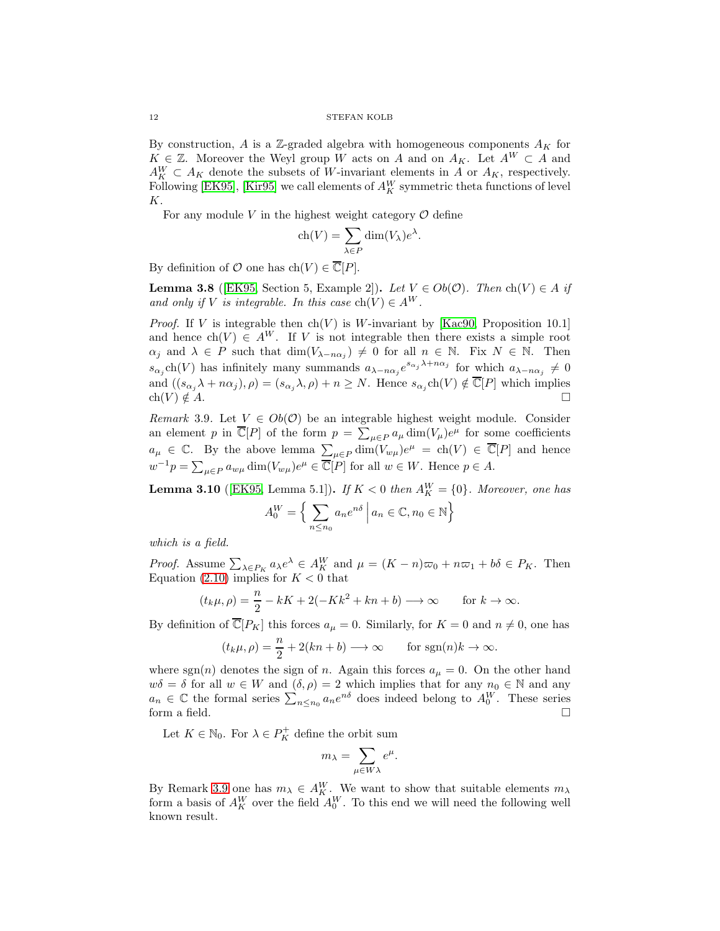By construction, A is a Z-graded algebra with homogeneous components  $A_K$  for  $K \in \mathbb{Z}$ . Moreover the Weyl group W acts on A and on  $A_K$ . Let  $A^W \subset A$  and  $A_K^W \subset A_K$  denote the subsets of W-invariant elements in A or  $A_K$ , respectively. Following [\[EK95\]](#page-35-4), [\[Kir95\]](#page-36-10) we call elements of  $A_K^W$  symmetric theta functions of level K.

For any module V in the highest weight category  $\mathcal O$  define

$$
ch(V) = \sum_{\lambda \in P} dim(V_{\lambda})e^{\lambda}.
$$

By definition of  $O$  one has  $ch(V) \in \overline{\mathbb{C}}[P]$ .

**Lemma 3.8** ([\[EK95,](#page-35-4) Section 5, Example 2]). Let  $V \in Ob(\mathcal{O})$ . Then  $ch(V) \in A$  if and only if V is integrable. In this case  $\text{ch}(V) \in A^W$ .

*Proof.* If V is integrable then  $\text{ch}(V)$  is W-invariant by [\[Kac90,](#page-36-22) Proposition 10.1] and hence  $ch(V) \in A^{W}$ . If V is not integrable then there exists a simple root  $\alpha_j$  and  $\lambda \in P$  such that  $\dim(V_{\lambda-n\alpha_j}) \neq 0$  for all  $n \in \mathbb{N}$ . Fix  $N \in \mathbb{N}$ . Then  $s_{\alpha_j}$ ch(V) has infinitely many summands  $a_{\lambda-n\alpha_j}e^{s_{\alpha_j}\lambda+n\alpha_j}$  for which  $a_{\lambda-n\alpha_j}\neq 0$ and  $((s_{\alpha_j}\lambda+n\alpha_j),\rho)=(s_{\alpha_j}\lambda,\rho)+n\geq N$ . Hence  $s_{\alpha_j}ch(V)\notin \overline{\mathbb{C}}[P]$  which implies  $ch(V) \notin A$ .

<span id="page-11-0"></span>Remark 3.9. Let  $V \in Ob(\mathcal{O})$  be an integrable highest weight module. Consider an element p in  $\overline{\mathbb{C}}[P]$  of the form  $p = \sum_{\mu \in P} a_{\mu} \dim(V_{\mu}) e^{\mu}$  for some coefficients  $a_{\mu} \in \mathbb{C}$ . By the above lemma  $\sum_{\mu \in P} \dim(V_{w\mu})e^{\mu} = ch(V) \in \overline{\mathbb{C}}[P]$  and hence  $w^{-1}p = \sum_{\mu \in P} a_{w\mu} \dim(V_{w\mu})e^{\mu} \in \overline{\mathbb{C}}[P]$  for all  $w \in W$ . Hence  $p \in A$ .

<span id="page-11-1"></span>**Lemma 3.10** ([\[EK95,](#page-35-4) Lemma 5.1]). If  $K < 0$  then  $A_K^W = \{0\}$ . Moreover, one has  $A_0^W = \Big\{\sum$  $a_n e^{n\delta}$   $a_n \in \mathbb{C}, n_0 \in \mathbb{N}$ 

 $n \leq n_0$ 

which is a field.

*Proof.* Assume  $\sum_{\lambda \in P_K} a_{\lambda} e^{\lambda} \in A_K^W$  and  $\mu = (K - n)\varpi_0 + n\varpi_1 + b\delta \in P_K$ . Then Equation [\(2.10\)](#page-5-1) implies for  $K < 0$  that

$$
(t_k\mu,\rho) = \frac{n}{2} - kK + 2(-Kk^2 + kn + b) \longrightarrow \infty \quad \text{for } k \to \infty.
$$

By definition of  $\overline{\mathbb{C}}[P_K]$  this forces  $a_\mu = 0$ . Similarly, for  $K = 0$  and  $n \neq 0$ , one has

$$
(t_k\mu, \rho) = \frac{n}{2} + 2(kn + b) \longrightarrow \infty
$$
 for sgn $(n)k \to \infty$ .

where sgn(n) denotes the sign of n. Again this forces  $a_{\mu} = 0$ . On the other hand  $w\delta = \delta$  for all  $w \in W$  and  $(\delta, \rho) = 2$  which implies that for any  $n_0 \in \mathbb{N}$  and any  $a_n \in \mathbb{C}$  the formal series  $\sum_{n \leq n_0} a_n e^{n\delta}$  does indeed belong to  $A_0^W$ . These series form a field.  $\Box$ 

Let  $K \in \mathbb{N}_0$ . For  $\lambda \in P_K^+$  define the orbit sum

$$
m_\lambda = \sum_{\mu \in W\lambda} e^\mu.
$$

By Remark [3.9](#page-11-0) one has  $m_{\lambda} \in A_K^W$ . We want to show that suitable elements  $m_{\lambda}$ form a basis of  $A_K^W$  over the field  $A_0^W$ . To this end we will need the following well known result.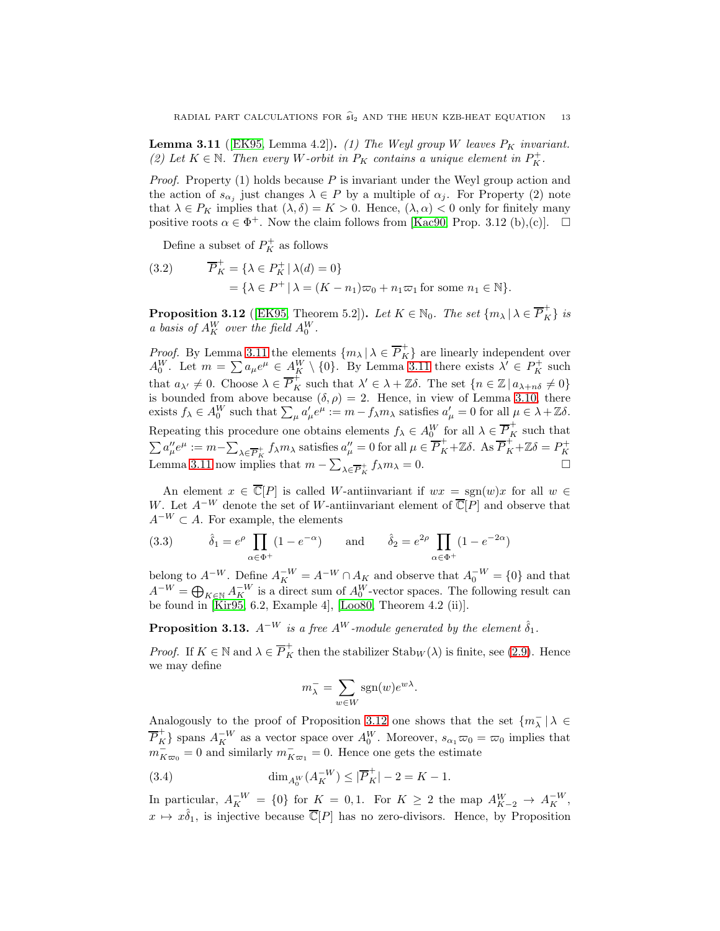<span id="page-12-0"></span>**Lemma 3.11** ([\[EK95,](#page-35-4) Lemma 4.2]). (1) The Weyl group W leaves  $P_K$  invariant. (2) Let  $K \in \mathbb{N}$ . Then every W-orbit in  $P_K$  contains a unique element in  $P_K^+$ .

*Proof.* Property  $(1)$  holds because P is invariant under the Weyl group action and the action of  $s_{\alpha_j}$  just changes  $\lambda \in P$  by a multiple of  $\alpha_j$ . For Property (2) note that  $\lambda \in P_K$  implies that  $(\lambda, \delta) = K > 0$ . Hence,  $(\lambda, \alpha) < 0$  only for finitely many positive roots  $\alpha \in \Phi^+$ . Now the claim follows from [\[Kac90,](#page-36-22) Prop. 3.12 (b),(c)].  $\Box$ 

Define a subset of  $P_K^+$  as follows

<span id="page-12-4"></span>(3.2) 
$$
\overline{P}_K^+ = \{ \lambda \in P_K^+ \mid \lambda(d) = 0 \}
$$

$$
= \{ \lambda \in P^+ \mid \lambda = (K - n_1)\varpi_0 + n_1 \varpi_1 \text{ for some } n_1 \in \mathbb{N} \}.
$$

<span id="page-12-1"></span>**Proposition 3.12** ([\[EK95,](#page-35-4) Theorem 5.2]). Let  $K \in \mathbb{N}_0$ . The set  $\{m_\lambda \mid \lambda \in \overline{P}_K^+\}$  is a basis of  $A_K^W$  over the field  $A_0^W$ .

*Proof.* By Lemma [3.11](#page-12-0) the elements  $\{m_{\lambda} | \lambda \in \overline{P}_{K}^{+}\}\$ are linearly independent over  $A_0^W$ . Let  $m = \sum a_\mu e^\mu \in A_K^W \setminus \{0\}$ . By Lemma [3.11](#page-12-0) there exists  $\lambda' \in P_K^+$  such that  $a_{\lambda'} \neq 0$ . Choose  $\lambda \in \overline{P}_K^+$  such that  $\lambda' \in \lambda + \mathbb{Z}\delta$ . The set  $\{n \in \mathbb{Z} \mid a_{\lambda+n\delta} \neq 0\}$ is bounded from above because  $(\delta, \rho) = 2$ . Hence, in view of Lemma [3.10,](#page-11-1) there exists  $f_{\lambda} \in A_0^W$  such that  $\sum_{\mu} a'_{\mu} e^{\mu} := m - f_{\lambda} m_{\lambda}$  satisfies  $a'_{\mu} = 0$  for all  $\mu \in \lambda + \mathbb{Z}\delta$ . Repeating this procedure one obtains elements  $f_{\lambda} \in A_0^W$  for all  $\lambda \in \overline{P}_K^+$  such that  $\sum a''_{\mu}e^{\mu} := m - \sum_{\lambda \in \overline{P}_K^+} f_{\lambda}m_{\lambda}$  satisfies  $a''_{\mu} = 0$  for all  $\mu \in \overline{P}_K^+ + \mathbb{Z} \delta$ . As  $\overline{P}_K^+ + \mathbb{Z} \delta = P_K^+$ Lemma [3.11](#page-12-0) now implies that  $m - \sum_{\lambda \in \overline{P}_K^+} f_{\lambda} m_{\lambda} = 0.$ 

An element  $x \in \overline{\mathbb{C}}[P]$  is called W-antiinvariant if  $wx = \text{sgn}(w)x$  for all  $w \in$ W. Let  $A^{-W}$  denote the set of W-antiinvariant element of  $\overline{\mathbb{C}}[\overline{P}]$  and observe that  $A^{-W} \subset A$ . For example, the elements

<span id="page-12-3"></span>(3.3) 
$$
\hat{\delta}_1 = e^{\rho} \prod_{\alpha \in \Phi^+} (1 - e^{-\alpha})
$$
 and  $\hat{\delta}_2 = e^{2\rho} \prod_{\alpha \in \Phi^+} (1 - e^{-2\alpha})$ 

belong to  $A^{-W}$ . Define  $A^{-W}_K = A^{-W} \cap A_K$  and observe that  $A_0^{-W} = \{0\}$  and that  $A^{-W} = \bigoplus_{K \in \mathbb{N}} A_K^{-W}$  is a direct sum of  $A_0^W$ -vector spaces. The following result can be found in [\[Kir95,](#page-36-10) 6.2, Example 4], [\[Loo80,](#page-36-12) Theorem 4.2 (ii)].

**Proposition 3.13.**  $A^{-W}$  is a free  $A^{W}$ -module generated by the element  $\hat{\delta}_1$ .

*Proof.* If  $K \in \mathbb{N}$  and  $\lambda \in \overline{P}_K^+$  then the stabilizer  $\text{Stab}_W(\lambda)$  is finite, see [\(2.9\)](#page-5-2). Hence we may define

$$
m_{\lambda}^- = \sum_{w \in W} \text{sgn}(w) e^{w\lambda}.
$$

Analogously to the proof of Proposition [3.12](#page-12-1) one shows that the set  $\{m_\lambda^-\,|\,\lambda\in\Lambda\}$  $\overline{P}_K^+$ } spans  $A_K^{-W}$  as a vector space over  $A_0^W$ . Moreover,  $s_{\alpha_1}\overline{\omega}_0 = \overline{\omega}_0$  implies that  $m_{K\varpi_0}^- = 0$  and similarly  $m_{K\varpi_1}^- = 0$ . Hence one gets the estimate

<span id="page-12-2"></span>(3.4) 
$$
\dim_{A_0^W}(A_K^{-W}) \leq |\overline{P}_K^+| - 2 = K - 1.
$$

In particular,  $A_K^{-W} = \{0\}$  for  $K = 0, 1$ . For  $K \geq 2$  the map  $A_{K-2}^W \rightarrow A_K^{-W}$ ,  $x \mapsto x\hat{\delta}_1$ , is injective because  $\overline{\mathbb{C}}[P]$  has no zero-divisors. Hence, by Proposition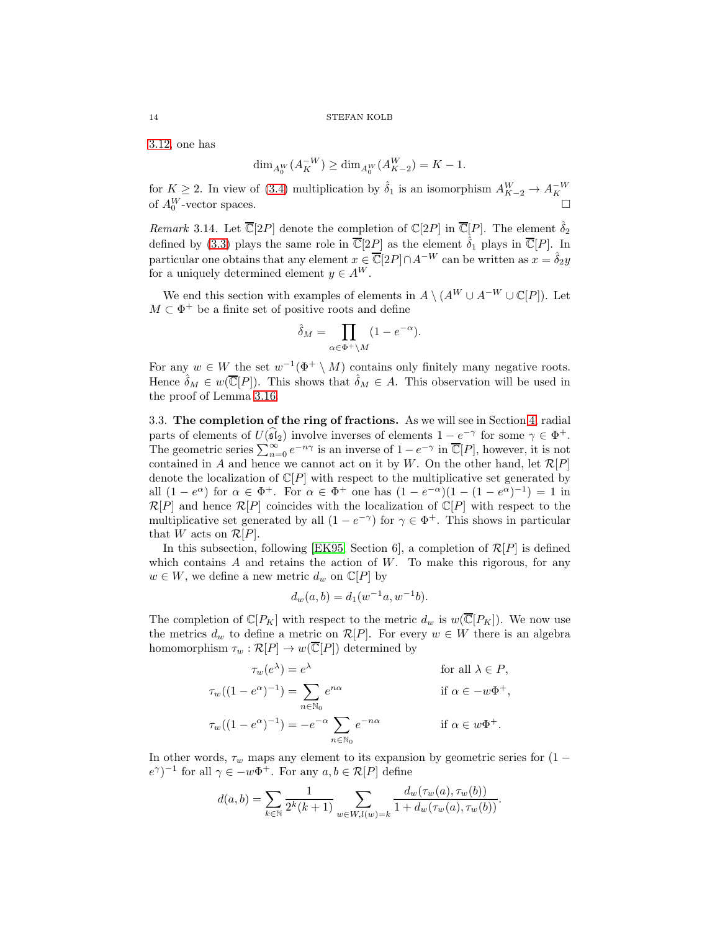[3.12,](#page-12-1) one has

$$
\dim_{A_0^W}(A_K^{-W}) \ge \dim_{A_0^W}(A_{K-2}^W) = K - 1.
$$

for  $K \ge 2$ . In view of [\(3.4\)](#page-12-2) multiplication by  $\hat{\delta}_1$  is an isomorphism  $A_{K-2}^W \to A_K^{-W}$  of  $A_0^W$ -vector spaces. of  $A_0^W$ 

<span id="page-13-1"></span>*Remark* 3.14. Let  $\overline{\mathbb{C}}[2P]$  denote the completion of  $\mathbb{C}[2P]$  in  $\overline{\mathbb{C}}[P]$ . The element  $\hat{\delta}_2$ defined by [\(3.3\)](#page-12-3) plays the same role in  $\overline{\mathbb{C}}[2P]$  as the element  $\hat{\delta}_1$  plays in  $\overline{\mathbb{C}}[P]$ . In particular one obtains that any element  $x \in \overline{\mathbb{C}}[2P] \cap A^{-W}$  can be written as  $x = \hat{\delta}_2 y$ for a uniquely determined element  $y \in A^W$ .

We end this section with examples of elements in  $A \setminus (A^W \cup A^{-W} \cup \mathbb{C}[P])$ . Let  $M \subset \Phi^+$  be a finite set of positive roots and define

$$
\hat{\delta}_M = \prod_{\alpha \in \Phi^+ \backslash M} (1 - e^{-\alpha}).
$$

For any  $w \in W$  the set  $w^{-1}(\Phi^+ \setminus M)$  contains only finitely many negative roots. Hence  $\hat{\delta}_M \in w(\overline{\mathbb{C}}[P])$ . This shows that  $\hat{\delta}_M \in A$ . This observation will be used in the proof of Lemma [3.16.](#page-14-0)

<span id="page-13-0"></span>3.3. The completion of the ring of fractions. As we will see in Section [4,](#page-18-0) radial parts of elements of  $U(\widehat{\mathfrak{sl}}_2)$  involve inverses of elements  $1 - e^{-\gamma}$  for some  $\gamma \in \Phi^+$ . The geometric series  $\sum_{n=0}^{\infty} e^{-n\gamma}$  is an inverse of  $1 - e^{-\gamma}$  in  $\overline{\mathbb{C}}[P]$ , however, it is not contained in A and hence we cannot act on it by W. On the other hand, let  $\mathcal{R}[P]$ denote the localization of  $\mathbb{C}[P]$  with respect to the multiplicative set generated by all  $(1-e^{\alpha})$  for  $\alpha \in \Phi^+$ . For  $\alpha \in \Phi^+$  one has  $(1-e^{-\alpha})(1-(1-e^{\alpha})^{-1})=1$  in  $\mathcal{R}[P]$  and hence  $\mathcal{R}[P]$  coincides with the localization of  $\mathbb{C}[P]$  with respect to the multiplicative set generated by all  $(1 - e^{-\gamma})$  for  $\gamma \in \Phi^+$ . This shows in particular that W acts on  $\mathcal{R}[P]$ .

In this subsection, following [\[EK95,](#page-35-4) Section 6], a completion of  $\mathcal{R}[P]$  is defined which contains  $A$  and retains the action of  $W$ . To make this rigorous, for any  $w \in W$ , we define a new metric  $d_w$  on  $\mathbb{C}[P]$  by

$$
d_w(a, b) = d_1(w^{-1}a, w^{-1}b).
$$

The completion of  $\mathbb{C}[P_K]$  with respect to the metric  $d_w$  is  $w(\overline{\mathbb{C}}[P_K])$ . We now use the metrics  $d_w$  to define a metric on  $\mathcal{R}[P]$ . For every  $w \in W$  there is an algebra homomorphism  $\tau_w : \mathcal{R}[P] \to w(\overline{\mathbb{C}}[P])$  determined by

$$
\tau_w(e^{\lambda}) = e^{\lambda} \quad \text{for all } \lambda \in P,
$$
  

$$
\tau_w((1 - e^{\alpha})^{-1}) = \sum_{n \in \mathbb{N}_0} e^{n\alpha} \quad \text{if } \alpha \in -w\Phi^+,
$$
  

$$
\tau_w((1 - e^{\alpha})^{-1}) = -e^{-\alpha} \sum_{n \in \mathbb{N}_0} e^{-n\alpha} \quad \text{if } \alpha \in w\Phi^+.
$$

In other words,  $\tau_w$  maps any element to its expansion by geometric series for (1 −  $(e^{\gamma})^{-1}$  for all  $\gamma \in -w\Phi^+$ . For any  $a, b \in \mathcal{R}[P]$  define

$$
d(a,b) = \sum_{k \in \mathbb{N}} \frac{1}{2^k (k+1)} \sum_{w \in W, l(w) = k} \frac{d_w(\tau_w(a), \tau_w(b))}{1 + d_w(\tau_w(a), \tau_w(b))}.
$$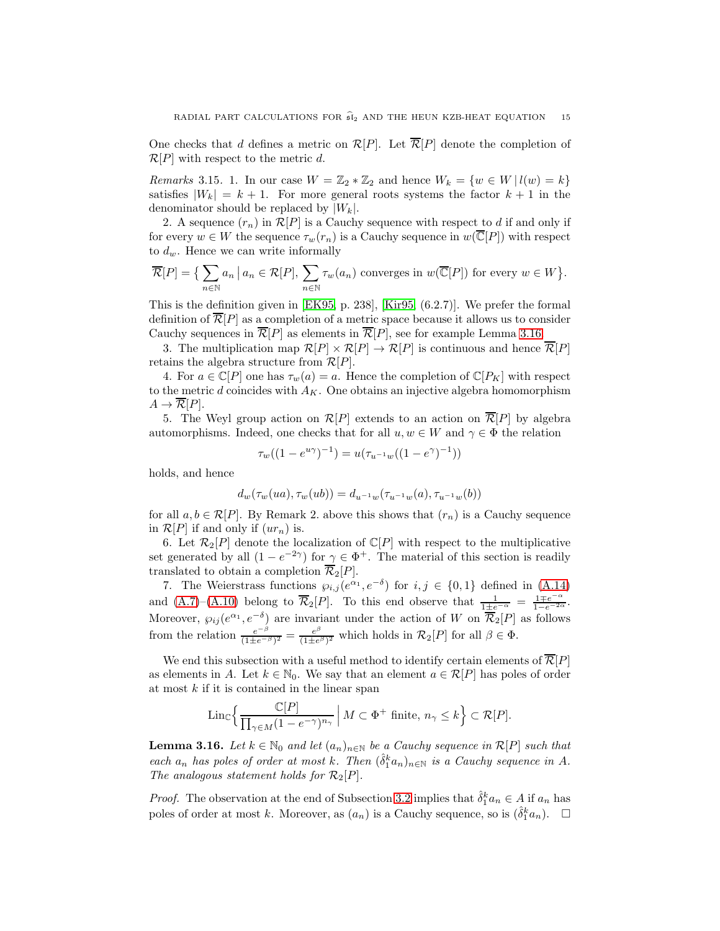One checks that d defines a metric on  $\mathcal{R}[P]$ . Let  $\overline{\mathcal{R}}[P]$  denote the completion of  $\mathcal{R}[P]$  with respect to the metric d.

<span id="page-14-1"></span>*Remarks* 3.15. 1. In our case  $W = \mathbb{Z}_2 * \mathbb{Z}_2$  and hence  $W_k = \{w \in W | l(w) = k\}$ satisfies  $|W_k| = k + 1$ . For more general roots systems the factor  $k + 1$  in the denominator should be replaced by  $|W_k|$ .

2. A sequence  $(r_n)$  in  $\mathcal{R}[P]$  is a Cauchy sequence with respect to d if and only if for every  $w \in W$  the sequence  $\tau_w(r_n)$  is a Cauchy sequence in  $w(\overline{\mathbb{C}}[P])$  with respect to  $d_w$ . Hence we can write informally

$$
\overline{\mathcal{R}}[P] = \left\{ \sum_{n \in \mathbb{N}} a_n \, \middle| \, a_n \in \mathcal{R}[P], \, \sum_{n \in \mathbb{N}} \tau_w(a_n) \text{ converges in } w(\overline{\mathbb{C}}[P]) \text{ for every } w \in W \right\}.
$$

This is the definition given in [\[EK95,](#page-35-4) p. 238], [\[Kir95,](#page-36-10) (6.2.7)]. We prefer the formal definition of  $\overline{\mathcal{R}}[P]$  as a completion of a metric space because it allows us to consider Cauchy sequences in  $\overline{\mathcal{R}}[P]$  as elements in  $\overline{\mathcal{R}}[P]$ , see for example Lemma [3.16.](#page-14-0)

3. The multiplication map  $\mathcal{R}[P] \times \mathcal{R}[P] \to \mathcal{R}[P]$  is continuous and hence  $\overline{\mathcal{R}}[P]$ retains the algebra structure from  $\mathcal{R}[P]$ .

4. For  $a \in \mathbb{C}[P]$  one has  $\tau_w(a) = a$ . Hence the completion of  $\mathbb{C}[P_K]$  with respect to the metric  $d$  coincides with  $A_K$ . One obtains an injective algebra homomorphism  $A \to \overline{\mathcal{R}}[P].$ 

5. The Weyl group action on  $\mathcal{R}[P]$  extends to an action on  $\overline{\mathcal{R}}[P]$  by algebra automorphisms. Indeed, one checks that for all  $u, w \in W$  and  $\gamma \in \Phi$  the relation

$$
\tau_w((1 - e^{u\gamma})^{-1}) = u(\tau_{u^{-1}w}((1 - e^{\gamma})^{-1}))
$$

holds, and hence

$$
d_w(\tau_w(ua), \tau_w(ub)) = d_{u^{-1}w}(\tau_{u^{-1}w}(a), \tau_{u^{-1}w}(b))
$$

for all  $a, b \in \mathcal{R}[P]$ . By Remark 2. above this shows that  $(r_n)$  is a Cauchy sequence in  $\mathcal{R}[P]$  if and only if  $(ur_n)$  is.

6. Let  $\mathcal{R}_2[P]$  denote the localization of  $\mathbb{C}[P]$  with respect to the multiplicative set generated by all  $(1 - e^{-2\gamma})$  for  $\gamma \in \Phi^+$ . The material of this section is readily translated to obtain a completion  $\overline{\mathcal{R}}_2[P]$ .

7. The Weierstrass functions  $\varphi_{i,j}(e^{\alpha_1}, e^{-\delta})$  for  $i, j \in \{0, 1\}$  defined in [\(A.14\)](#page-35-13) and [\(A.7\)](#page-34-0)–[\(A.10\)](#page-34-1) belong to  $\overline{\mathcal{R}}_2[P]$ . To this end observe that  $\frac{1}{1\pm e^{-\alpha}} = \frac{1\mp e^{-\alpha}}{1-e^{-2\alpha}}$ . Moreover,  $\wp_{ij}(e^{\alpha_1}, e^{-\delta})$  are invariant under the action of W on  $\overline{\mathcal{R}}_2[P]$  as follows from the relation  $\frac{e^{-\beta}}{(1+e^{-\beta})}$  $\frac{e^{-\beta}}{(1\pm e^{-\beta})^2} = \frac{e^{\beta}}{(1\pm e^{-\beta})^2}$  $\frac{e^{\varphi}}{(1\pm e^{\beta})^2}$  which holds in  $\mathcal{R}_2[P]$  for all  $\beta \in \Phi$ .

We end this subsection with a useful method to identify certain elements of  $\mathcal{R}[P]$ as elements in A. Let  $k \in \mathbb{N}_0$ . We say that an element  $a \in \mathcal{R}[P]$  has poles of order at most  $k$  if it is contained in the linear span

$$
\mathrm{Lin}_{\mathbb{C}}\Big\{\frac{\mathbb{C}[P]}{\prod_{\gamma \in M} (1-e^{-\gamma})^{n_\gamma}} \, \Big\vert \, M \subset \Phi^+ \text{ finite, } n_\gamma \leq k \Big\} \subset \mathcal{R}[P].
$$

<span id="page-14-0"></span>**Lemma 3.16.** Let  $k \in \mathbb{N}_0$  and let  $(a_n)_{n \in \mathbb{N}}$  be a Cauchy sequence in  $\mathcal{R}[P]$  such that each  $a_n$  has poles of order at most k. Then  $(\hat{\delta}_1^k a_n)_{n \in \mathbb{N}}$  is a Cauchy sequence in A. The analogous statement holds for  $\mathcal{R}_2[P]$ .

*Proof.* The observation at the end of Subsection [3.2](#page-10-0) implies that  $\hat{\delta}_1^k a_n \in A$  if  $a_n$  has poles of order at most k. Moreover, as  $(a_n)$  is a Cauchy sequence, so is  $(\hat{\delta}_1^k a_n)$ .  $\Box$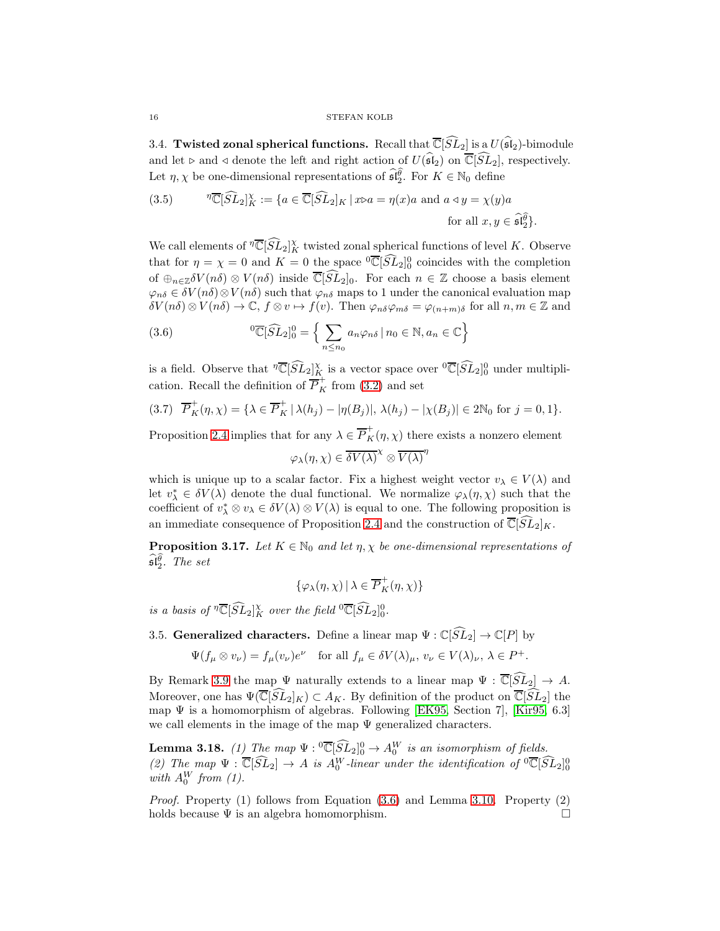<span id="page-15-1"></span>3.4. Twisted zonal spherical functions. Recall that  $\overline{\mathbb{C}}[\widehat{SL}_2]$  is a  $U(\widehat{\mathfrak{sl}}_2)$ -bimodule and let ⊳ and ⊲ denote the left and right action of  $U(\widehat{\mathfrak{sl}}_2)$  on  $\overline{\mathbb{C}}[\widehat{SL}_2]$ , respectively. Let  $\eta, \chi$  be one-dimensional representations of  $\widehat{\mathfrak{sl}_2^{\theta}}$ . For  $K \in \mathbb{N}_0$  define

<span id="page-15-0"></span>(3.5) 
$$
\eta \overline{\mathbb{C}}[\widehat{SL}_2]_K^{\chi} := \{ a \in \overline{\mathbb{C}}[\widehat{SL}_2]_K \mid x \triangleright a = \eta(x)a \text{ and } a \triangleleft y = \chi(y)a \text{ for all } x, y \in \widehat{\mathfrak{sl}}_2^{\widehat{\theta}} \}.
$$

We call elements of  $\sqrt[n]{\mathbb{C}}[\widehat{SL}_2]_K^{\chi}$  twisted zonal spherical functions of level K. Observe that for  $\eta = \chi = 0$  and  $K = 0$  the space  ${}^{0} \overline{\mathbb{C}}[\widehat{SL}_{2}]_{0}^{0}$  coincides with the completion of  $\bigoplus_{n\in\mathbb{Z}} \delta V(n\delta) \otimes V(n\delta)$  inside  $\overline{\mathbb{C}}[\widehat{SL}_2]_0$ . For each  $n \in \mathbb{Z}$  choose a basis element  $\varphi_{n\delta} \in \delta V(n\delta) \otimes V(n\delta)$  such that  $\varphi_{n\delta}$  maps to 1 under the canonical evaluation map  $\delta V(n\delta) \otimes V(n\delta) \to \mathbb{C}, f \otimes v \mapsto f(v)$ . Then  $\varphi_{n\delta} \varphi_{m\delta} = \varphi_{(n+m)\delta}$  for all  $n, m \in \mathbb{Z}$  and

<span id="page-15-3"></span>(3.6) 
$$
{}^{0}\overline{\mathbb{C}}[\widehat{SL}_{2}]_{0}^{0} = \left\{ \sum_{n \leq n_{0}} a_{n} \varphi_{n\delta} \, | \, n_{0} \in \mathbb{N}, a_{n} \in \mathbb{C} \right\}
$$

is a field. Observe that  $\sqrt[n]{\mathbb{C}}[\widehat{SL}_2]_K^{\chi}$  is a vector space over  $\sqrt[0]{\mathbb{C}}[\widehat{SL}_2]_0^0$  under multiplication. Recall the definition of  $\overline{P}_K^+$  from [\(3.2\)](#page-12-4) and set

<span id="page-15-4"></span>
$$
(3.7) \quad \overline{P}_K^+(\eta,\chi) = \{\lambda \in \overline{P}_K^+ \mid \lambda(h_j) - |\eta(B_j)|, \lambda(h_j) - |\chi(B_j)| \in 2\mathbb{N}_0 \text{ for } j = 0,1\}.
$$

Proposition [2.4](#page-6-0) implies that for any  $\lambda \in \overline{P}_K^+(\eta, \chi)$  there exists a nonzero element

 $\varphi_\lambda(\eta,\chi)\in \overline{\delta V(\lambda)}^\chi\otimes\overline{V(\lambda)}^\eta$ 

which is unique up to a scalar factor. Fix a highest weight vector  $v_{\lambda} \in V(\lambda)$  and let  $v^*_{\lambda} \in \delta V(\lambda)$  denote the dual functional. We normalize  $\varphi_{\lambda}(\eta, \chi)$  such that the coefficient of  $v^*_{\lambda} \otimes v_{\lambda} \in \delta V(\lambda) \otimes V(\lambda)$  is equal to one. The following proposition is an immediate consequence of Proposition [2.4](#page-6-0) and the construction of  $\overline{\mathbb{C}}[SL_2]_K$ .

<span id="page-15-6"></span>**Proposition 3.17.** Let  $K \in \mathbb{N}_0$  and let  $\eta, \chi$  be one-dimensional representations of  $\widehat{\mathfrak{sl}_2^{\theta}}$ . The set

$$
\{\varphi_\lambda(\eta,\chi)\,|\,\lambda\in\overline{P}^+_K(\eta,\chi)\}
$$

is a basis of  $\sqrt[n]{\mathbb{C}}[\widehat{SL}_2]_K^{\chi}$  over the field  $\sqrt[n]{\mathbb{C}}[\widehat{SL}_2]_0^0$ .

<span id="page-15-2"></span>3.5. Generalized characters. Define a linear map  $\Psi : \mathbb{C}[\widehat{SL}_2] \to \mathbb{C}[P]$  by

$$
\Psi(f_{\mu} \otimes v_{\nu}) = f_{\mu}(v_{\nu})e^{\nu} \quad \text{for all } f_{\mu} \in \delta V(\lambda)_{\mu}, \, v_{\nu} \in V(\lambda)_{\nu}, \, \lambda \in P^{+}.
$$

By Remark [3.9](#page-11-0) the map  $\Psi$  naturally extends to a linear map  $\Psi : \overline{\mathbb{C}}[\widehat{SL}_2] \to A$ . Moreover, one has  $\Psi(\overline{\mathbb{C}}[\widetilde{SL}_2]_K) \subset A_K$ . By definition of the product on  $\overline{\mathbb{C}}[\widetilde{SL}_2]$  the map  $\Psi$  is a homomorphism of algebras. Following [\[EK95,](#page-35-4) Section 7], [\[Kir95,](#page-36-10) 6.3] we call elements in the image of the map  $\Psi$  generalized characters.

<span id="page-15-5"></span>**Lemma 3.18.** (1) The map  $\Psi: {}^0\overline{\mathbb{C}}[\widehat{SL}_2]_0^0 \to A_0^W$  is an isomorphism of fields. (2) The map  $\Psi : \overline{\mathbb{C}}[\widehat{SL}_2] \to A$  is  $A_0^W$ -linear under the identification of  ${}^0\overline{\mathbb{C}}[\widehat{SL}_2]_0^0$ with  $A_0^W$  from (1).

*Proof.* Property (1) follows from Equation  $(3.6)$  and Lemma [3.10.](#page-11-1) Property  $(2)$ holds because  $\Psi$  is an algebra homomorphism.  $\square$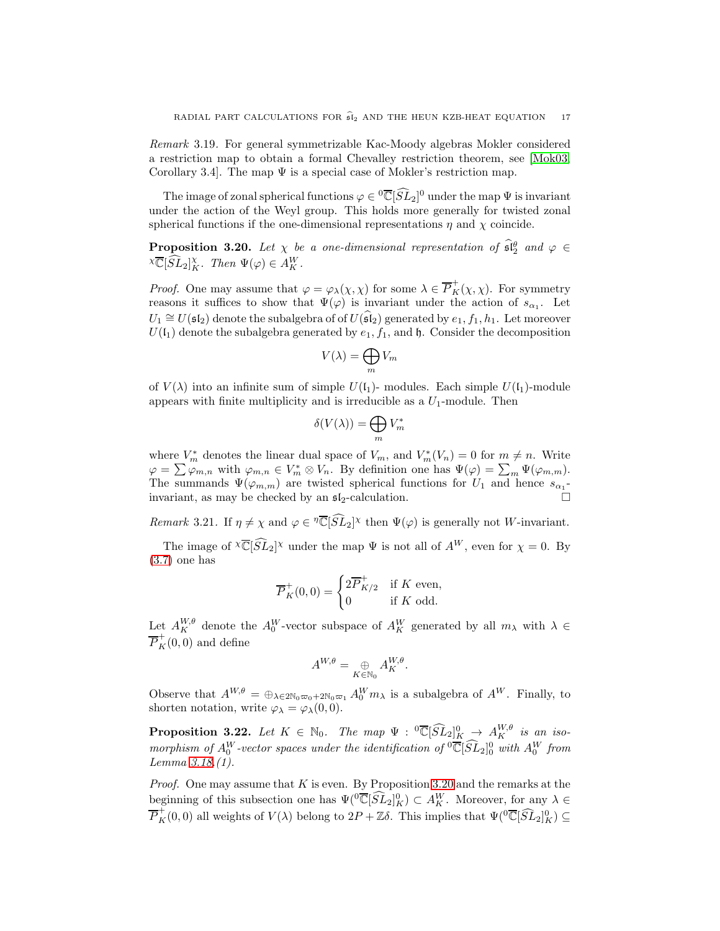Remark 3.19. For general symmetrizable Kac-Moody algebras Mokler considered a restriction map to obtain a formal Chevalley restriction theorem, see [\[Mok03,](#page-36-26) Corollary 3.4. The map  $\Psi$  is a special case of Mokler's restriction map.

The image of zonal spherical functions  $\varphi \in {}^0\overline{\mathbb{C}}[\widehat{SL}_2]^0$  under the map  $\Psi$  is invariant under the action of the Weyl group. This holds more generally for twisted zonal spherical functions if the one-dimensional representations  $\eta$  and  $\chi$  coincide.

<span id="page-16-0"></span>**Proposition 3.20.** Let  $\chi$  be a one-dimensional representation of  $\hat{\mathfrak{sl}}_2^{\theta}$  and  $\varphi \in$  $\chi \overline{\mathbb{C}}[\widehat{SL}_2]_K^{\chi}$ . Then  $\Psi(\varphi) \in A_K^W$ .

*Proof.* One may assume that  $\varphi = \varphi_\lambda(\chi, \chi)$  for some  $\lambda \in \overline{P}_K^+(\chi, \chi)$ . For symmetry reasons it suffices to show that  $\Psi(\varphi)$  is invariant under the action of  $s_{\alpha_1}$ . Let  $U_1 \cong U(\mathfrak{sl}_2)$  denote the subalgebra of of  $U(\widehat{\mathfrak{sl}}_2)$  generated by  $e_1, f_1, h_1$ . Let moreover  $U(\mathfrak{l}_1)$  denote the subalgebra generated by  $e_1, f_1$ , and  $\mathfrak{h}$ . Consider the decomposition

$$
V(\lambda) = \bigoplus_m V_m
$$

of  $V(\lambda)$  into an infinite sum of simple  $U(1)$ - modules. Each simple  $U(1)$ -module appears with finite multiplicity and is irreducible as a  $U_1$ -module. Then

$$
\delta(V(\lambda))=\bigoplus_m V_m^*
$$

where  $V_m^*$  denotes the linear dual space of  $V_m$ , and  $V_m^*(V_n) = 0$  for  $m \neq n$ . Write  $\varphi = \sum \varphi_{m,n}$  with  $\varphi_{m,n} \in V_m^* \otimes V_n$ . By definition one has  $\Psi(\varphi) = \sum_m \Psi(\varphi_{m,m})$ . The summands  $\Psi(\varphi_{m,m})$  are twisted spherical functions for  $U_1$  and hence  $s_{\alpha_1}$ invariant, as may be checked by an  $\mathfrak{sl}_2$ -calculation.

<span id="page-16-1"></span>Remark 3.21. If  $\eta \neq \chi$  and  $\varphi \in \overline{\mathbb{C}}[\widehat{SL}_2]^{\chi}$  then  $\Psi(\varphi)$  is generally not W-invariant.

The image of  $\sqrt[\chi]{\mathbb{C}}[\widehat{SL}_2]^{\chi}$  under the map  $\Psi$  is not all of  $A^W$ , even for  $\chi = 0$ . By [\(3.7\)](#page-15-4) one has

$$
\overline{P}_K^+(0,0) = \begin{cases} 2\overline{P}_{K/2}^+ & \text{if } K \text{ even,} \\ 0 & \text{if } K \text{ odd.} \end{cases}
$$

Let  $A_K^{W,\theta}$  denote the  $A_0^W$ -vector subspace of  $A_K^W$  generated by all  $m_\lambda$  with  $\lambda \in$  $\overline{P}_K^+(0,0)$  and define

$$
A^{W,\theta} = \bigoplus_{K \in \mathbb{N}_0} A^{W,\theta}_K.
$$

Observe that  $A^{W,\theta} = \bigoplus_{\lambda \in 2\mathbb{N}_0} \infty_{0+2\mathbb{N}_0} A_0^W m_\lambda$  is a subalgebra of  $A^W$ . Finally, to shorten notation, write  $\varphi_{\lambda} = \varphi_{\lambda}(0, 0)$ .

**Proposition 3.22.** Let  $K \in \mathbb{N}_0$ . The map  $\Psi : {}^0\overline{\mathbb{C}}[\widehat{SL}_2]_K^0 \to A_K^{W,\theta}$  is an isomorphism of  $A_0^W$ -vector spaces under the identification of  ${}^0\overline{\mathbb{C}}[\widehat{SL}_2]_0^0$  with  $A_0^W$  from Lemma [3.18.](#page-15-5)(1).

*Proof.* One may assume that K is even. By Proposition [3.20](#page-16-0) and the remarks at the beginning of this subsection one has  $\Psi({}^0\overline{\mathbb{C}}[\widehat{SL}_2]_K^0) \subset A_K^W$ . Moreover, for any  $\lambda \in$  $\overline{P}_K^+(0,0)$  all weights of  $V(\lambda)$  belong to  $2P + \mathbb{Z}\delta$ . This implies that  $\Psi({}^0\overline{\mathbb{C}}[\widehat{SL}_2]_K^0) \subseteq$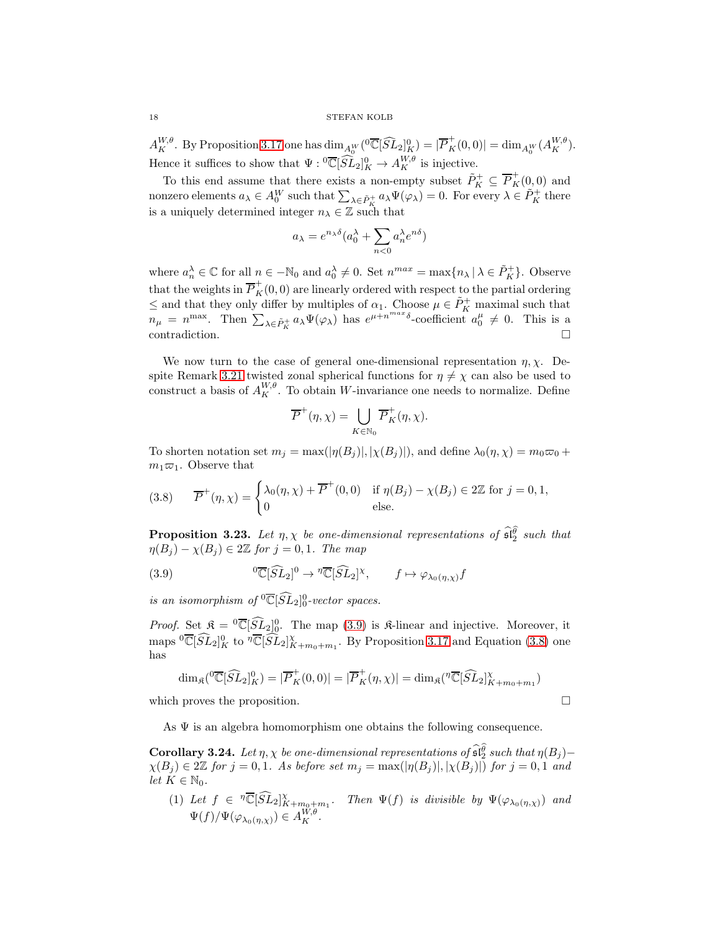18 STEFAN KOLB

 $A_K^{W,\theta}$ . By Proposition [3.17](#page-15-6) one has  $\dim_{A_0^W}({}^0\overline{\mathbb{C}}[\widehat{SL}_2]_K^0) = |\overline{P}_K^+(0,0)| = \dim_{A_0^W}(A_K^{W,\theta}).$ Hence it suffices to show that  $\Psi: {}^0\overline{\mathbb{C}}[\widehat{SL}_2]_K^0 \to A_K^{W,\theta}$  is injective.

To this end assume that there exists a non-empty subset  $\tilde{P}_K^+ \subseteq \overline{P}_K^+(0,0)$  and nonzero elements  $a_\lambda \in A_0^W$  such that  $\sum_{\lambda \in \tilde{P}_K^+} a_\lambda \Psi(\varphi_\lambda) = 0$ . For every  $\lambda \in \tilde{P}_K^+$  there is a uniquely determined integer  $n_{\lambda} \in \mathbb{Z}$  such that

$$
a_{\lambda} = e^{n_{\lambda}\delta}(a_0^{\lambda} + \sum_{n<0} a_n^{\lambda} e^{n\delta})
$$

where  $a_n^{\lambda} \in \mathbb{C}$  for all  $n \in -\mathbb{N}_0$  and  $a_0^{\lambda} \neq 0$ . Set  $n^{max} = \max\{n_{\lambda} | \lambda \in \tilde{P}_K^+\}$ . Observe that the weights in  $\overline{P}_K^+(0,0)$  are linearly ordered with respect to the partial ordering  $\leq$  and that they only differ by multiples of  $\alpha_1$ . Choose  $\mu \in \tilde{P}_K^+$  maximal such that  $n_{\mu} = n^{\max}$ . Then  $\sum_{\lambda \in \tilde{P}_K^+} a_{\lambda} \Psi(\varphi_{\lambda})$  has  $e^{\mu + n^{\max} \delta}$ -coefficient  $a_0^{\mu} \neq 0$ . This is a contradiction.  $\Box$ 

We now turn to the case of general one-dimensional representation  $\eta$ ,  $\chi$ . De-spite Remark [3.21](#page-16-1) twisted zonal spherical functions for  $\eta \neq \chi$  can also be used to construct a basis of  $A_K^{W,\theta}$ . To obtain W-invariance one needs to normalize. Define

$$
\overline{P}^+(\eta,\chi)=\bigcup_{K\in\mathbb{N}_0}\overline{P}_K^+(\eta,\chi).
$$

To shorten notation set  $m_j = \max(|\eta(B_j)|, |\chi(B_j)|)$ , and define  $\lambda_0(\eta, \chi) = m_0 \varpi_0 +$  $m_1\varpi_1$ . Observe that

<span id="page-17-2"></span>(3.8) 
$$
\overline{P}^+(\eta, \chi) = \begin{cases} \lambda_0(\eta, \chi) + \overline{P}^+(0,0) & \text{if } \eta(B_j) - \chi(B_j) \in 2\mathbb{Z} \text{ for } j = 0,1, \\ 0 & \text{else.} \end{cases}
$$

**Proposition 3.23.** Let  $\eta$ ,  $\chi$  be one-dimensional representations of  $\widehat{\mathfrak{sl}}_2^{\widehat{\theta}}$  such that  $\eta(B_j) - \chi(B_j) \in 2\mathbb{Z}$  for  $j = 0, 1$ . The map

<span id="page-17-1"></span>(3.9) 
$$
{}^{0}\overline{\mathbb{C}}[\widehat{SL}_{2}]^{0} \to {}^{7}\overline{\mathbb{C}}[\widehat{SL}_{2}]^{\chi}, \qquad f \mapsto \varphi_{\lambda_{0}(\eta,\chi)}f
$$

is an isomorphism of  ${}^{0}\overline{\mathbb{C}}[\widehat{SL}_{2}]_{0}^{0}\text{-vector spaces.}$ 

*Proof.* Set  $\mathfrak{K} = {}^0\overline{\mathbb{C}}[\widehat{SL}_2]_0^0$ . The map [\(3.9\)](#page-17-1) is  $\mathfrak{K}$ -linear and injective. Moreover, it maps  ${}^{0}\overline{\mathbb{C}}[\widehat{SL}_{2}]^0_K$  to  ${}^{7}\overline{\mathbb{C}}[\widehat{SL}_{2}]^{\chi}_{K+m_0+m_1}$ . By Proposition [3.17](#page-15-6) and Equation [\(3.8\)](#page-17-2) one has

$$
\dim_{\mathfrak{K}}({}^0\overline{\mathbb{C}}[\widehat{SL}_2]_K^0) = |\overline{P}_K^+(0,0)| = |\overline{P}_K^+(\eta,\chi)| = \dim_{\mathfrak{K}}({}^{\eta}\overline{\mathbb{C}}[\widehat{SL}_2]_{K+m_0+m_1}^{\chi})
$$

which proves the proposition.

As  $\Psi$  is an algebra homomorphism one obtains the following consequence.

<span id="page-17-0"></span>Corollary 3.24. Let  $\eta$ ,  $\chi$  be one-dimensional representations of  $\widehat{\mathfrak{sl}}_2^{\widehat{\theta}}$  such that  $\eta(B_j)$ - $\chi(B_j) \in 2\mathbb{Z}$  for  $j = 0, 1$ . As before set  $m_j = \max(|\eta(B_j)|, |\chi(B_j)|)$  for  $j = 0, 1$  and let  $K \in \mathbb{N}_0$ .

(1) Let  $f \in \mathbb{T}[\widehat{SL}_2]_{K+m_0+m_1}^{\chi}$ . Then  $\Psi(f)$  is divisible by  $\Psi(\varphi_{\lambda_0(\eta,\chi)})$  and  $\Psi(f)/\Psi(\varphi_{\lambda_0(\eta,\chi)}) \in A_K^{W,\theta}.$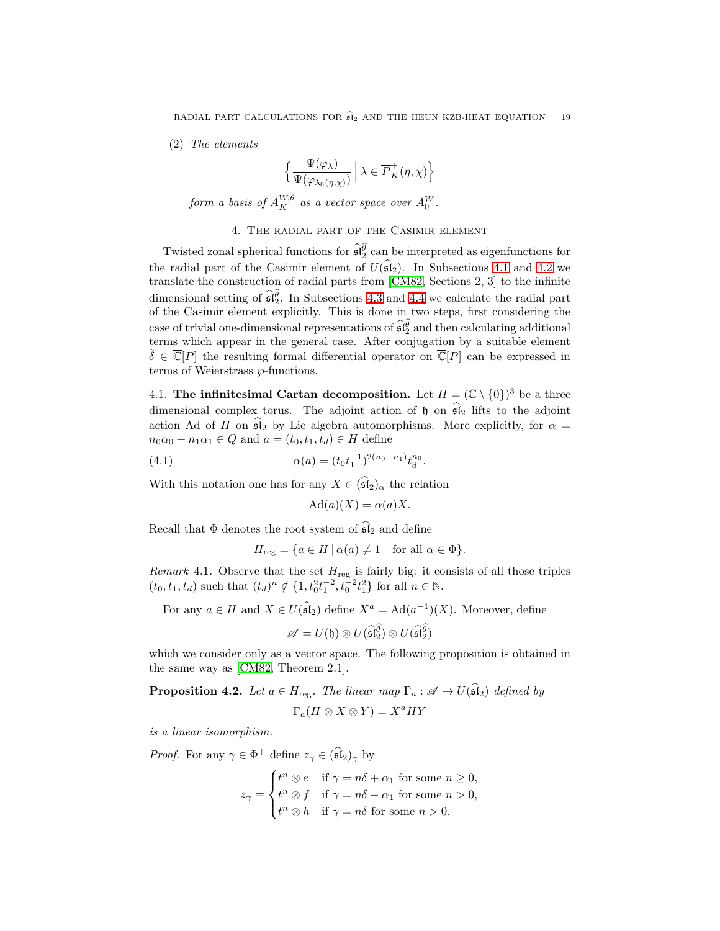(2) The elements

$$
\Big\{\frac{\Psi(\varphi_{\lambda})}{\Psi(\varphi_{\lambda_0(\eta,\chi)})}\,\Big|\,\lambda\in \overline{P}^+_K(\eta,\chi)\Big\}
$$

form a basis of  $A^{W,\theta}_K$  as a vector space over  $A^W_0$ .

# 4. The radial part of the Casimir element

<span id="page-18-0"></span>Twisted zonal spherical functions for  $\widehat{\mathfrak{sl}_2^{\theta}}$  can be interpreted as eigenfunctions for the radial part of the Casimir element of  $U(\widehat{\mathfrak{sl}}_2)$ . In Subsections [4.1](#page-18-1) and [4.2](#page-19-0) we translate the construction of radial parts from [\[CM82,](#page-35-8) Sections 2, 3] to the infinite dimensional setting of  $\widehat{\mathfrak{sl}_2^{\theta}}$ . In Subsections [4.3](#page-21-0) and [4.4](#page-25-0) we calculate the radial part of the Casimir element explicitly. This is done in two steps, first considering the case of trivial one-dimensional representations of  $\widehat{\mathfrak{sl}}_2^{\widehat{\theta}}$  and then calculating additional terms which appear in the general case. After conjugation by a suitable element  $\delta \in \overline{\mathbb{C}}[P]$  the resulting formal differential operator on  $\overline{\mathbb{C}}[P]$  can be expressed in terms of Weierstrass  $\wp$ -functions.

<span id="page-18-1"></span>4.1. The infinitesimal Cartan decomposition. Let  $H = (\mathbb{C} \setminus \{0\})^3$  be a three dimensional complex torus. The adjoint action of  $\mathfrak h$  on  $\widehat{\mathfrak{sl}}_2$  lifts to the adjoint action Ad of H on  $\mathfrak{sl}_2$  by Lie algebra automorphisms. More explicitly, for  $\alpha =$  $n_0\alpha_0 + n_1\alpha_1 \in Q$  and  $a = (t_0, t_1, t_d) \in H$  define

<span id="page-18-2"></span>(4.1) 
$$
\alpha(a) = (t_0 t_1^{-1})^{2(n_0 - n_1)} t_d^{n_0}.
$$

With this notation one has for any  $X \in (\widehat{\mathfrak{sl}}_2)_{\alpha}$  the relation

$$
\mathrm{Ad}(a)(X) = \alpha(a)X.
$$

Recall that  $\Phi$  denotes the root system of  $\widehat{\mathfrak{sl}}_2$  and define

$$
H_{\text{reg}} = \{ a \in H \, | \, \alpha(a) \neq 1 \quad \text{for all } \alpha \in \Phi \}.
$$

<span id="page-18-3"></span>*Remark* 4.1. Observe that the set  $H_{reg}$  is fairly big: it consists of all those triples  $(t_0, t_1, t_d)$  such that  $(t_d)^n \notin \{1, t_0^2 t_1^{-2}, t_0^{-2} t_1^2\}$  for all  $n \in \mathbb{N}$ .

For any  $a \in H$  and  $X \in U(\mathfrak{sl}_2)$  define  $X^a = \text{Ad}(a^{-1})(X)$ . Moreover, define

$$
\mathscr{A}=U(\mathfrak{h})\otimes U(\widehat{\mathfrak{sl}}_2^{\widehat{\theta}})\otimes U(\widehat{\mathfrak{sl}}_2^{\widehat{\theta}})
$$

which we consider only as a vector space. The following proposition is obtained in the same way as [\[CM82,](#page-35-8) Theorem 2.1].

<span id="page-18-4"></span>**Proposition 4.2.** Let  $a \in H_{\text{reg}}$ . The linear map  $\Gamma_a : \mathscr{A} \to U(\widehat{\mathfrak{sl}}_2)$  defined by

$$
\Gamma_a(H \otimes X \otimes Y) = X^a H Y
$$

is a linear isomorphism.

*Proof.* For any  $\gamma \in \Phi^+$  define  $z_{\gamma} \in (\widehat{\mathfrak{sl}}_2)_{\gamma}$  by

$$
z_{\gamma} = \begin{cases} t^n \otimes e & \text{if } \gamma = n\delta + \alpha_1 \text{ for some } n \ge 0, \\ t^n \otimes f & \text{if } \gamma = n\delta - \alpha_1 \text{ for some } n > 0, \\ t^n \otimes h & \text{if } \gamma = n\delta \text{ for some } n > 0. \end{cases}
$$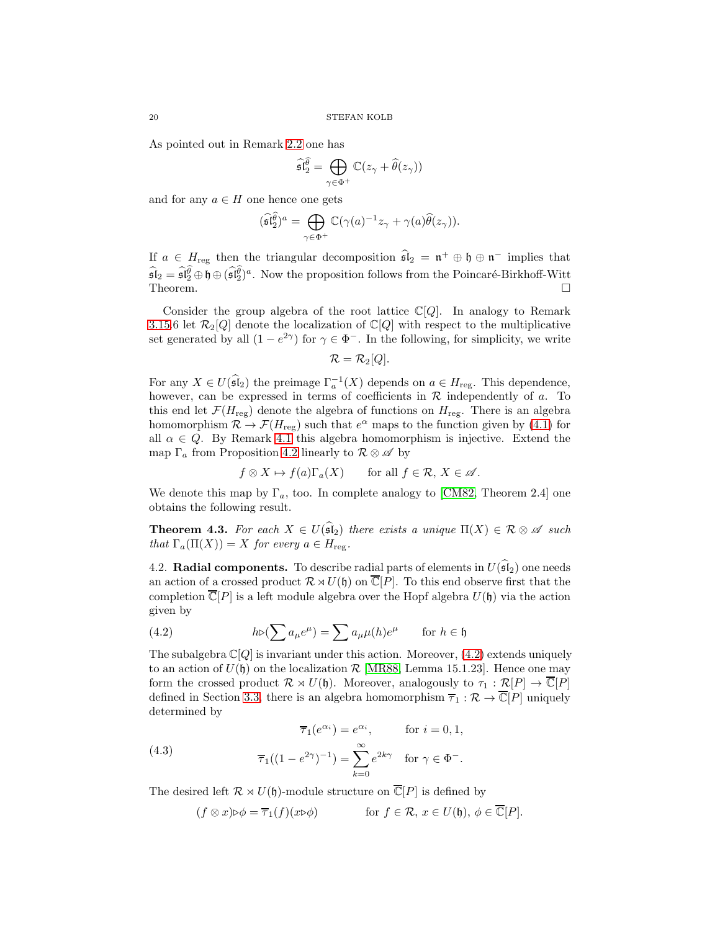As pointed out in Remark [2.2](#page-4-3) one has

$$
\widehat{\mathfrak{sl}}_2^{\widehat{\theta}} = \bigoplus_{\gamma \in \Phi^+} \mathbb{C}(z_{\gamma} + \widehat{\theta}(z_{\gamma}))
$$

and for any  $a \in H$  one hence one gets

$$
(\widehat{\mathfrak{sl}}_2^{\widehat{\theta}})^a = \bigoplus_{\gamma \in \Phi^+} \mathbb{C}(\gamma(a)^{-1} z_{\gamma} + \gamma(a) \widehat{\theta}(z_{\gamma})).
$$

If  $a \in H_{\text{reg}}$  then the triangular decomposition  $\mathfrak{sl}_2 = \mathfrak{n}^+ \oplus \mathfrak{h} \oplus \mathfrak{n}^-$  implies that  $\widehat{\mathfrak{sl}}_2 = \widehat{\mathfrak{sl}}_2^0 \oplus \mathfrak{h} \oplus (\widehat{\mathfrak{sl}}_2^0)^a$ . Now the proposition follows from the Poincaré-Birkhoff-Witt Theorem.  $\Box$ 

Consider the group algebra of the root lattice  $\mathbb{C}[Q]$ . In analogy to Remark [3.15.](#page-14-1)6 let  $\mathcal{R}_2[Q]$  denote the localization of  $\mathbb{C}[Q]$  with respect to the multiplicative set generated by all  $(1 - e^{2\gamma})$  for  $\gamma \in \Phi^-$ . In the following, for simplicity, we write

$$
\mathcal{R}=\mathcal{R}_2[Q].
$$

For any  $X \in U(\widehat{\mathfrak{sl}}_2)$  the preimage  $\Gamma_a^{-1}(X)$  depends on  $a \in H_{\text{reg}}$ . This dependence, however, can be expressed in terms of coefficients in  $R$  independently of a. To this end let  $\mathcal{F}(H_{\text{reg}})$  denote the algebra of functions on  $H_{\text{reg}}$ . There is an algebra homomorphism  $\mathcal{R} \to \mathcal{F}(H_{\text{reg}})$  such that  $e^{\alpha}$  maps to the function given by [\(4.1\)](#page-18-2) for all  $\alpha \in Q$ . By Remark [4.1](#page-18-3) this algebra homomorphism is injective. Extend the map  $\Gamma_a$  from Proposition [4.2](#page-18-4) linearly to  $\mathcal{R} \otimes \mathcal{A}$  by

$$
f \otimes X \mapsto f(a)\Gamma_a(X)
$$
 for all  $f \in \mathcal{R}, X \in \mathcal{A}$ .

We denote this map by  $\Gamma_a$ , too. In complete analogy to [\[CM82,](#page-35-8) Theorem 2.4] one obtains the following result.

<span id="page-19-2"></span>**Theorem 4.3.** For each  $X \in U(\widehat{\mathfrak{sl}}_2)$  there exists a unique  $\Pi(X) \in \mathcal{R} \otimes \mathcal{A}$  such that  $\Gamma_a(\Pi(X)) = X$  for every  $a \in H_{\text{reg}}$ .

<span id="page-19-0"></span>4.2. Radial components. To describe radial parts of elements in  $U(\widehat{\mathfrak{sl}}_2)$  one needs an action of a crossed product  $\mathcal{R} \rtimes U(\mathfrak{h})$  on  $\overline{\mathbb{C}}[P]$ . To this end observe first that the completion  $\overline{\mathbb{C}}[P]$  is a left module algebra over the Hopf algebra  $U(\mathfrak{h})$  via the action given by

<span id="page-19-1"></span>(4.2) 
$$
h \triangleright (\sum a_{\mu} e^{\mu}) = \sum a_{\mu} \mu(h) e^{\mu} \quad \text{for } h \in \mathfrak{h}
$$

The subalgebra  $\mathbb{C}[Q]$  is invariant under this action. Moreover, [\(4.2\)](#page-19-1) extends uniquely to an action of  $U(\mathfrak{h})$  on the localization  $\mathcal{R}$  [\[MR88,](#page-36-27) Lemma 15.1.23]. Hence one may form the crossed product  $\mathcal{R} \rtimes U(\mathfrak{h})$ . Moreover, analogously to  $\tau_1 : \mathcal{R}[P] \to \overline{\mathbb{C}}[P]$ defined in Section [3.3,](#page-13-0) there is an algebra homomorphism  $\overline{\tau}_1 : \mathcal{R} \to \overline{\mathbb{C}}[P]$  uniquely determined by

<span id="page-19-3"></span>
$$
\overline{\tau}_1(e^{\alpha_i}) = e^{\alpha_i}, \qquad \text{for } i = 0, 1,
$$

(4.3) 
$$
\overline{\tau}_1((1 - e^{2\gamma})^{-1}) = \sum_{k=0}^{\infty} e^{2k\gamma} \text{ for } \gamma \in \Phi^-.
$$

The desired left  $\mathcal{R} \rtimes U(\mathfrak{h})$ -module structure on  $\overline{\mathbb{C}}[P]$  is defined by

$$
(f \otimes x) \triangleright \phi = \overline{\tau}_1(f)(x \triangleright \phi)
$$
 for  $f \in \mathcal{R}$ ,  $x \in U(\mathfrak{h})$ ,  $\phi \in \overline{\mathbb{C}}[P]$ .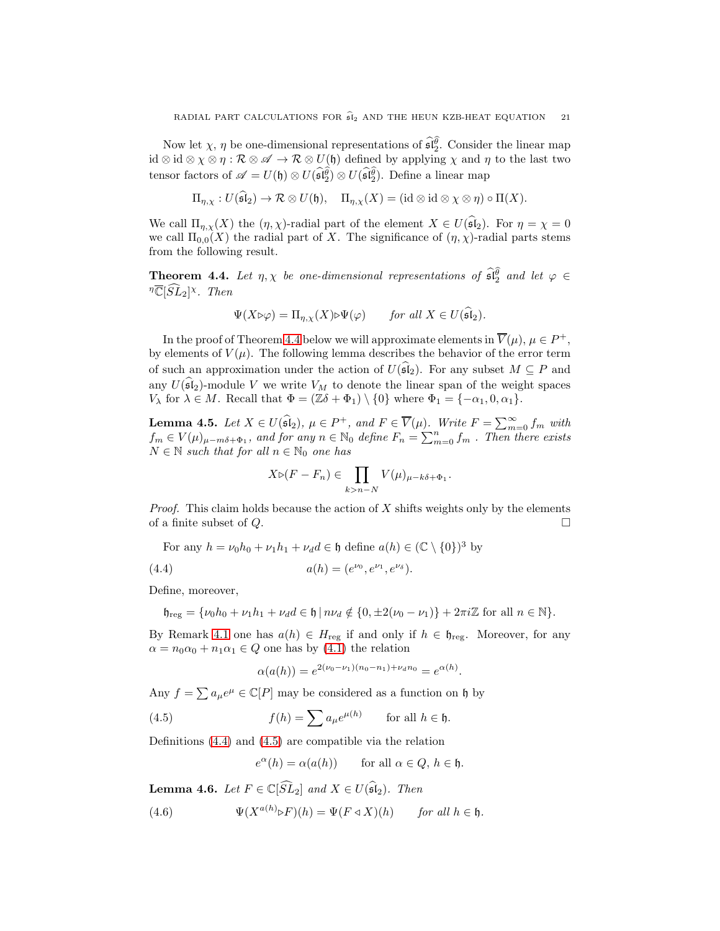Now let  $\chi$ ,  $\eta$  be one-dimensional representations of  $\widehat{\mathfrak{sl}_2^{\theta}}$ . Consider the linear map id ⊗ id ⊗  $\chi \otimes \eta : \mathcal{R} \otimes \mathscr{A} \to \mathcal{R} \otimes U(\mathfrak{h})$  defined by applying  $\chi$  and  $\eta$  to the last two tensor factors of  $\mathscr{A} = U(\mathfrak{h}) \otimes U(\widehat{\mathfrak{sl}_2^{\theta}}) \otimes U(\widehat{\mathfrak{sl}_2^{\theta}})$ . Define a linear map

$$
\Pi_{\eta,\chi}: U(\widehat{\mathfrak{sl}}_2) \to \mathcal{R} \otimes U(\mathfrak{h}), \quad \Pi_{\eta,\chi}(X) = (\mathrm{id} \otimes \mathrm{id} \otimes \chi \otimes \eta) \circ \Pi(X).
$$

We call  $\Pi_{\eta,\chi}(X)$  the  $(\eta,\chi)$ -radial part of the element  $X \in U(\widehat{\mathfrak{sl}}_2)$ . For  $\eta = \chi = 0$ we call  $\Pi_{0,0}(X)$  the radial part of X. The significance of  $(\eta, \chi)$ -radial parts stems from the following result.

<span id="page-20-0"></span>**Theorem 4.4.** Let  $\eta, \chi$  be one-dimensional representations of  $\widehat{\mathfrak{sl}_2^{\theta}}$  and let  $\varphi \in$  $\sqrt[n]{\mathbb{C}}[\widehat{SL}_2]^{\chi}$ . Then

$$
\Psi(X \triangleright \varphi) = \Pi_{\eta, \chi}(X) \triangleright \Psi(\varphi) \qquad \text{for all } X \in U(\widehat{\mathfrak{sl}}_2).
$$

In the proof of Theorem [4.4](#page-20-0) below we will approximate elements in  $\overline{V}(\mu)$ ,  $\mu \in P^+$ , by elements of  $V(\mu)$ . The following lemma describes the behavior of the error term of such an approximation under the action of  $U(\widehat{\mathfrak{sl}}_2)$ . For any subset  $M \subseteq P$  and any  $U(\widehat{\mathfrak{sl}}_2)$ -module V we write  $V_M$  to denote the linear span of the weight spaces  $V_{\lambda}$  for  $\lambda \in M$ . Recall that  $\Phi = (\mathbb{Z}\delta + \Phi_1) \setminus \{0\}$  where  $\Phi_1 = \{-\alpha_1, 0, \alpha_1\}.$ 

<span id="page-20-5"></span>**Lemma 4.5.** Let  $X \in U(\widehat{\mathfrak{sl}}_2)$ ,  $\mu \in P^+$ , and  $F \in \overline{V}(\mu)$ . Write  $F = \sum_{m=0}^{\infty} f_m$  with  $f_m \in V(\mu)_{\mu-m\delta+\Phi_1}$ , and for any  $n \in \mathbb{N}_0$  define  $F_n = \sum_{m=0}^n f_m$ . Then there exists  $N \in \mathbb{N}$  such that for all  $n \in \mathbb{N}_0$  one has

$$
X \triangleright (F - F_n) \in \prod_{k > n - N} V(\mu)_{\mu - k\delta + \Phi_1}.
$$

*Proof.* This claim holds because the action of  $X$  shifts weights only by the elements of a finite subset of  $Q$ .

For any  $h = \nu_0 h_0 + \nu_1 h_1 + \nu_d d \in \mathfrak{h}$  define  $a(h) \in (\mathbb{C} \setminus \{0\})^3$  by

<span id="page-20-1"></span>(4.4) 
$$
a(h) = (e^{\nu_0}, e^{\nu_1}, e^{\nu_\delta}).
$$

Define, moreover,

$$
\mathfrak{h}_{\mathrm{reg}} = \{ \nu_0 h_0 + \nu_1 h_1 + \nu_d d \in \mathfrak{h} \mid n \nu_d \notin \{0, \pm 2(\nu_0 - \nu_1)\} + 2\pi i \mathbb{Z} \text{ for all } n \in \mathbb{N} \}.
$$

By Remark [4.1](#page-18-3) one has  $a(h) \in H_{reg}$  if and only if  $h \in \mathfrak{h}_{reg}$ . Moreover, for any  $\alpha = n_0 \alpha_0 + n_1 \alpha_1 \in Q$  one has by [\(4.1\)](#page-18-2) the relation

$$
\alpha(a(h)) = e^{2(\nu_0 - \nu_1)(n_0 - n_1) + \nu_d n_0} = e^{\alpha(h)}.
$$

Any  $f = \sum a_{\mu} e^{\mu} \in \mathbb{C}[P]$  may be considered as a function on h by

<span id="page-20-2"></span>(4.5) 
$$
f(h) = \sum a_{\mu} e^{\mu(h)} \quad \text{for all } h \in \mathfrak{h}.
$$

Definitions [\(4.4\)](#page-20-1) and [\(4.5\)](#page-20-2) are compatible via the relation

$$
e^{\alpha}(h) = \alpha(a(h)) \qquad \text{for all } \alpha \in Q, \, h \in \mathfrak{h}.
$$

<span id="page-20-4"></span>**Lemma 4.6.** Let  $F \in \mathbb{C}[\widehat{SL}_2]$  and  $X \in U(\widehat{\mathfrak{sl}}_2)$ . Then

<span id="page-20-3"></span>(4.6) 
$$
\Psi(X^{a(h)} \triangleright F)(h) = \Psi(F \triangleleft X)(h) \quad \text{for all } h \in \mathfrak{h}.
$$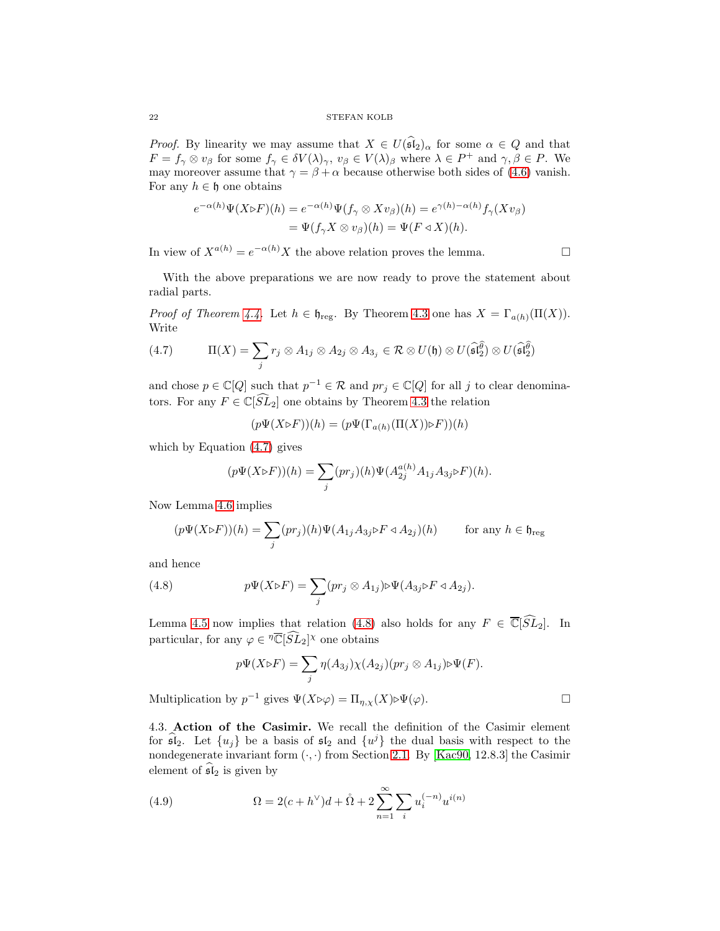22 STEFAN KOLB

*Proof.* By linearity we may assume that  $X \in U(\widehat{\mathfrak{sl}}_2)_{\alpha}$  for some  $\alpha \in Q$  and that  $F = f_\gamma \otimes v_\beta$  for some  $f_\gamma \in \delta V(\lambda)_\gamma$ ,  $v_\beta \in V(\lambda)_\beta$  where  $\lambda \in P^+$  and  $\gamma, \beta \in P$ . We may moreover assume that  $\gamma = \beta + \alpha$  because otherwise both sides of [\(4.6\)](#page-20-3) vanish. For any  $h \in \mathfrak{h}$  one obtains

$$
e^{-\alpha(h)}\Psi(X \triangleright F)(h) = e^{-\alpha(h)}\Psi(f_{\gamma} \otimes Xv_{\beta})(h) = e^{\gamma(h) - \alpha(h)}f_{\gamma}(Xv_{\beta})
$$
  
= 
$$
\Psi(f_{\gamma}X \otimes v_{\beta})(h) = \Psi(F \triangleleft X)(h).
$$

In view of  $X^{a(h)} = e^{-\alpha(h)} X$  the above relation proves the lemma.

With the above preparations we are now ready to prove the statement about radial parts.

*Proof of Theorem [4.4.](#page-20-0)* Let  $h \in \mathfrak{h}_{reg}$ . By Theorem [4.3](#page-19-2) one has  $X = \Gamma_{a(h)}(\Pi(X))$ . Write

<span id="page-21-1"></span>(4.7) 
$$
\Pi(X) = \sum_j r_j \otimes A_{1j} \otimes A_{2j} \otimes A_{3j} \in \mathcal{R} \otimes U(\mathfrak{h}) \otimes U(\widehat{\mathfrak{sl}}_2^{\widehat{\theta}}) \otimes U(\widehat{\mathfrak{sl}}_2^{\widehat{\theta}})
$$

and chose  $p \in \mathbb{C}[Q]$  such that  $p^{-1} \in \mathcal{R}$  and  $pr_j \in \mathbb{C}[Q]$  for all j to clear denominators. For any  $F \in \mathbb{C}[\widehat{SL}_2]$  one obtains by Theorem [4.3](#page-19-2) the relation

 $(p\Psi(X \triangleright F))(h) = (p\Psi(\Gamma_{a(h)}(\Pi(X)) \triangleright F))(h)$ 

which by Equation [\(4.7\)](#page-21-1) gives

$$
(p\Psi(X \triangleright F))(h) = \sum_{j} (pr_j)(h) \Psi(A_{2j}^{a(h)} A_{1j} A_{3j} \triangleright F)(h).
$$

Now Lemma [4.6](#page-20-4) implies

$$
(p\Psi(X \triangleright F))(h) = \sum_j (pr_j)(h)\Psi(A_{1j}A_{3j} \triangleright F \triangleleft A_{2j})(h) \quad \text{for any } h \in \mathfrak{h}_{\text{reg}}
$$

and hence

<span id="page-21-2"></span>(4.8) 
$$
p\Psi(X \triangleright F) = \sum_j (pr_j \otimes A_{1j}) \triangleright \Psi(A_{3j} \triangleright F \triangleleft A_{2j}).
$$

Lemma [4.5](#page-20-5) now implies that relation [\(4.8\)](#page-21-2) also holds for any  $F \in \overline{\mathbb{C}}[\widehat{SL}_2]$ . In particular, for any  $\varphi \in \mathbb{C}[\widehat{SL}_2]^\chi$  one obtains

$$
p\Psi(X \triangleright F) = \sum_{j} \eta(A_{3j}) \chi(A_{2j}) (pr_j \otimes A_{1j}) \triangleright \Psi(F).
$$
  
Multiplication by  $p^{-1}$  gives  $\Psi(X \triangleright \varphi) = \Pi_{\eta, \chi}(X) \triangleright \Psi(\varphi).$ 

<span id="page-21-0"></span>4.3. Action of the Casimir. We recall the definition of the Casimir element for  $\widehat{\mathfrak{sl}}_2$ . Let  $\{u_j\}$  be a basis of  $\mathfrak{sl}_2$  and  $\{u^j\}$  the dual basis with respect to the nondegenerate invariant form  $(\cdot, \cdot)$  from Section [2.1.](#page-3-0) By [\[Kac90,](#page-36-22) 12.8.3] the Casimir element of  $sI_2$  is given by

<span id="page-21-3"></span>(4.9) 
$$
\Omega = 2(c + h^{\vee})d + \mathring{\Omega} + 2\sum_{n=1}^{\infty} \sum_{i} u_i^{(-n)} u^{i(n)}
$$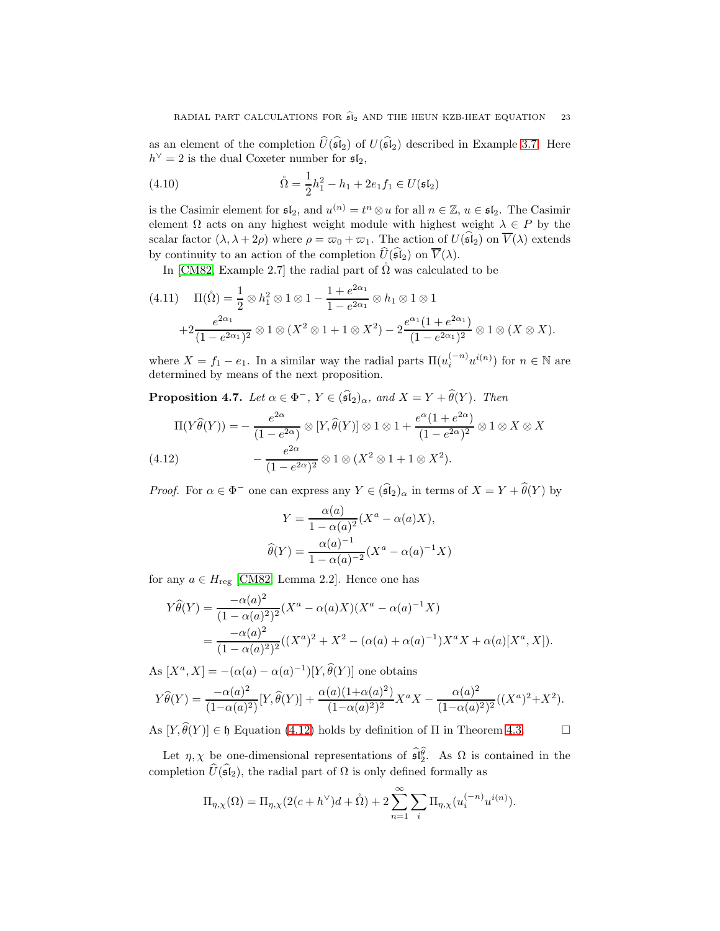as an element of the completion  $\widehat{U}(\widehat{\mathfrak{sl}}_2)$  of  $U(\widehat{\mathfrak{sl}}_2)$  described in Example [3.7.](#page-10-1) Here  $h^{\vee} = 2$  is the dual Coxeter number for  $\mathfrak{sl}_2$ ,

(4.10) 
$$
\mathring{\Omega} = \frac{1}{2}h_1^2 - h_1 + 2e_1f_1 \in U(\mathfrak{sl}_2)
$$

is the Casimir element for  $\mathfrak{sl}_2$ , and  $u^{(n)} = t^n \otimes u$  for all  $n \in \mathbb{Z}$ ,  $u \in \mathfrak{sl}_2$ . The Casimir element  $\Omega$  acts on any highest weight module with highest weight  $\lambda \in P$  by the scalar factor  $(\lambda, \lambda + 2\rho)$  where  $\rho = \varpi_0 + \varpi_1$ . The action of  $U(\mathfrak{sl}_2)$  on  $\overline{V}(\lambda)$  extends by continuity to an action of the completion  $\widehat{U}(\widehat{\mathfrak{sl}}_2)$  on  $\overline{V}(\lambda)$ .

In [\[CM82,](#page-35-8) Example 2.7] the radial part of  $\tilde{\Omega}$  was calculated to be

<span id="page-22-2"></span>
$$
(4.11) \quad \Pi(\mathring{\Omega}) = \frac{1}{2} \otimes h_1^2 \otimes 1 \otimes 1 - \frac{1 + e^{2\alpha_1}}{1 - e^{2\alpha_1}} \otimes h_1 \otimes 1 \otimes 1 + 2 \frac{e^{2\alpha_1}}{(1 - e^{2\alpha_1})^2} \otimes 1 \otimes (X^2 \otimes 1 + 1 \otimes X^2) - 2 \frac{e^{\alpha_1}(1 + e^{2\alpha_1})}{(1 - e^{2\alpha_1})^2} \otimes 1 \otimes (X \otimes X).
$$

where  $X = f_1 - e_1$ . In a similar way the radial parts  $\Pi(u_i^{(-n)}u^{i(n)})$  for  $n \in \mathbb{N}$  are determined by means of the next proposition.

<span id="page-22-1"></span>**Proposition 4.7.** Let  $\alpha \in \Phi^-$ ,  $Y \in (\widehat{\mathfrak{sl}}_2)_{\alpha}$ , and  $X = Y + \widehat{\theta}(Y)$ . Then

$$
\Pi(Y\widehat{\theta}(Y)) = -\frac{e^{2\alpha}}{(1 - e^{2\alpha})} \otimes [Y, \widehat{\theta}(Y)] \otimes 1 \otimes 1 + \frac{e^{\alpha}(1 + e^{2\alpha})}{(1 - e^{2\alpha})^2} \otimes 1 \otimes X \otimes X
$$
  
(4.12) 
$$
-\frac{e^{2\alpha}}{(1 - e^{2\alpha})^2} \otimes 1 \otimes (X^2 \otimes 1 + 1 \otimes X^2).
$$

<span id="page-22-0"></span>*Proof.* For  $\alpha \in \Phi^-$  one can express any  $Y \in (\mathfrak{sl}_2)_{\alpha}$  in terms of  $X = Y + \theta(Y)$  by

$$
Y = \frac{\alpha(a)}{1 - \alpha(a)^2} (X^a - \alpha(a)X),
$$
  

$$
\widehat{\theta}(Y) = \frac{\alpha(a)^{-1}}{1 - \alpha(a)^{-2}} (X^a - \alpha(a)^{-1}X)
$$

for any  $a \in H_{\text{reg}}$  [\[CM82,](#page-35-8) Lemma 2.2]. Hence one has

$$
Y\widehat{\theta}(Y) = \frac{-\alpha(a)^2}{(1 - \alpha(a)^2)^2} (X^a - \alpha(a)X)(X^a - \alpha(a)^{-1}X)
$$
  
= 
$$
\frac{-\alpha(a)^2}{(1 - \alpha(a)^2)^2} ((X^a)^2 + X^2 - (\alpha(a) + \alpha(a)^{-1})X^aX + \alpha(a)[X^a, X]).
$$

As  $[X^a, X] = -(\alpha(a) - \alpha(a)^{-1})[Y, \hat{\theta}(Y)]$  one obtains

$$
Y\widehat{\theta}(Y) = \frac{-\alpha(a)^2}{(1-\alpha(a)^2)}[Y,\widehat{\theta}(Y)] + \frac{\alpha(a)(1+\alpha(a)^2)}{(1-\alpha(a)^2)^2}X^aX - \frac{\alpha(a)^2}{(1-\alpha(a)^2)^2}((X^a)^2 + X^2).
$$

As  $[Y, \hat{\theta}(Y)] \in \mathfrak{h}$  Equation [\(4.12\)](#page-22-0) holds by definition of  $\Pi$  in Theorem [4.3.](#page-19-2)

Let  $\eta, \chi$  be one-dimensional representations of  $\widehat{\mathfrak{sl}_2^{\theta}}$ . As  $\Omega$  is contained in the completion  $\widehat{U}(\widehat{\mathfrak{sl}}_2)$ , the radial part of  $\Omega$  is only defined formally as

$$
\Pi_{\eta,\chi}(\Omega) = \Pi_{\eta,\chi}(2(c+h^{\vee})d + \mathring{\Omega}) + 2\sum_{n=1}^{\infty} \sum_{i} \Pi_{\eta,\chi}(u_i^{(-n)}u^{i(n)}).
$$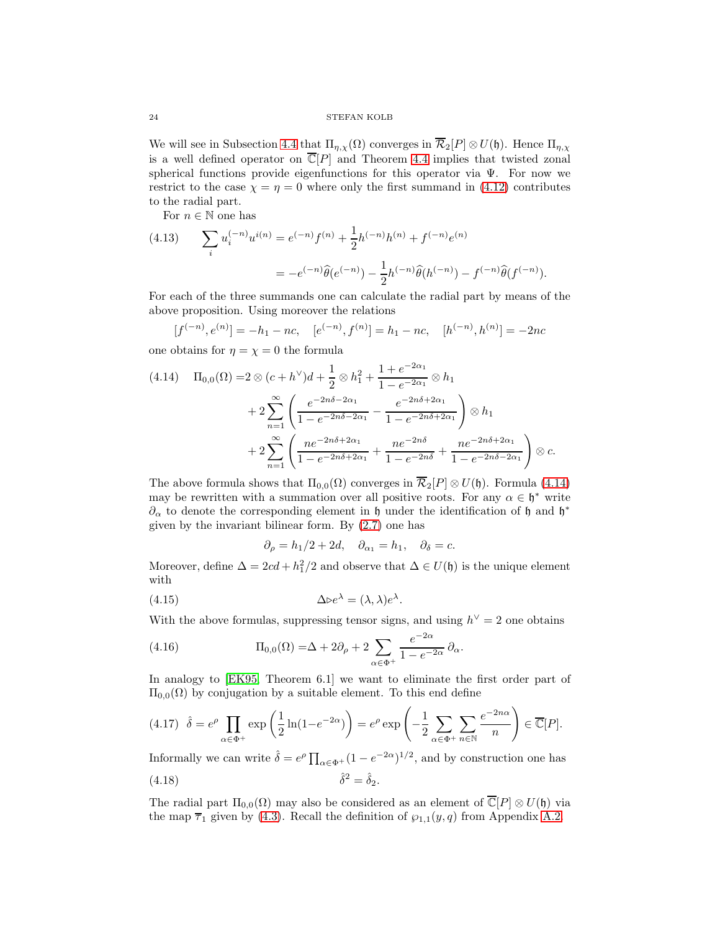We will see in Subsection [4.4](#page-25-0) that  $\Pi_{\eta,\chi}(\Omega)$  converges in  $\overline{\mathcal{R}}_2[P] \otimes U(\mathfrak{h})$ . Hence  $\Pi_{\eta,\chi}$ is a well defined operator on  $\overline{\mathbb{C}}[P]$  and Theorem [4.4](#page-20-0) implies that twisted zonal spherical functions provide eigenfunctions for this operator via Ψ. For now we restrict to the case  $\chi = \eta = 0$  where only the first summand in [\(4.12\)](#page-22-0) contributes to the radial part.

For  $n\in\mathbb{N}$  one has

<span id="page-23-4"></span>(4.13) 
$$
\sum_{i} u_i^{(-n)} u^{i(n)} = e^{(-n)} f^{(n)} + \frac{1}{2} h^{(-n)} h^{(n)} + f^{(-n)} e^{(n)}
$$

$$
= -e^{(-n)} \widehat{\theta}(e^{(-n)}) - \frac{1}{2} h^{(-n)} \widehat{\theta}(h^{(-n)}) - f^{(-n)} \widehat{\theta}(f^{(-n)}).
$$

For each of the three summands one can calculate the radial part by means of the above proposition. Using moreover the relations

$$
[f^{(-n)}, e^{(n)}] = -h_1 - nc, \quad [e^{(-n)}, f^{(n)}] = h_1 - nc, \quad [h^{(-n)}, h^{(n)}] = -2nc
$$

one obtains for  $\eta = \chi = 0$  the formula

<span id="page-23-0"></span>
$$
(4.14) \quad \Pi_{0,0}(\Omega) = 2 \otimes (c + h^{\vee})d + \frac{1}{2} \otimes h_1^2 + \frac{1 + e^{-2\alpha_1}}{1 - e^{-2\alpha_1}} \otimes h_1
$$

$$
+ 2 \sum_{n=1}^{\infty} \left( \frac{e^{-2n\delta - 2\alpha_1}}{1 - e^{-2n\delta - 2\alpha_1}} - \frac{e^{-2n\delta + 2\alpha_1}}{1 - e^{-2n\delta + 2\alpha_1}} \right) \otimes h_1
$$

$$
+ 2 \sum_{n=1}^{\infty} \left( \frac{ne^{-2n\delta + 2\alpha_1}}{1 - e^{-2n\delta + 2\alpha_1}} + \frac{ne^{-2n\delta}}{1 - e^{-2n\delta}} + \frac{ne^{-2n\delta + 2\alpha_1}}{1 - e^{-2n\delta - 2\alpha_1}} \right) \otimes c.
$$

The above formula shows that  $\Pi_{0,0}(\Omega)$  converges in  $\overline{\mathcal{R}}_2[P] \otimes U(\mathfrak{h})$ . Formula [\(4.14\)](#page-23-0) may be rewritten with a summation over all positive roots. For any  $\alpha \in \mathfrak{h}^*$  write  $\partial_\alpha$  to denote the corresponding element in  $\mathfrak h$  under the identification of  $\mathfrak h$  and  $\mathfrak h^*$ given by the invariant bilinear form. By [\(2.7\)](#page-5-0) one has

$$
\partial_{\rho} = h_1/2 + 2d, \quad \partial_{\alpha_1} = h_1, \quad \partial_{\delta} = c.
$$

Moreover, define  $\Delta = 2cd + h_1^2/2$  and observe that  $\Delta \in U(\mathfrak{h})$  is the unique element with

<span id="page-23-1"></span>(4.15) 
$$
\Delta \triangleright e^{\lambda} = (\lambda, \lambda) e^{\lambda}.
$$

With the above formulas, suppressing tensor signs, and using  $h^{\vee} = 2$  one obtains

<span id="page-23-3"></span>(4.16) 
$$
\Pi_{0,0}(\Omega) = \Delta + 2\partial_{\rho} + 2\sum_{\alpha \in \Phi^+} \frac{e^{-2\alpha}}{1 - e^{-2\alpha}} \partial_{\alpha}.
$$

In analogy to [\[EK95,](#page-35-4) Theorem 6.1] we want to eliminate the first order part of  $\Pi_{0,0}(\Omega)$  by conjugation by a suitable element. To this end define

<span id="page-23-5"></span>
$$
(4.17) \quad \hat{\delta} = e^{\rho} \prod_{\alpha \in \Phi^+} \exp\left(\frac{1}{2}\ln(1 - e^{-2\alpha})\right) = e^{\rho} \exp\left(-\frac{1}{2} \sum_{\alpha \in \Phi^+} \sum_{n \in \mathbb{N}} \frac{e^{-2n\alpha}}{n}\right) \in \overline{\mathbb{C}}[P].
$$

Informally we can write  $\hat{\delta} = e^{\rho} \prod_{\alpha \in \Phi^+} (1 - e^{-2\alpha})^{1/2}$ , and by construction one has (4.18)  $\hat{\delta}^2 = \hat{\delta}_2.$ 

<span id="page-23-2"></span>The radial part 
$$
\Pi_{0,0}(\Omega)
$$
 may also be considered as an element of  $\overline{\mathbb{C}}[P] \otimes U(\mathfrak{h})$  via the map  $\overline{\tau}_1$  given by (4.3). Recall the definition of  $\wp_{1,1}(y,q)$  from Appendix A.2.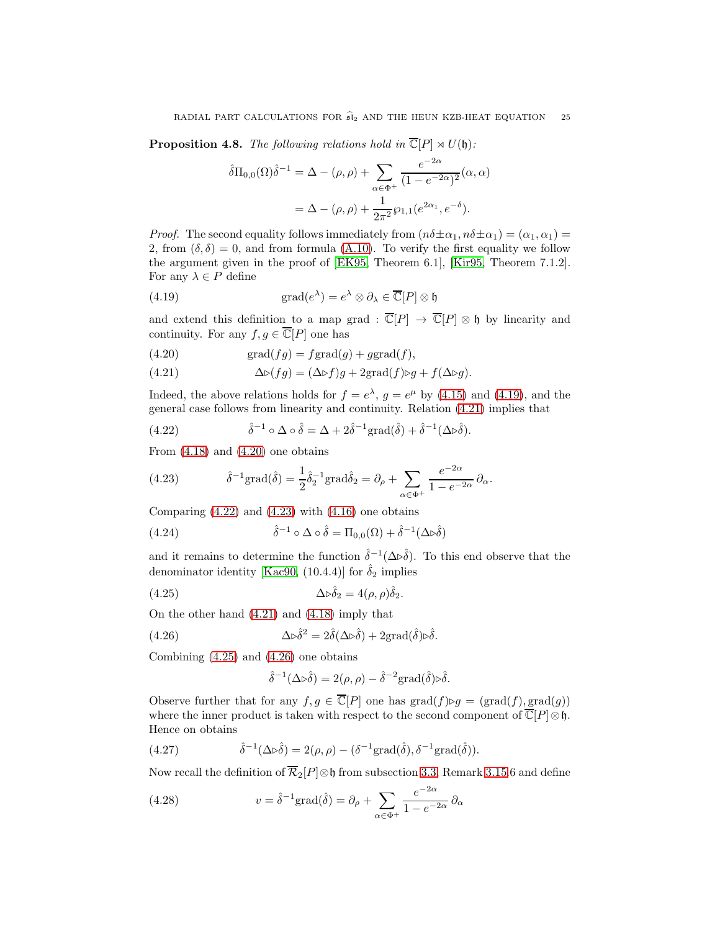<span id="page-24-0"></span>**Proposition 4.8.** The following relations hold in  $\overline{\mathbb{C}}[P] \rtimes U(\mathfrak{h})$ :

$$
\hat{\delta}\Pi_{0,0}(\Omega)\hat{\delta}^{-1} = \Delta - (\rho, \rho) + \sum_{\alpha \in \Phi^+} \frac{e^{-2\alpha}}{(1 - e^{-2\alpha})^2}(\alpha, \alpha)
$$

$$
= \Delta - (\rho, \rho) + \frac{1}{2\pi^2} \wp_{1,1}(e^{2\alpha_1}, e^{-\delta}).
$$

*Proof.* The second equality follows immediately from  $(n\delta \pm \alpha_1, n\delta \pm \alpha_1) = (\alpha_1, \alpha_1)$ 2, from  $(\delta, \delta) = 0$ , and from formula [\(A.10\)](#page-34-1). To verify the first equality we follow the argument given in the proof of [\[EK95,](#page-35-4) Theorem 6.1], [\[Kir95,](#page-36-10) Theorem 7.1.2]. For any  $\lambda \in P$  define

<span id="page-24-1"></span>(4.19) 
$$
\operatorname{grad}(e^{\lambda}) = e^{\lambda} \otimes \partial_{\lambda} \in \overline{\mathbb{C}}[P] \otimes \mathfrak{h}
$$

and extend this definition to a map grad :  $\overline{\mathbb{C}}[P] \to \overline{\mathbb{C}}[P] \otimes \mathfrak{h}$  by linearity and continuity. For any  $f, g \in \overline{\mathbb{C}}[P]$  one has

<span id="page-24-3"></span>(4.20) 
$$
\operatorname{grad}(fg) = f\operatorname{grad}(g) + g\operatorname{grad}(f),
$$

<span id="page-24-2"></span>(4.21) 
$$
\Delta \triangleright (fg) = (\Delta \triangleright f)g + 2\text{grad}(f) \triangleright g + f(\Delta \triangleright g).
$$

Indeed, the above relations holds for  $f = e^{\lambda}$ ,  $g = e^{\mu}$  by [\(4.15\)](#page-23-1) and [\(4.19\)](#page-24-1), and the general case follows from linearity and continuity. Relation [\(4.21\)](#page-24-2) implies that

<span id="page-24-4"></span>(4.22) 
$$
\hat{\delta}^{-1} \circ \Delta \circ \hat{\delta} = \Delta + 2\hat{\delta}^{-1} \text{grad}(\hat{\delta}) + \hat{\delta}^{-1}(\Delta \triangleright \hat{\delta}).
$$

From  $(4.18)$  and  $(4.20)$  one obtains

<span id="page-24-5"></span>(4.23) 
$$
\hat{\delta}^{-1}\text{grad}(\hat{\delta}) = \frac{1}{2}\hat{\delta}_2^{-1}\text{grad}\hat{\delta}_2 = \partial_\rho + \sum_{\alpha \in \Phi^+} \frac{e^{-2\alpha}}{1 - e^{-2\alpha}} \partial_\alpha.
$$

Comparing  $(4.22)$  and  $(4.23)$  with  $(4.16)$  one obtains

<span id="page-24-8"></span>(4.24) 
$$
\hat{\delta}^{-1} \circ \Delta \circ \hat{\delta} = \Pi_{0,0}(\Omega) + \hat{\delta}^{-1}(\Delta \triangleright \hat{\delta})
$$

and it remains to determine the function  $\hat{\delta}^{-1}(\Delta \triangleright \hat{\delta})$ . To this end observe that the denominator identity [\[Kac90,](#page-36-22) (10.4.4)] for  $\hat{\delta}_2$  implies

<span id="page-24-6"></span>(4.25) 
$$
\Delta \triangleright \hat{\delta}_2 = 4(\rho, \rho) \hat{\delta}_2.
$$

On the other hand [\(4.21\)](#page-24-2) and [\(4.18\)](#page-23-2) imply that

<span id="page-24-7"></span>(4.26) 
$$
\Delta \triangleright \hat{\delta}^2 = 2\hat{\delta}(\Delta \triangleright \hat{\delta}) + 2\text{grad}(\hat{\delta})\triangleright \hat{\delta}.
$$

Combining [\(4.25\)](#page-24-6) and [\(4.26\)](#page-24-7) one obtains

$$
\hat{\delta}^{-1}(\Delta \triangleright \hat{\delta}) = 2(\rho, \rho) - \hat{\delta}^{-2} \text{grad}(\hat{\delta}) \triangleright \hat{\delta}.
$$

Observe further that for any  $f, g \in \overline{\mathbb{C}}[P]$  one has  $\text{grad}(f) \triangleright g = (\text{grad}(f), \text{grad}(g))$ where the inner product is taken with respect to the second component of  $\overline{\mathbb{C}}[P]\otimes \mathfrak{h}$ . Hence on obtains

<span id="page-24-9"></span>(4.27) 
$$
\hat{\delta}^{-1}(\Delta \triangleright \hat{\delta}) = 2(\rho, \rho) - (\delta^{-1} \text{grad}(\hat{\delta}), \delta^{-1} \text{grad}(\hat{\delta})).
$$

Now recall the definition of  $\overline{\mathcal{R}}_2[P]\otimes \mathfrak{h}$  from subsection [3.3,](#page-13-0) Remark [3.15.](#page-14-1)6 and define

<span id="page-24-10"></span>(4.28) 
$$
v = \hat{\delta}^{-1} \text{grad}(\hat{\delta}) = \partial_{\rho} + \sum_{\alpha \in \Phi^+} \frac{e^{-2\alpha}}{1 - e^{-2\alpha}} \partial_{\alpha}
$$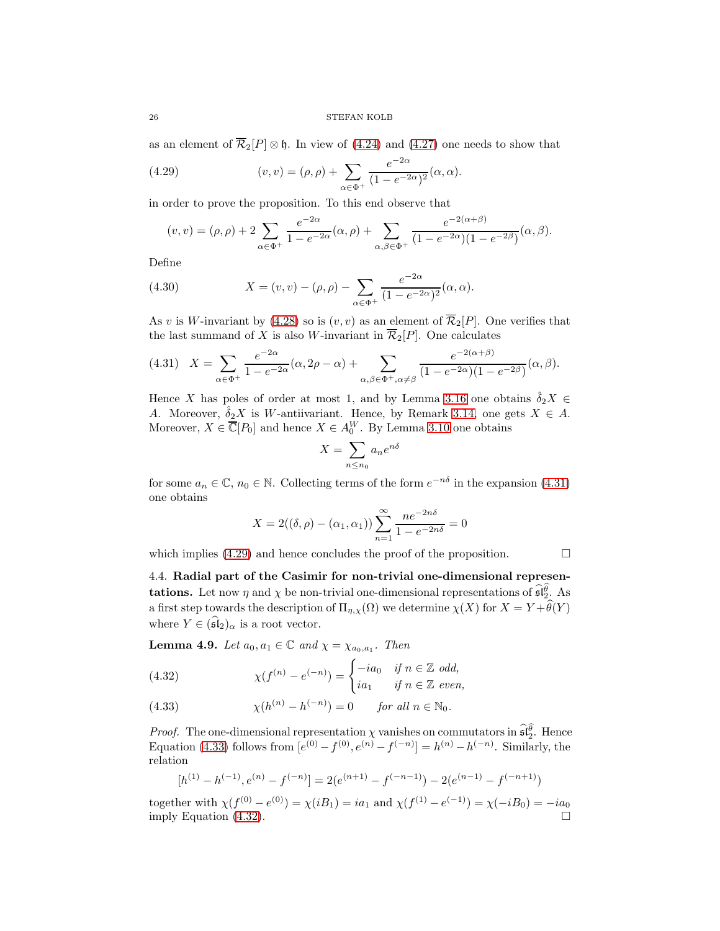26 STEFAN KOLB

as an element of  $\overline{\mathcal{R}}_2[P] \otimes \mathfrak{h}$ . In view of [\(4.24\)](#page-24-8) and [\(4.27\)](#page-24-9) one needs to show that

<span id="page-25-2"></span>(4.29) 
$$
(v, v) = (\rho, \rho) + \sum_{\alpha \in \Phi^+} \frac{e^{-2\alpha}}{(1 - e^{-2\alpha})^2} (\alpha, \alpha).
$$

in order to prove the proposition. To this end observe that

$$
(v, v) = (\rho, \rho) + 2 \sum_{\alpha \in \Phi^+} \frac{e^{-2\alpha}}{1 - e^{-2\alpha}} (\alpha, \rho) + \sum_{\alpha, \beta \in \Phi^+} \frac{e^{-2(\alpha + \beta)}}{(1 - e^{-2\alpha})(1 - e^{-2\beta})} (\alpha, \beta).
$$

Define

(4.30) 
$$
X = (v, v) - (\rho, \rho) - \sum_{\alpha \in \Phi^+} \frac{e^{-2\alpha}}{(1 - e^{-2\alpha})^2} (\alpha, \alpha).
$$

As v is W-invariant by [\(4.28\)](#page-24-10) so is  $(v, v)$  as an element of  $\overline{\mathcal{R}}_2[P]$ . One verifies that the last summand of X is also W-invariant in  $\overline{\mathcal{R}}_2[P]$ . One calculates

<span id="page-25-1"></span>
$$
(4.31) \quad X = \sum_{\alpha \in \Phi^+} \frac{e^{-2\alpha}}{1 - e^{-2\alpha}} (\alpha, 2\rho - \alpha) + \sum_{\alpha, \beta \in \Phi^+, \alpha \neq \beta} \frac{e^{-2(\alpha + \beta)}}{(1 - e^{-2\alpha})(1 - e^{-2\beta})} (\alpha, \beta).
$$

Hence X has poles of order at most 1, and by Lemma [3.16](#page-14-0) one obtains  $\hat{\delta}_2 X \in$ A. Moreover,  $\hat{\delta}_2 X$  is W-antiivariant. Hence, by Remark [3.14,](#page-13-1) one gets  $X \in A$ . Moreover,  $X \in \overline{\mathbb{C}}[P_0]$  and hence  $X \in A_0^W$ . By Lemma [3.10](#page-11-1) one obtains

$$
X = \sum_{n \le n_0} a_n e^{n\delta}
$$

for some  $a_n \in \mathbb{C}$ ,  $n_0 \in \mathbb{N}$ . Collecting terms of the form  $e^{-n\delta}$  in the expansion [\(4.31\)](#page-25-1) one obtains

$$
X = 2((\delta, \rho) - (\alpha_1, \alpha_1)) \sum_{n=1}^{\infty} \frac{ne^{-2n\delta}}{1 - e^{-2n\delta}} = 0
$$

<span id="page-25-0"></span>which implies  $(4.29)$  and hence concludes the proof of the proposition.

4.4. Radial part of the Casimir for non-trivial one-dimensional represen**tations.** Let now  $\eta$  and  $\chi$  be non-trivial one-dimensional representations of  $\widehat{\mathfrak{sl}_2^{\theta}}$ . As a first step towards the description of  $\Pi_{\eta,\chi}(\Omega)$  we determine  $\chi(X)$  for  $X = Y + \widehat{\theta}(Y)$ where  $Y \in (\widehat{\mathfrak{sl}}_2)_{\alpha}$  is a root vector.

<span id="page-25-5"></span>**Lemma 4.9.** Let  $a_0, a_1 \in \mathbb{C}$  and  $\chi = \chi_{a_0, a_1}$ . Then

<span id="page-25-4"></span>(4.32) 
$$
\chi(f^{(n)} - e^{(-n)}) = \begin{cases} -ia_0 & \text{if } n \in \mathbb{Z} \text{ odd,} \\ ia_1 & \text{if } n \in \mathbb{Z} \text{ even,} \end{cases}
$$

<span id="page-25-3"></span>(4.33) 
$$
\chi(h^{(n)} - h^{(-n)}) = 0 \quad \text{for all } n \in \mathbb{N}_0.
$$

*Proof.* The one-dimensional representation  $\chi$  vanishes on commutators in  $\widehat{\mathfrak{sl}_2^{\theta}}$ . Hence Equation [\(4.33\)](#page-25-3) follows from  $[e^{(0)} - f^{(0)}, e^{(n)} - f^{(-n)}] = h^{(n)} - h^{(-n)}$ . Similarly, the relation

$$
[h^{(1)} - h^{(-1)}, e^{(n)} - f^{(-n)}] = 2(e^{(n+1)} - f^{(-n-1)}) - 2(e^{(n-1)} - f^{(-n+1)})
$$

together with  $\chi(f^{(0)} - e^{(0)}) = \chi(iB_1) = ia_1$  and  $\chi(f^{(1)} - e^{(-1)}) = \chi(-iB_0) = -ia_0$ imply Equation [\(4.32\)](#page-25-4).

$$
\sqcup
$$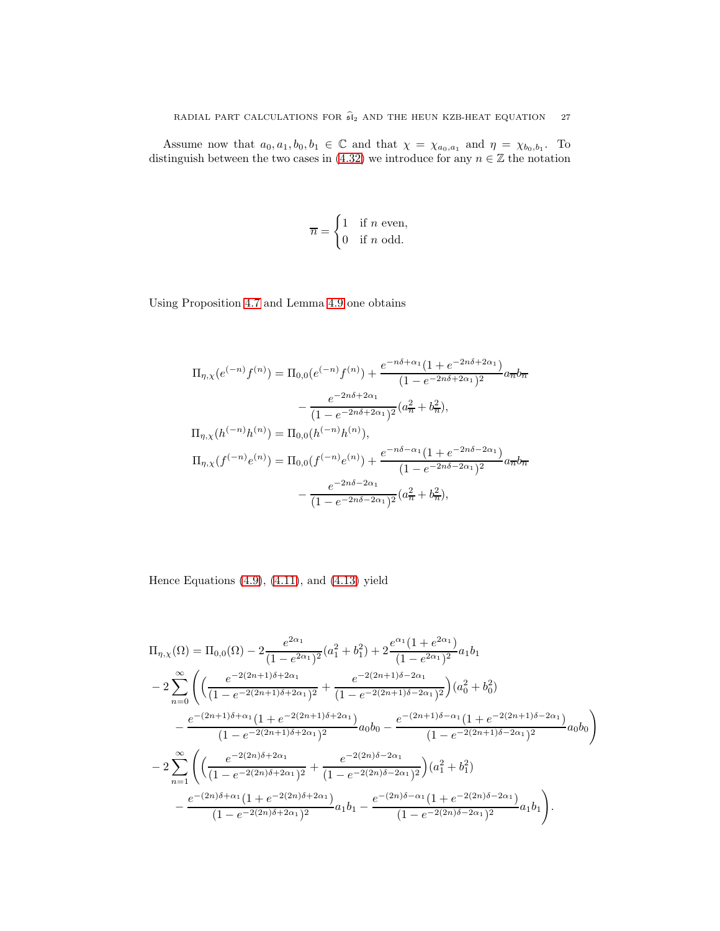Assume now that  $a_0, a_1, b_0, b_1 \in \mathbb{C}$  and that  $\chi = \chi_{a_0, a_1}$  and  $\eta = \chi_{b_0, b_1}$ . To distinguish between the two cases in [\(4.32\)](#page-25-4) we introduce for any  $n \in \mathbb{Z}$  the notation

$$
\overline{n} = \begin{cases} 1 & \text{if } n \text{ even,} \\ 0 & \text{if } n \text{ odd.} \end{cases}
$$

Using Proposition [4.7](#page-22-1) and Lemma [4.9](#page-25-5) one obtains

$$
\Pi_{\eta,\chi}(e^{(-n)}f^{(n)}) = \Pi_{0,0}(e^{(-n)}f^{(n)}) + \frac{e^{-n\delta + \alpha_1}(1 + e^{-2n\delta + 2\alpha_1})}{(1 - e^{-2n\delta + 2\alpha_1})^2}a_{\overline{n}}b_{\overline{n}}
$$

$$
- \frac{e^{-2n\delta + 2\alpha_1}}{(1 - e^{-2n\delta + 2\alpha_1})^2}(a_{\overline{n}}^2 + b_{\overline{n}}^2),
$$

$$
\Pi_{\eta,\chi}(h^{(-n)}h^{(n)}) = \Pi_{0,0}(h^{(-n)}h^{(n)}),
$$

$$
\Pi_{\eta,\chi}(f^{(-n)}e^{(n)}) = \Pi_{0,0}(f^{(-n)}e^{(n)}) + \frac{e^{-n\delta - \alpha_1}(1 + e^{-2n\delta - 2\alpha_1})}{(1 - e^{-2n\delta - 2\alpha_1})^2}a_{\overline{n}}b_{\overline{n}}
$$

$$
- \frac{e^{-2n\delta - 2\alpha_1}}{(1 - e^{-2n\delta - 2\alpha_1})^2}(a_{\overline{n}}^2 + b_{\overline{n}}^2),
$$

Hence Equations [\(4.9\)](#page-21-3), [\(4.11\)](#page-22-2), and [\(4.13\)](#page-23-4) yield

$$
\Pi_{\eta,\chi}(\Omega) = \Pi_{0,0}(\Omega) - 2 \frac{e^{2\alpha_1}}{(1 - e^{2\alpha_1})^2} (a_1^2 + b_1^2) + 2 \frac{e^{\alpha_1} (1 + e^{2\alpha_1})}{(1 - e^{2\alpha_1})^2} a_1 b_1
$$
  
\n
$$
- 2 \sum_{n=0}^{\infty} \left( \left( \frac{e^{-2(2n+1)\delta + 2\alpha_1}}{(1 - e^{-2(2n+1)\delta + 2\alpha_1})^2} + \frac{e^{-2(2n+1)\delta - 2\alpha_1}}{(1 - e^{-2(2n+1)\delta - 2\alpha_1})^2} \right) (a_0^2 + b_0^2)
$$
  
\n
$$
- \frac{e^{-(2n+1)\delta + \alpha_1} (1 + e^{-2(2n+1)\delta + 2\alpha_1})}{(1 - e^{-2(2n+1)\delta + 2\alpha_1})^2} a_0 b_0 - \frac{e^{-(2n+1)\delta - \alpha_1} (1 + e^{-2(2n+1)\delta - 2\alpha_1})}{(1 - e^{-2(2n+1)\delta - 2\alpha_1})^2} a_0 b_0 \right)
$$
  
\n
$$
- 2 \sum_{n=1}^{\infty} \left( \left( \frac{e^{-2(2n)\delta + 2\alpha_1}}{(1 - e^{-2(2n)\delta + 2\alpha_1})^2} + \frac{e^{-2(2n)\delta - 2\alpha_1}}{(1 - e^{-2(2n)\delta - 2\alpha_1})^2} \right) (a_1^2 + b_1^2)
$$
  
\n
$$
- \frac{e^{-(2n)\delta + \alpha_1} (1 + e^{-2(2n)\delta + 2\alpha_1})}{(1 - e^{-2(2n)\delta + 2\alpha_1})^2} a_1 b_1 - \frac{e^{-(2n)\delta - \alpha_1} (1 + e^{-2(2n)\delta - 2\alpha_1})}{(1 - e^{-2(2n)\delta - 2\alpha_1})^2} a_1 b_1 \right).
$$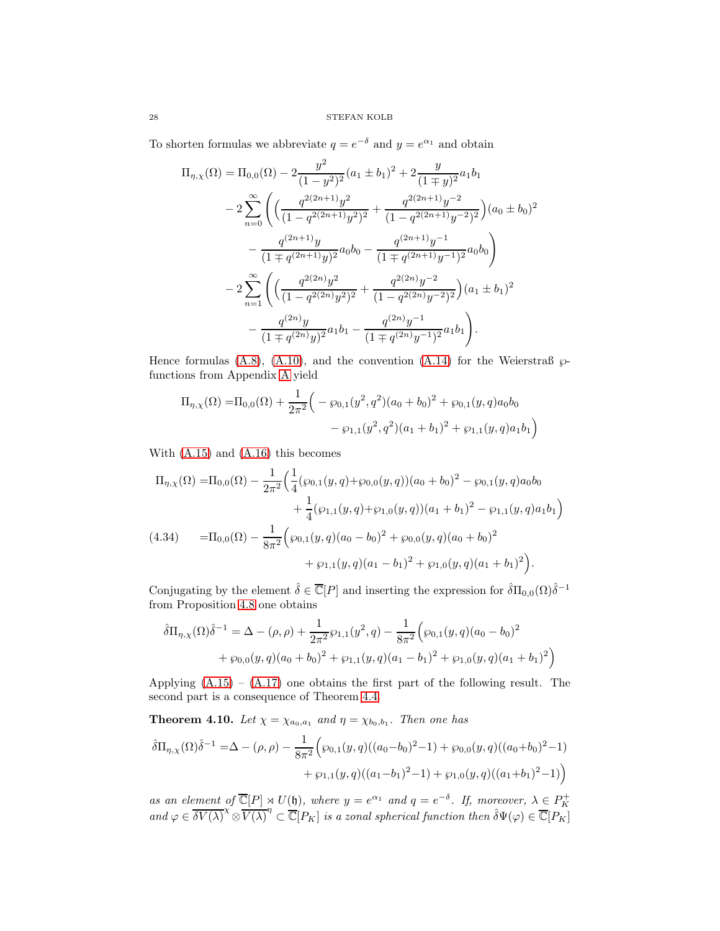To shorten formulas we abbreviate  $q = e^{-\delta}$  and  $y = e^{\alpha_1}$  and obtain

$$
\Pi_{\eta,\chi}(\Omega) = \Pi_{0,0}(\Omega) - 2 \frac{y^2}{(1-y^2)^2} (a_1 \pm b_1)^2 + 2 \frac{y}{(1 \mp y)^2} a_1 b_1
$$
  

$$
- 2 \sum_{n=0}^{\infty} \left( \left( \frac{q^{2(2n+1)} y^2}{(1-q^{2(2n+1)} y^2)^2} + \frac{q^{2(2n+1)} y^{-2}}{(1-q^{2(2n+1)} y^{-2})^2} \right) (a_0 \pm b_0)^2 - \frac{q^{(2n+1)} y}{(1 \mp q^{(2n+1)} y)^2} a_0 b_0 - \frac{q^{(2n+1)} y^{-1}}{(1 \mp q^{(2n+1)} y^{-1})^2} a_0 b_0 \right)
$$
  

$$
- 2 \sum_{n=1}^{\infty} \left( \left( \frac{q^{2(2n)} y^2}{(1-q^{2(2n)} y^2)^2} + \frac{q^{2(2n)} y^{-2}}{(1-q^{2(2n)} y^{-2})^2} \right) (a_1 \pm b_1)^2 - \frac{q^{(2n)} y}{(1 \mp q^{(2n)} y)^2} a_1 b_1 - \frac{q^{(2n)} y^{-1}}{(1 \mp q^{(2n)} y^{-1})^2} a_1 b_1 \right).
$$

Hence formulas [\(A.8\)](#page-34-2), [\(A.10\)](#page-34-1), and the convention [\(A.14\)](#page-35-13) for the Weierstraß  $\wp$ functions from Appendix [A](#page-32-0) yield

$$
\Pi_{\eta,\chi}(\Omega) = \Pi_{0,0}(\Omega) + \frac{1}{2\pi^2} \Big( -\wp_{0,1}(y^2, q^2)(a_0 + b_0)^2 + \wp_{0,1}(y, q)a_0b_0 - \wp_{1,1}(y^2, q^2)(a_1 + b_1)^2 + \wp_{1,1}(y, q)a_1b_1 \Big)
$$

With [\(A.15\)](#page-35-14) and [\(A.16\)](#page-35-15) this becomes

$$
\Pi_{\eta,\chi}(\Omega) = \Pi_{0,0}(\Omega) - \frac{1}{2\pi^2} \Big( \frac{1}{4} (\wp_{0,1}(y,q) + \wp_{0,0}(y,q)) (a_0 + b_0)^2 - \wp_{0,1}(y,q) a_0 b_0 \n+ \frac{1}{4} (\wp_{1,1}(y,q) + \wp_{1,0}(y,q)) (a_1 + b_1)^2 - \wp_{1,1}(y,q) a_1 b_1 \Big)
$$
\n(4.34) 
$$
= \Pi_{0,0}(\Omega) - \frac{1}{8\pi^2} \Big( \wp_{0,1}(y,q) (a_0 - b_0)^2 + \wp_{0,0}(y,q) (a_0 + b_0)^2 \n+ \wp_{1,1}(y,q) (a_1 - b_1)^2 + \wp_{1,0}(y,q) (a_1 + b_1)^2 \Big).
$$

<span id="page-27-1"></span>Conjugating by the element  $\hat{\delta} \in \overline{\mathbb{C}}[P]$  and inserting the expression for  $\hat{\delta} \Pi_{0,0}(\Omega) \hat{\delta}^{-1}$ from Proposition [4.8](#page-24-0) one obtains

$$
\hat{\delta}\Pi_{\eta,\chi}(\Omega)\hat{\delta}^{-1} = \Delta - (\rho,\rho) + \frac{1}{2\pi^2}\wp_{1,1}(y^2,q) - \frac{1}{8\pi^2}(\wp_{0,1}(y,q)(a_0-b_0)^2 + \wp_{0,0}(y,q)(a_0+b_0)^2 + \wp_{1,1}(y,q)(a_1-b_1)^2 + \wp_{1,0}(y,q)(a_1+b_1)^2)
$$

Applying  $(A.15) - (A.17)$  $(A.15) - (A.17)$  one obtains the first part of the following result. The second part is a consequence of Theorem [4.4.](#page-20-0)

<span id="page-27-0"></span>**Theorem 4.10.** Let  $\chi = \chi_{a_0,a_1}$  and  $\eta = \chi_{b_0,b_1}$ . Then one has

$$
\hat{\delta}\Pi_{\eta,\chi}(\Omega)\hat{\delta}^{-1} = \Delta - (\rho,\rho) - \frac{1}{8\pi^2} \Big(\wp_{0,1}(y,q)((a_0-b_0)^2-1) + \wp_{0,0}(y,q)((a_0+b_0)^2-1) + \wp_{1,1}(y,q)((a_1-b_1)^2-1) + \wp_{1,0}(y,q)((a_1+b_1)^2-1)\Big)
$$

as an element of  $\overline{\mathbb{C}}[P] \underset{\sim}{\rtimes} U(\mathfrak{h})$ , where  $y = e^{\alpha_1}$  and  $q = e^{-\delta}$ . If, moreover,  $\lambda \in P_K^+$ and  $\varphi \in \overline{\delta V(\lambda)}^{\chi} \otimes \overline{V(\lambda)}^{\eta} \subset \overline{\mathbb{C}}[P_K]$  is a zonal spherical function then  $\hat{\delta} \Psi(\varphi) \in \overline{\mathbb{C}}[P_K]$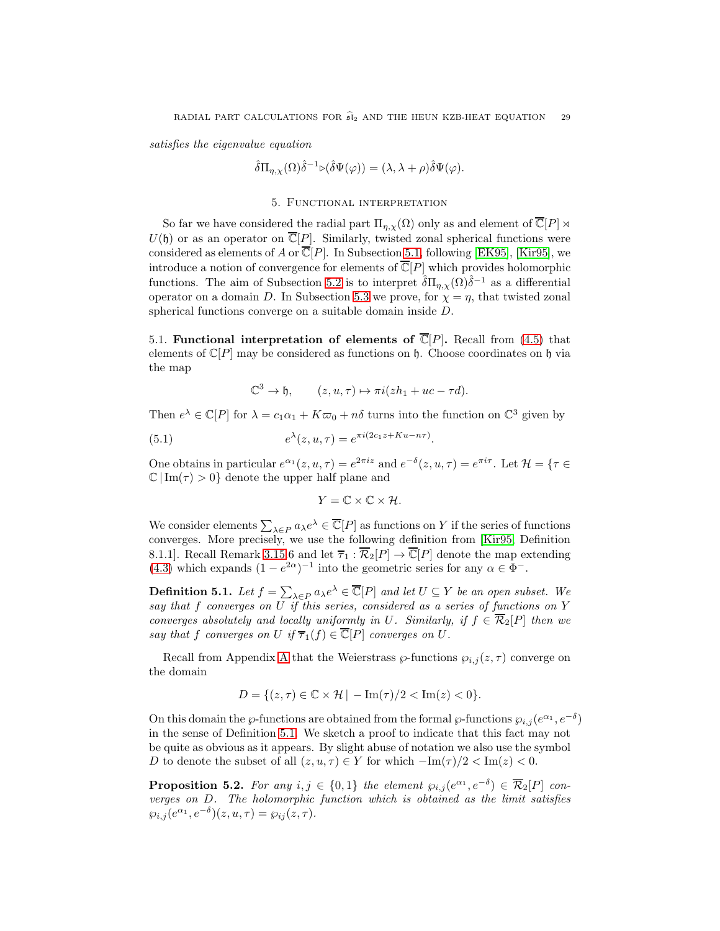satisfies the eigenvalue equation

$$
\hat{\delta} \Pi_{\eta, \chi}(\Omega) \hat{\delta}^{-1} \triangleright (\hat{\delta} \Psi(\varphi)) = (\lambda, \lambda + \rho) \hat{\delta} \Psi(\varphi).
$$

### 5. Functional interpretation

<span id="page-28-0"></span>So far we have considered the radial part  $\Pi_{\eta,\chi}(\Omega)$  only as and element of  $\overline{\mathbb{C}}[P] \rtimes$  $U(\mathfrak{h})$  or as an operator on  $\overline{\mathbb{C}}[P]$ . Similarly, twisted zonal spherical functions were considered as elements of A or  $\overline{\mathbb{C}}[P]$ . In Subsection [5.1,](#page-28-1) following [\[EK95\]](#page-35-4), [\[Kir95\]](#page-36-10), we introduce a notion of convergence for elements of  $\overline{\mathbb{C}}[P]$  which provides holomorphic functions. The aim of Subsection [5.2](#page-30-1) is to interpret  $\hat{\delta} \Pi_{\eta,\chi}(\Omega) \hat{\delta}^{-1}$  as a differential operator on a domain D. In Subsection [5.3](#page-30-2) we prove, for  $\chi = \eta$ , that twisted zonal spherical functions converge on a suitable domain inside D.

<span id="page-28-1"></span>5.1. Functional interpretation of elements of  $\overline{\mathbb{C}}[P]$ . Recall from [\(4.5\)](#page-20-2) that elements of  $\mathbb{C}[P]$  may be considered as functions on h. Choose coordinates on h via the map

$$
\mathbb{C}^3 \to \mathfrak{h}, \qquad (z, u, \tau) \mapsto \pi i (z h_1 + u c - \tau d).
$$

Then  $e^{\lambda} \in \mathbb{C}[P]$  for  $\lambda = c_1 \alpha_1 + K \varpi_0 + n\delta$  turns into the function on  $\mathbb{C}^3$  given by

(5.1) 
$$
e^{\lambda}(z, u, \tau) = e^{\pi i (2c_1 z + Ku - n\tau)}.
$$

One obtains in particular  $e^{\alpha_1}(z, u, \tau) = e^{2\pi i z}$  and  $e^{-\delta}(z, u, \tau) = e^{\pi i \tau}$ . Let  $\mathcal{H} = \{\tau \in \mathcal{H} \mid \tau \in \mathcal{H}\}$  $\mathbb{C} |Im(\tau) > 0$  denote the upper half plane and

$$
Y=\mathbb{C}\times\mathbb{C}\times\mathcal{H}.
$$

We consider elements  $\sum_{\lambda \in P} a_{\lambda} e^{\lambda} \in \overline{\mathbb{C}}[P]$  as functions on Y if the series of functions converges. More precisely, we use the following definition from [\[Kir95,](#page-36-10) Definition 8.1.1]. Recall Remark [3.15.](#page-14-1)6 and let  $\overline{\tau}_1 : \overline{\mathcal{R}}_2[P] \to \overline{\mathbb{C}}[P]$  denote the map extending [\(4.3\)](#page-19-3) which expands  $(1 - e^{2\alpha})^{-1}$  into the geometric series for any  $\alpha \in \Phi^-$ .

<span id="page-28-2"></span>**Definition 5.1.** Let  $f = \sum_{\lambda \in P} a_{\lambda} e^{\lambda} \in \overline{\mathbb{C}}[P]$  and let  $U \subseteq Y$  be an open subset. We say that f converges on  $\overline{U}$  if this series, considered as a series of functions on Y converges absolutely and locally uniformly in U. Similarly, if  $f \in \overline{\mathcal{R}}_2[P]$  then we say that f converges on U if  $\overline{\tau}_1(f) \in \overline{\mathbb{C}}[P]$  converges on U.

Recall from [A](#page-32-0)ppendix A that the Weierstrass  $\varphi$ -functions  $\varphi_{i,j}(z,\tau)$  converge on the domain

$$
D = \{(z, \tau) \in \mathbb{C} \times \mathcal{H} \mid -\operatorname{Im}(\tau)/2 < \operatorname{Im}(z) < 0\}.
$$

On this domain the  $\wp$ -functions are obtained from the formal  $\wp$ -functions  $\wp_{i,j}(e^{\alpha_1}, e^{-\delta})$ in the sense of Definition [5.1.](#page-28-2) We sketch a proof to indicate that this fact may not be quite as obvious as it appears. By slight abuse of notation we also use the symbol D to denote the subset of all  $(z, u, \tau) \in Y$  for which  $-\text{Im}(\tau)/2 < \text{Im}(z) < 0$ .

<span id="page-28-3"></span>**Proposition 5.2.** For any  $i, j \in \{0, 1\}$  the element  $\wp_{i,j}(e^{\alpha_1}, e^{-\delta}) \in \overline{\mathcal{R}}_2[P]$  converges on D. The holomorphic function which is obtained as the limit satisfies  $\wp_{i,j}(e^{\alpha_1},e^{-\delta})(z,u,\tau)=\wp_{ij}(z,\tau).$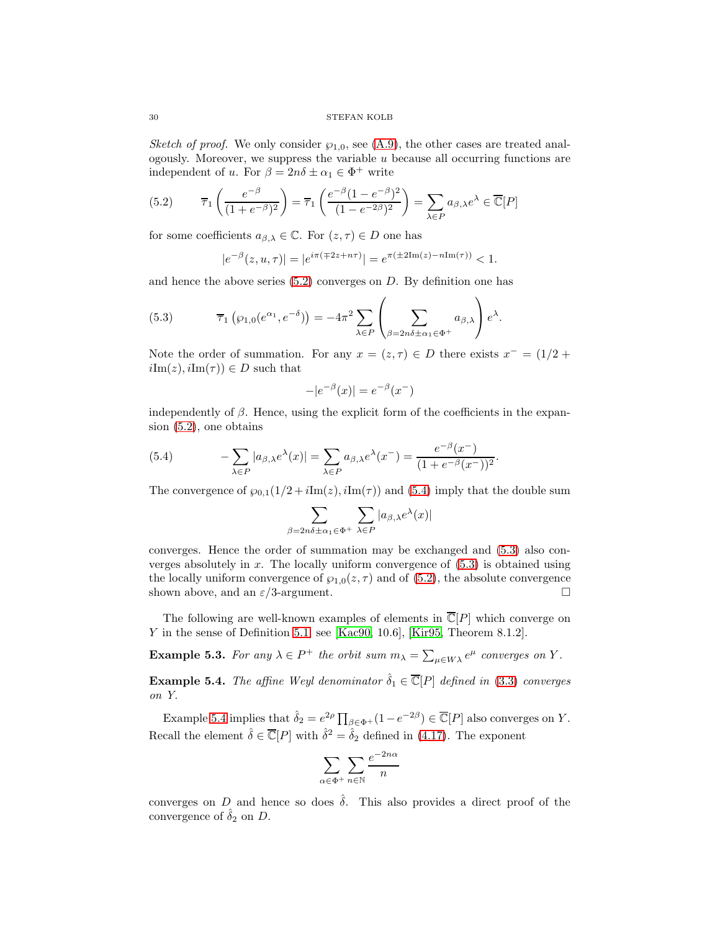Sketch of proof. We only consider  $\wp_{1,0}$ , see [\(A.9\)](#page-34-3), the other cases are treated analogously. Moreover, we suppress the variable  $u$  because all occurring functions are independent of u. For  $\beta = 2n\delta \pm \alpha_1 \in \Phi^+$  write

<span id="page-29-0"></span>(5.2) 
$$
\overline{\tau}_1\left(\frac{e^{-\beta}}{(1+e^{-\beta})^2}\right) = \overline{\tau}_1\left(\frac{e^{-\beta}(1-e^{-\beta})^2}{(1-e^{-2\beta})^2}\right) = \sum_{\lambda \in P} a_{\beta,\lambda} e^{\lambda} \in \overline{\mathbb{C}}[P]
$$

for some coefficients  $a_{\beta,\lambda} \in \mathbb{C}$ . For  $(z,\tau) \in D$  one has

$$
|e^{-\beta}(z, u, \tau)| = |e^{i\pi(\mp 2z + n\tau)}| = e^{\pi(\pm 2\mathrm{Im}(z) - n\mathrm{Im}(\tau))} < 1.
$$

and hence the above series  $(5.2)$  converges on D. By definition one has

<span id="page-29-2"></span>(5.3) 
$$
\overline{\tau}_1(\wp_{1,0}(e^{\alpha_1},e^{-\delta})) = -4\pi^2 \sum_{\lambda \in P} \left( \sum_{\beta = 2n\delta \pm \alpha_1 \in \Phi^+} a_{\beta,\lambda} \right) e^{\lambda}.
$$

Note the order of summation. For any  $x = (z, \tau) \in D$  there exists  $x^- = (1/2 + \tau)$  $iIm(z), iIm(\tau)) \in D$  such that

$$
-|e^{-\beta}(x)| = e^{-\beta}(x^{-})
$$

independently of  $\beta$ . Hence, using the explicit form of the coefficients in the expansion [\(5.2\)](#page-29-0), one obtains

<span id="page-29-1"></span>(5.4) 
$$
-\sum_{\lambda \in P} |a_{\beta,\lambda} e^{\lambda}(x)| = \sum_{\lambda \in P} a_{\beta,\lambda} e^{\lambda}(x^{-}) = \frac{e^{-\beta}(x^{-})}{(1 + e^{-\beta}(x^{-}))^{2}}.
$$

The convergence of  $\wp_{0,1}(1/2+i\mathrm{Im}(z),i\mathrm{Im}(\tau))$  and [\(5.4\)](#page-29-1) imply that the double sum

$$
\sum_{\beta=2n\delta\pm\alpha_1\in\Phi^+}\sum_{\lambda\in P}|a_{\beta,\lambda}e^{\lambda}(x)|
$$

converges. Hence the order of summation may be exchanged and [\(5.3\)](#page-29-2) also converges absolutely in x. The locally uniform convergence of  $(5.3)$  is obtained using the locally uniform convergence of  $\wp_{1,0}(z,\tau)$  and of [\(5.2\)](#page-29-0), the absolute convergence shown above, and an  $\varepsilon/3$ -argument.

The following are well-known examples of elements in  $\mathbb{C}[P]$  which converge on Y in the sense of Definition [5.1,](#page-28-2) see [\[Kac90,](#page-36-22) 10.6], [\[Kir95,](#page-36-10) Theorem 8.1.2].

<span id="page-29-4"></span>**Example 5.3.** For any  $\lambda \in P^+$  the orbit sum  $m_{\lambda} = \sum_{\mu \in W\lambda} e^{\mu}$  converges on Y.

<span id="page-29-3"></span>**Example 5.4.** The affine Weyl denominator  $\hat{\delta}_1 \in \overline{\mathbb{C}}[P]$  defined in [\(3.3\)](#page-12-3) converges on Y.

Example [5.4](#page-29-3) implies that  $\hat{\delta}_2 = e^{2\rho} \prod_{\beta \in \Phi^+} (1 - e^{-2\beta}) \in \overline{\mathbb{C}}[P]$  also converges on Y. Recall the element  $\hat{\delta} \in \overline{\mathbb{C}}[P]$  with  $\hat{\delta}^2 = \hat{\delta}_2$  defined in [\(4.17\)](#page-23-5). The exponent

$$
\sum_{\alpha \in \Phi^+} \sum_{n \in \mathbb{N}} \frac{e^{-2n\alpha}}{n}
$$

converges on D and hence so does  $\hat{\delta}$ . This also provides a direct proof of the convergence of  $\delta_2$  on D.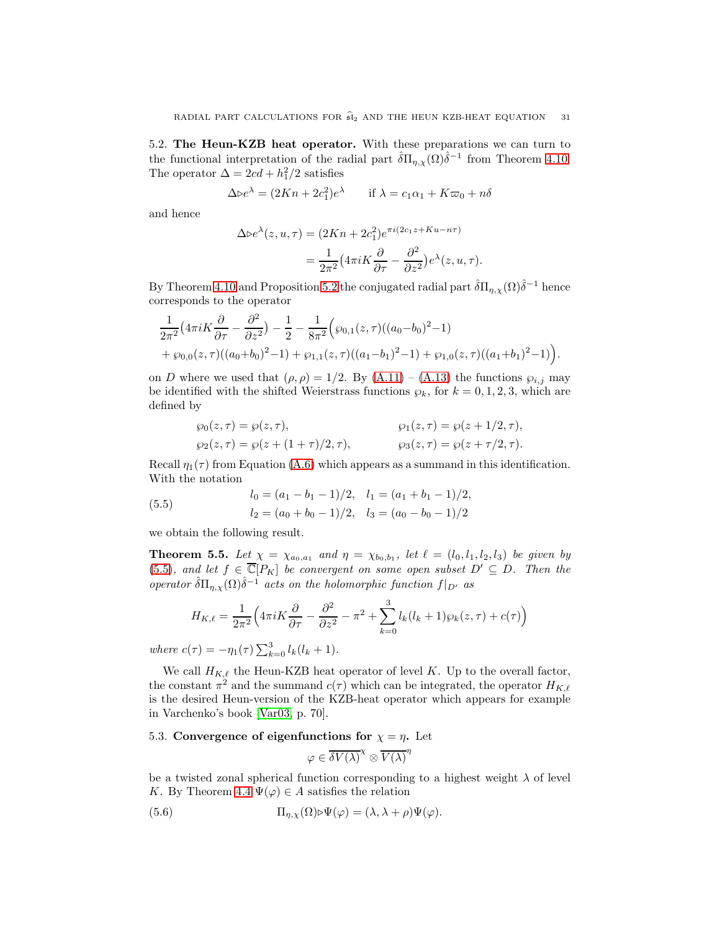<span id="page-30-1"></span>5.2. The Heun-KZB heat operator. With these preparations we can turn to the functional interpretation of the radial part  $\hat{\delta} \Pi_{\eta,\chi}(\Omega) \hat{\delta}^{-1}$  from Theorem [4.10.](#page-27-0) The operator  $\Delta = 2cd + h_1^2/2$  satisfies

$$
\Delta \triangleright e^{\lambda} = (2Kn + 2c_1^2)e^{\lambda} \qquad \text{if } \lambda = c_1\alpha_1 + K\varpi_0 + n\delta
$$

and hence

$$
\Delta \triangleright e^{\lambda}(z, u, \tau) = (2Kn + 2c_1^2) e^{\pi i (2c_1 z + Ku - n\tau)}
$$
  
= 
$$
\frac{1}{2\pi^2} \left( 4\pi i K \frac{\partial}{\partial \tau} - \frac{\partial^2}{\partial z^2} \right) e^{\lambda}(z, u, \tau).
$$

By Theorem [4.10](#page-27-0) and Proposition [5.2](#page-28-3) the conjugated radial part  $\hat{\delta} \Pi_{\eta,\chi}(\Omega) \hat{\delta}^{-1}$  hence corresponds to the operator

$$
\frac{1}{2\pi^2} \left(4\pi i K \frac{\partial}{\partial \tau} - \frac{\partial^2}{\partial z^2}\right) - \frac{1}{2} - \frac{1}{8\pi^2} \left(\wp_{0,1}(z,\tau)((a_0 - b_0)^2 - 1) + \wp_{0,0}(z,\tau)((a_0 + b_0)^2 - 1) + \wp_{1,1}(z,\tau)((a_1 - b_1)^2 - 1) + \wp_{1,0}(z,\tau)((a_1 + b_1)^2 - 1)\right).
$$

on D where we used that  $(\rho, \rho) = 1/2$ . By  $(A.11) - (A.13)$  $(A.11) - (A.13)$  the functions  $\wp_{i,j}$  may be identified with the shifted Weierstrass functions  $\wp_k$ , for  $k = 0, 1, 2, 3$ , which are defined by

<span id="page-30-3"></span>
$$
\begin{aligned}\n\wp_0(z,\tau) &= \wp(z,\tau), & \wp_1(z,\tau) &= \wp(z+1/2,\tau), \\
\wp_2(z,\tau) &= \wp(z+(1+\tau)/2,\tau), & \wp_3(z,\tau) &= \wp(z+\tau/2,\tau).\n\end{aligned}
$$

Recall  $\eta_1(\tau)$  from Equation [\(A.6\)](#page-34-4) which appears as a summand in this identification. With the notation

(5.5) 
$$
l_0 = (a_1 - b_1 - 1)/2, \quad l_1 = (a_1 + b_1 - 1)/2, l_2 = (a_0 + b_0 - 1)/2, \quad l_3 = (a_0 - b_0 - 1)/2
$$

we obtain the following result.

<span id="page-30-0"></span>**Theorem 5.5.** Let  $\chi = \chi_{a_0,a_1}$  and  $\eta = \chi_{b_0,b_1}$ , let  $\ell = (l_0, l_1, l_2, l_3)$  be given by [\(5.5\)](#page-30-3), and let  $f \in \overline{\mathbb{C}}[P_K]$  be convergent on some open subset  $D' \subseteq D$ . Then the operator  $\hat{\delta} \Pi_{\eta, \chi}(\Omega) \hat{\delta}^{-1}$  acts on the holomorphic function  $f|_{D'}$  as

$$
H_{K,\ell} = \frac{1}{2\pi^2} \Big( 4\pi i K \frac{\partial}{\partial \tau} - \frac{\partial^2}{\partial z^2} - \pi^2 + \sum_{k=0}^3 l_k (l_k + 1) \wp_k(z, \tau) + c(\tau) \Big)
$$

where  $c(\tau) = -\eta_1(\tau) \sum_{k=0}^3 l_k(l_k+1)$ .

We call  $H_{K,\ell}$  the Heun-KZB heat operator of level K. Up to the overall factor, the constant  $\pi^2$  and the summand  $c(\tau)$  which can be integrated, the operator  $H_{K,\ell}$ is the desired Heun-version of the KZB-heat operator which appears for example in Varchenko's book [\[Var03,](#page-37-2) p. 70].

# <span id="page-30-2"></span>5.3. Convergence of eigenfunctions for  $\chi = \eta$ . Let

$$
\varphi \in \overline{\delta V(\lambda)}^{\chi} \otimes \overline{V(\lambda)}^{\eta}
$$

be a twisted zonal spherical function corresponding to a highest weight  $\lambda$  of level K. By Theorem [4.4](#page-20-0)  $\Psi(\varphi) \in A$  satisfies the relation

<span id="page-30-4"></span>(5.6) 
$$
\Pi_{\eta,\chi}(\Omega) \triangleright \Psi(\varphi) = (\lambda, \lambda + \rho) \Psi(\varphi).
$$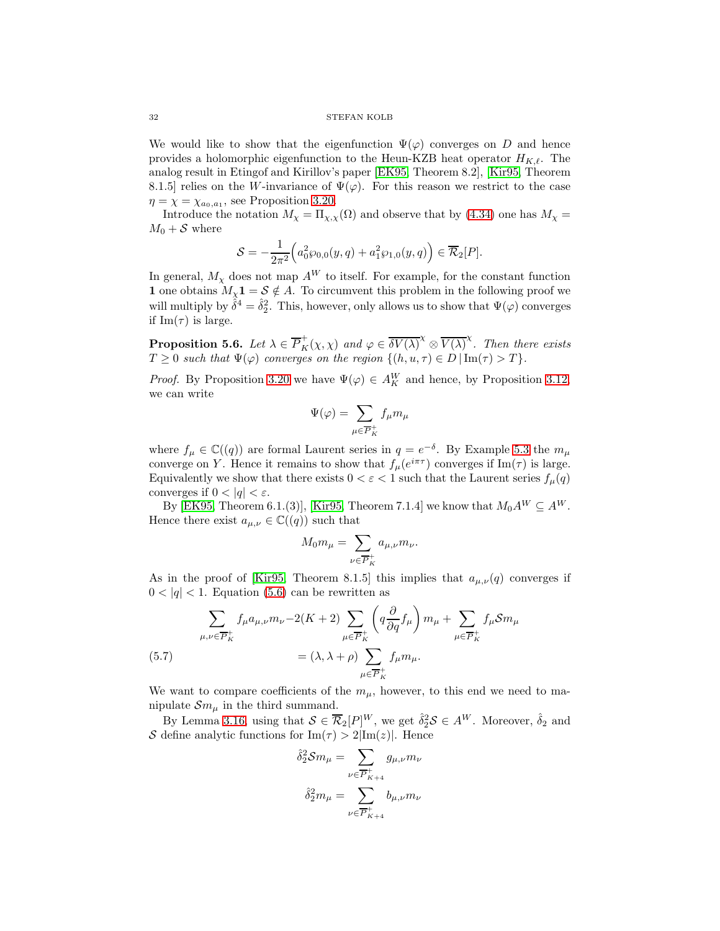#### 32 STEFAN KOLB

We would like to show that the eigenfunction  $\Psi(\varphi)$  converges on D and hence provides a holomorphic eigenfunction to the Heun-KZB heat operator  $H_{K,\ell}$ . The analog result in Etingof and Kirillov's paper [\[EK95,](#page-35-4) Theorem 8.2], [\[Kir95,](#page-36-10) Theorem 8.1.5] relies on the W-invariance of  $\Psi(\varphi)$ . For this reason we restrict to the case  $\eta = \chi = \chi_{a_0, a_1}$ , see Proposition [3.20.](#page-16-0)

Introduce the notation  $M_{\chi} = \Pi_{\chi,\chi}(\Omega)$  and observe that by [\(4.34\)](#page-27-1) one has  $M_{\chi} =$  $M_0 + S$  where

$$
\mathcal{S} = -\frac{1}{2\pi^2} \Big( a_0^2 \wp_{0,0}(y,q) + a_1^2 \wp_{1,0}(y,q) \Big) \in \overline{\mathcal{R}}_2[P].
$$

In general,  $M_{\chi}$  does not map  $A^{W}$  to itself. For example, for the constant function 1 one obtains  $M_{\chi}$ 1 = S  $\notin$  A. To circumvent this problem in the following proof we will multiply by  $\hat{\delta}^4 = \hat{\delta}_2^2$ . This, however, only allows us to show that  $\Psi(\varphi)$  converges if  $\text{Im}(\tau)$  is large.

**Proposition 5.6.** Let  $\lambda \in \overline{P}_K^+(\chi,\chi)$  and  $\varphi \in \overline{\delta V(\lambda)}^\chi \otimes \overline{V(\lambda)}^\chi$ . Then there exists  $T \geq 0$  such that  $\Psi(\varphi)$  converges on the region  $\{(h, u, \tau) \in D \mid \text{Im}(\tau) > T\}.$ 

*Proof.* By Proposition [3.20](#page-16-0) we have  $\Psi(\varphi) \in A_K^W$  and hence, by Proposition [3.12,](#page-12-1) we can write

$$
\Psi(\varphi)=\sum_{\mu\in \overline{P}_K^+}f_\mu m_\mu
$$

where  $f_{\mu} \in \mathbb{C}((q))$  are formal Laurent series in  $q = e^{-\delta}$ . By Example [5.3](#page-29-4) the  $m_{\mu}$ converge on Y. Hence it remains to show that  $f_{\mu}(e^{i\pi\tau})$  converges if  $\text{Im}(\tau)$  is large. Equivalently we show that there exists  $0 < \varepsilon < 1$  such that the Laurent series  $f_{\mu}(q)$ converges if  $0 < |q| < \varepsilon$ .

By [\[EK95,](#page-35-4) Theorem 6.1.(3)], [\[Kir95,](#page-36-10) Theorem 7.1.4] we know that  $M_0A^W \subseteq A^W$ . Hence there exist  $a_{\mu,\nu} \in \mathbb{C}((q))$  such that

$$
M_0 m_\mu = \sum_{\nu \in \overline{P}_K^+} a_{\mu,\nu} m_\nu.
$$

As in the proof of [\[Kir95,](#page-36-10) Theorem 8.1.5] this implies that  $a_{\mu,\nu}(q)$  converges if  $0 < |q| < 1$ . Equation [\(5.6\)](#page-30-4) can be rewritten as

(5.7) 
$$
\sum_{\mu,\nu \in \overline{P}_K^+} f_{\mu} a_{\mu,\nu} m_{\nu} - 2(K+2) \sum_{\mu \in \overline{P}_K^+} \left( q \frac{\partial}{\partial q} f_{\mu} \right) m_{\mu} + \sum_{\mu \in \overline{P}_K^+} f_{\mu} \mathcal{S} m_{\mu}
$$

$$
= (\lambda, \lambda + \rho) \sum_{\mu \in \overline{P}_K^+} f_{\mu} m_{\mu}.
$$

<span id="page-31-0"></span>We want to compare coefficients of the  $m_{\mu}$ , however, to this end we need to manipulate  $\mathcal{S}m_{\mu}$  in the third summand.

By Lemma [3.16,](#page-14-0) using that  $S \in \overline{\mathcal{R}}_2[P]^W$ , we get  $\hat{\delta}_2^2 S \in A^W$ . Moreover,  $\hat{\delta}_2$  and S define analytic functions for  $\text{Im}(\tau) > 2|\text{Im}(z)|$ . Hence

$$
\hat{\delta}_2^2 \mathcal{S} m_\mu = \sum_{\nu \in \overline{P}_{K+4}^+} g_{\mu,\nu} m_\nu
$$

$$
\hat{\delta}_2^2 m_\mu = \sum_{\nu \in \overline{P}_{K+4}^+} b_{\mu,\nu} m_\nu
$$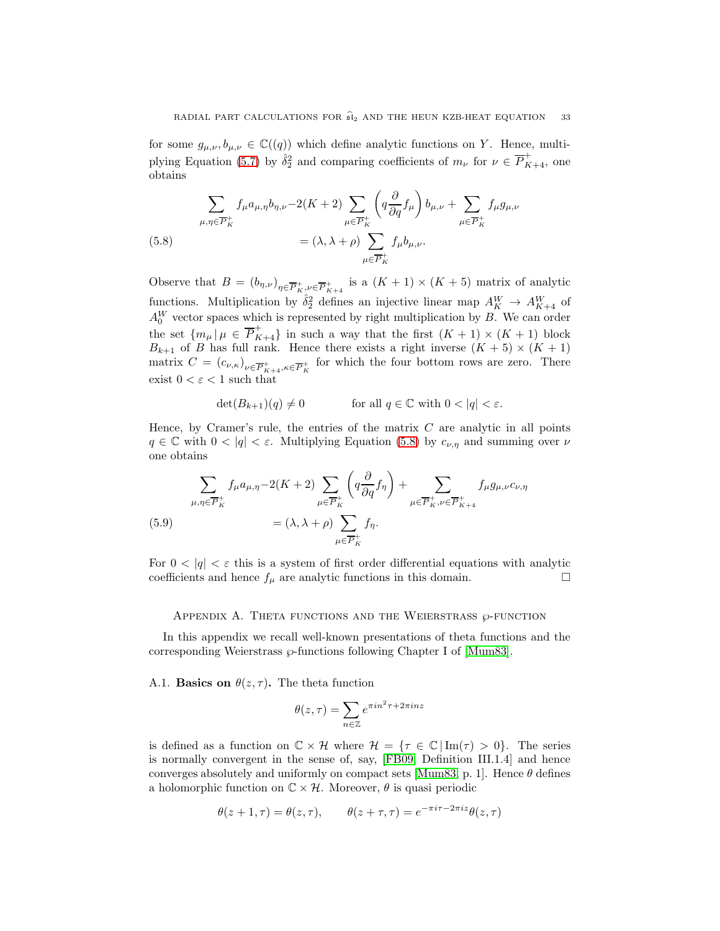for some  $g_{\mu,\nu}, b_{\mu,\nu} \in \mathbb{C}((q))$  which define analytic functions on Y. Hence, multi-plying Equation [\(5.7\)](#page-31-0) by  $\hat{\delta}_2^2$  and comparing coefficients of  $m_\nu$  for  $\nu \in \overline{P}_{K+4}^+$ , one obtains

<span id="page-32-1"></span>(5.8) 
$$
\sum_{\mu,\eta \in \overline{P}_K^+} f_{\mu} a_{\mu,\eta} b_{\eta,\nu} - 2(K+2) \sum_{\mu \in \overline{P}_K^+} \left( q \frac{\partial}{\partial q} f_{\mu} \right) b_{\mu,\nu} + \sum_{\mu \in \overline{P}_K^+} f_{\mu} g_{\mu,\nu}
$$

$$
= (\lambda, \lambda + \rho) \sum_{\mu \in \overline{P}_K^+} f_{\mu} b_{\mu,\nu}.
$$

Observe that  $B = (b_{\eta,\nu})_{\eta \in \overline{P}_{K}^{+}, \nu \in \overline{P}_{K+4}^{+}}$  is a  $(K+1) \times (K+5)$  matrix of analytic functions. Multiplication by  $\hat{\delta}_2^2$  defines an injective linear map  $A_K^W \to A_{K+4}^W$  of  $A_0^W$  vector spaces which is represented by right multiplication by B. We can order the set  ${m_\mu | \mu \in \overline{P}_{K+4}^+}$  in such a way that the first  $(K+1) \times (K+1)$  block  $B_{k+1}$  of B has full rank. Hence there exists a right inverse  $(K+5) \times (K+1)$ matrix  $C = (c_{\nu,\kappa})_{\nu \in \overline{P}_{K+4}^+, \kappa \in \overline{P}_{K}^+}$  for which the four bottom rows are zero. There exist  $0 < \varepsilon < 1$  such that

$$
\det(B_{k+1})(q) \neq 0 \qquad \text{for all } q \in \mathbb{C} \text{ with } 0 < |q| < \varepsilon.
$$

Hence, by Cramer's rule, the entries of the matrix  $C$  are analytic in all points  $q \in \mathbb{C}$  with  $0 < |q| < \varepsilon$ . Multiplying Equation [\(5.8\)](#page-32-1) by  $c_{\nu,\eta}$  and summing over  $\nu$ one obtains

(5.9) 
$$
\sum_{\mu,\eta \in \overline{P}_K^+} f_{\mu} a_{\mu,\eta} - 2(K+2) \sum_{\mu \in \overline{P}_K^+} \left( q \frac{\partial}{\partial q} f_{\eta} \right) + \sum_{\mu \in \overline{P}_K^+, \nu \in \overline{P}_{K+4}^+} f_{\mu} g_{\mu,\nu} c_{\nu,\eta}
$$
  

$$
= (\lambda, \lambda + \rho) \sum_{\mu \in \overline{P}_K^+} f_{\eta}.
$$

For  $0 < |q| < \varepsilon$  this is a system of first order differential equations with analytic coefficients and hence  $f_{\mu}$  are analytic functions in this domain.  $\Box$ 

### <span id="page-32-0"></span>APPENDIX A. THETA FUNCTIONS AND THE WEIERSTRASS  $\wp$ -FUNCTION

In this appendix we recall well-known presentations of theta functions and the corresponding Weierstrass  $\wp$ -functions following Chapter I of [\[Mum83\]](#page-36-21).

<span id="page-32-2"></span>A.1. **Basics on**  $\theta(z, \tau)$ . The theta function

$$
\theta(z,\tau)=\sum_{n\in\mathbb{Z}}e^{\pi in^2\tau+2\pi inz}
$$

is defined as a function on  $\mathbb{C} \times \mathcal{H}$  where  $\mathcal{H} = {\tau \in \mathbb{C} | \text{Im}(\tau) > 0}.$  The series is normally convergent in the sense of, say, [\[FB09,](#page-35-19) Definition III.1.4] and hence converges absolutely and uniformly on compact sets [\[Mum83,](#page-36-21) p. 1]. Hence  $\theta$  defines a holomorphic function on  $\mathbb{C} \times \mathcal{H}$ . Moreover,  $\theta$  is quasi periodic

$$
\theta(z+1,\tau) = \theta(z,\tau), \qquad \theta(z+\tau,\tau) = e^{-\pi i \tau - 2\pi i z} \theta(z,\tau)
$$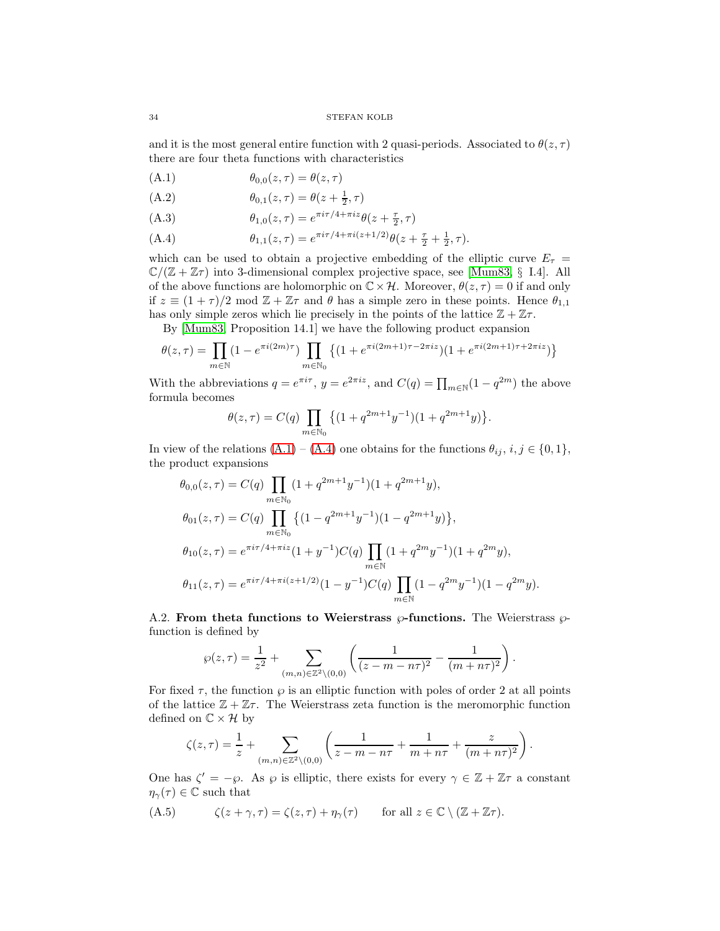and it is the most general entire function with 2 quasi-periods. Associated to  $\theta(z, \tau)$ there are four theta functions with characteristics

<span id="page-33-1"></span>
$$
(A.1) \qquad \theta_{0,0}(z,\tau) = \theta(z,\tau)
$$

(A.2) 
$$
\theta_{0,1}(z,\tau) = \theta(z + \frac{1}{2}, \tau)
$$

(A.3) 
$$
\theta_{1,0}(z,\tau) = e^{\pi i \tau/4 + \pi i z} \theta(z + \frac{\tau}{2}, \tau)
$$

<span id="page-33-2"></span>(A.4) 
$$
\theta_{1,1}(z,\tau) = e^{\pi i \tau/4 + \pi i (z+1/2)} \theta(z+\frac{\tau}{2}+\frac{1}{2},\tau).
$$

which can be used to obtain a projective embedding of the elliptic curve  $E_{\tau}$  =  $\mathbb{C}/(\mathbb{Z} + \mathbb{Z}\tau)$  into 3-dimensional complex projective space, see [\[Mum83,](#page-36-21) § I.4]. All of the above functions are holomorphic on  $\mathbb{C}\times\mathcal{H}$ . Moreover,  $\theta(z,\tau)=0$  if and only if  $z \equiv (1 + \tau)/2 \mod \mathbb{Z} + \mathbb{Z}\tau$  and  $\theta$  has a simple zero in these points. Hence  $\theta_{1,1}$ has only simple zeros which lie precisely in the points of the lattice  $\mathbb{Z} + \mathbb{Z}\tau$ .

By [\[Mum83,](#page-36-21) Proposition 14.1] we have the following product expansion

$$
\theta(z,\tau) = \prod_{m \in \mathbb{N}} (1 - e^{\pi i (2m)\tau}) \prod_{m \in \mathbb{N}_0} \left\{ (1 + e^{\pi i (2m+1)\tau - 2\pi i z}) (1 + e^{\pi i (2m+1)\tau + 2\pi i z}) \right\}
$$

With the abbreviations  $q = e^{\pi i \tau}$ ,  $y = e^{2\pi i z}$ , and  $C(q) = \prod_{m \in \mathbb{N}} (1 - q^{2m})$  the above formula becomes

$$
\theta(z,\tau) = C(q) \prod_{m \in \mathbb{N}_0} \left\{ (1 + q^{2m+1} y^{-1})(1 + q^{2m+1} y) \right\}.
$$

In view of the relations  $(A.1) - (A.4)$  $(A.1) - (A.4)$  one obtains for the functions  $\theta_{ij}, i, j \in \{0, 1\},$ the product expansions

$$
\theta_{0,0}(z,\tau) = C(q) \prod_{m \in \mathbb{N}_0} (1 + q^{2m+1}y^{-1})(1 + q^{2m+1}y),
$$
  
\n
$$
\theta_{01}(z,\tau) = C(q) \prod_{m \in \mathbb{N}_0} \left\{ (1 - q^{2m+1}y^{-1})(1 - q^{2m+1}y) \right\},
$$
  
\n
$$
\theta_{10}(z,\tau) = e^{\pi i \tau/4 + \pi i z} (1 + y^{-1}) C(q) \prod_{m \in \mathbb{N}} (1 + q^{2m}y^{-1})(1 + q^{2m}y),
$$
  
\n
$$
\theta_{11}(z,\tau) = e^{\pi i \tau/4 + \pi i (z+1/2)} (1 - y^{-1}) C(q) \prod_{m \in \mathbb{N}} (1 - q^{2m}y^{-1})(1 - q^{2m}y).
$$

<span id="page-33-0"></span>A.2. From theta functions to Weierstrass  $\wp$ -functions. The Weierstrass  $\wp$ function is defined by

$$
\wp(z,\tau) = \frac{1}{z^2} + \sum_{(m,n)\in\mathbb{Z}^2\backslash{(0,0)}} \left( \frac{1}{(z-m-n\tau)^2} - \frac{1}{(m+n\tau)^2} \right).
$$

For fixed  $\tau$ , the function  $\varphi$  is an elliptic function with poles of order 2 at all points of the lattice  $\mathbb{Z} + \mathbb{Z}\tau$ . The Weierstrass zeta function is the meromorphic function defined on  $\mathbb{C} \times \mathcal{H}$  by

$$
\zeta(z,\tau) = \frac{1}{z} + \sum_{(m,n)\in\mathbb{Z}^2\backslash{(0,0)}} \left( \frac{1}{z-m-n\tau} + \frac{1}{m+n\tau} + \frac{z}{(m+n\tau)^2} \right).
$$

One has  $\zeta' = -\wp$ . As  $\wp$  is elliptic, there exists for every  $\gamma \in \mathbb{Z} + \mathbb{Z}\tau$  a constant  $\eta_{\gamma}(\tau) \in \mathbb{C}$  such that

<span id="page-33-3"></span>(A.5) 
$$
\zeta(z+\gamma,\tau)=\zeta(z,\tau)+\eta_{\gamma}(\tau) \quad \text{for all } z\in\mathbb{C}\setminus(\mathbb{Z}+\mathbb{Z}\tau).
$$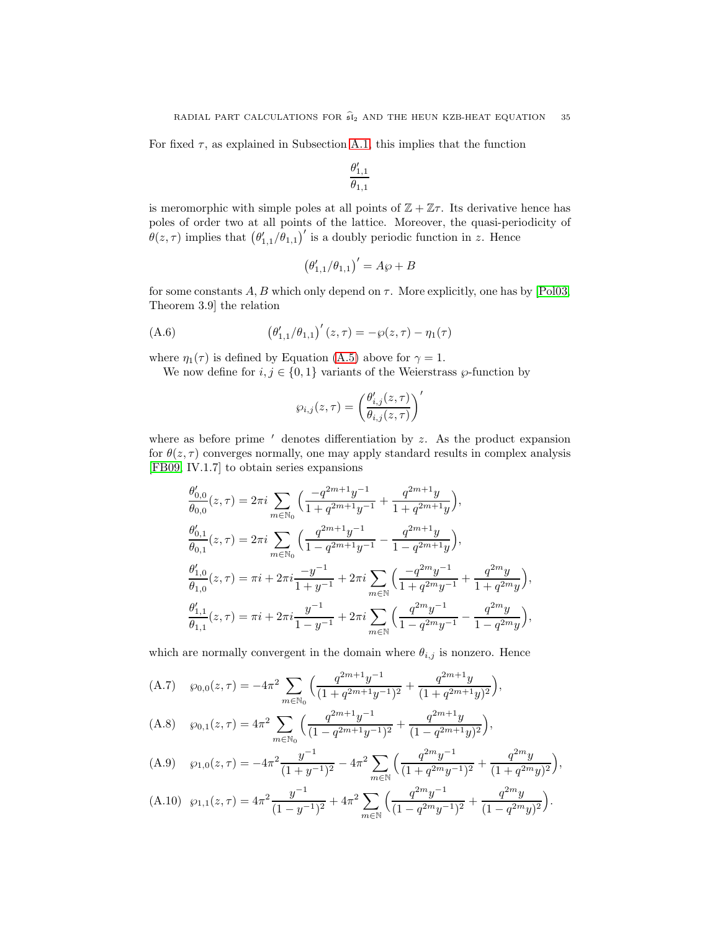For fixed  $\tau$ , as explained in Subsection [A.1,](#page-32-2) this implies that the function

$$
\frac{\theta'_{1,1}}{\theta_{1,1}}
$$

is meromorphic with simple poles at all points of  $\mathbb{Z} + \mathbb{Z}\tau$ . Its derivative hence has poles of order two at all points of the lattice. Moreover, the quasi-periodicity of  $\theta(z,\tau)$  implies that  $(\theta'_{1,1}/\theta_{1,1})'$  is a doubly periodic function in z. Hence

$$
\left(\theta_{1,1}/\theta_{1,1}\right)' = A\wp + B
$$

for some constants  $A, B$  which only depend on  $\tau$ . More explicitly, one has by [\[Pol03,](#page-36-28) Theorem 3.9] the relation

<span id="page-34-4"></span>(A.6) 
$$
(\theta'_{1,1}/\theta_{1,1})'(z,\tau) = -\wp(z,\tau) - \eta_1(\tau)
$$

where  $\eta_1(\tau)$  is defined by Equation [\(A.5\)](#page-33-3) above for  $\gamma = 1$ .

We now define for  $i, j \in \{0, 1\}$  variants of the Weierstrass  $\wp$ -function by

$$
\wp_{i,j}(z,\tau) = \left(\frac{\theta'_{i,j}(z,\tau)}{\theta_{i,j}(z,\tau)}\right)'
$$

where as before prime  $'$  denotes differentiation by  $z$ . As the product expansion for  $\theta(z, \tau)$  converges normally, one may apply standard results in complex analysis [\[FB09,](#page-35-19) IV.1.7] to obtain series expansions

$$
\begin{split} &\frac{\theta'_{0,0}}{\theta_{0,0}}(z,\tau)=2\pi i\sum_{m\in\mathbb{N}_0}\Big(\frac{-q^{2m+1}y^{-1}}{1+q^{2m+1}y^{-1}}+\frac{q^{2m+1}y}{1+q^{2m+1}y}\Big),\\ &\frac{\theta'_{0,1}}{\theta_{0,1}}(z,\tau)=2\pi i\sum_{m\in\mathbb{N}_0}\Big(\frac{q^{2m+1}y^{-1}}{1-q^{2m+1}y^{-1}}-\frac{q^{2m+1}y}{1-q^{2m+1}y}\Big),\\ &\frac{\theta'_{1,0}}{\theta_{1,0}}(z,\tau)=\pi i+2\pi i\frac{-y^{-1}}{1+y^{-1}}+2\pi i\sum_{m\in\mathbb{N}}\Big(\frac{-q^{2m}y^{-1}}{1+q^{2m}y^{-1}}+\frac{q^{2m}y}{1+q^{2m}y}\Big),\\ &\frac{\theta'_{1,1}}{\theta_{1,1}}(z,\tau)=\pi i+2\pi i\frac{y^{-1}}{1-y^{-1}}+2\pi i\sum_{m\in\mathbb{N}}\Big(\frac{q^{2m}y^{-1}}{1-q^{2m}y^{-1}}-\frac{q^{2m}y}{1-q^{2m}y}\Big), \end{split}
$$

which are normally convergent in the domain where  $\theta_{i,j}$  is nonzero. Hence

<span id="page-34-0"></span>(A.7) 
$$
\wp_{0,0}(z,\tau) = -4\pi^2 \sum_{m \in \mathbb{N}_0} \left( \frac{q^{2m+1}y^{-1}}{(1+q^{2m+1}y^{-1})^2} + \frac{q^{2m+1}y}{(1+q^{2m+1}y)^2} \right),
$$

<span id="page-34-2"></span>(A.8) 
$$
\wp_{0,1}(z,\tau) = 4\pi^2 \sum_{m \in \mathbb{N}_0} \left( \frac{q^{2m+1}y^{-1}}{(1-q^{2m+1}y^{-1})^2} + \frac{q^{2m+1}y}{(1-q^{2m+1}y)^2} \right),
$$

<span id="page-34-3"></span>(A.9) 
$$
\wp_{1,0}(z,\tau) = -4\pi^2 \frac{y^{-1}}{(1+y^{-1})^2} - 4\pi^2 \sum_{m \in \mathbb{N}} \left( \frac{q^{2m}y^{-1}}{(1+q^{2m}y^{-1})^2} + \frac{q^{2m}y}{(1+q^{2m}y)^2} \right),
$$

<span id="page-34-1"></span>(A.10) 
$$
\wp_{1,1}(z,\tau) = 4\pi^2 \frac{y^{-1}}{(1-y^{-1})^2} + 4\pi^2 \sum_{m \in \mathbb{N}} \left( \frac{q^{2m}y^{-1}}{(1-q^{2m}y^{-1})^2} + \frac{q^{2m}y}{(1-q^{2m}y)^2} \right).
$$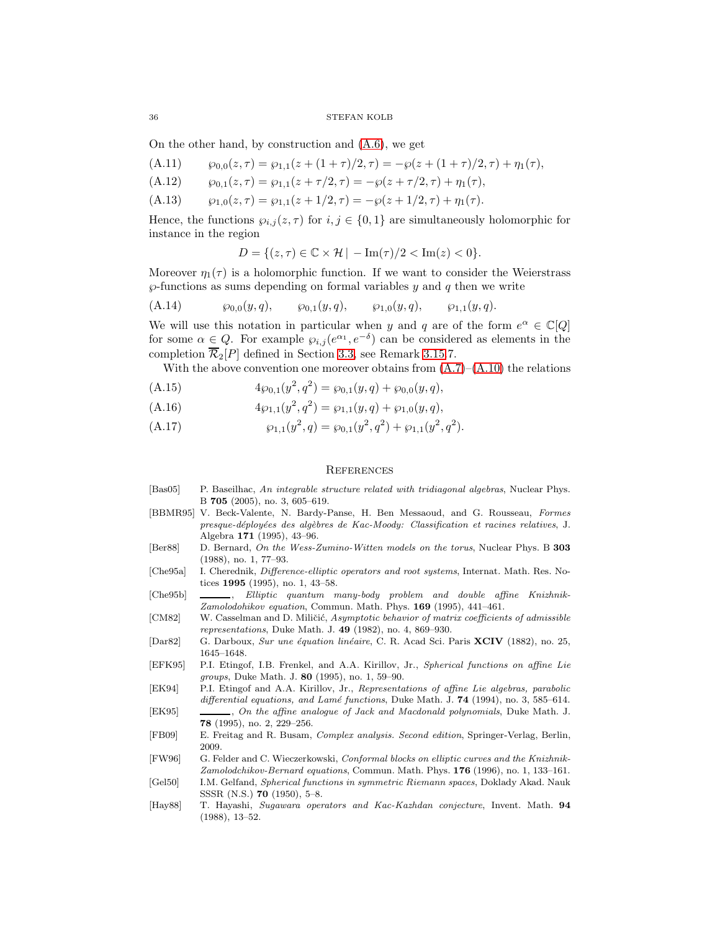36 STEFAN KOLB

On the other hand, by construction and [\(A.6\)](#page-34-4), we get

<span id="page-35-17"></span>(A.11) 
$$
\varphi_{0,0}(z,\tau) = \varphi_{1,1}(z+(1+\tau)/2,\tau) = -\varphi(z+(1+\tau)/2,\tau) + \eta_1(\tau),
$$

(A.12) 
$$
\wp_{0,1}(z,\tau) = \wp_{1,1}(z+\tau/2,\tau) = -\wp(z+\tau/2,\tau) + \eta_1(\tau),
$$

<span id="page-35-18"></span>(A.13)  $\wp_{1,0}(z,\tau) = \wp_{1,1}(z+1/2,\tau) = -\wp(z+1/2,\tau) + \eta_1(\tau).$ 

Hence, the functions  $\wp_{i,j}(z,\tau)$  for  $i,j \in \{0,1\}$  are simultaneously holomorphic for instance in the region

$$
D = \{(z, \tau) \in \mathbb{C} \times \mathcal{H} \mid -\operatorname{Im}(\tau)/2 < \operatorname{Im}(z) < 0\}.
$$

Moreover  $\eta_1(\tau)$  is a holomorphic function. If we want to consider the Weierstrass  $\wp$ -functions as sums depending on formal variables  $y$  and  $q$  then we write

<span id="page-35-13"></span>(A.14) ℘<sup>0</sup>,<sup>0</sup>(y, q), ℘<sup>0</sup>,<sup>1</sup>(y, q), ℘<sup>1</sup>,<sup>0</sup>(y, q), ℘<sup>1</sup>,<sup>1</sup>(y, q).

We will use this notation in particular when y and q are of the form  $e^{\alpha} \in \mathbb{C}[Q]$ for some  $\alpha \in Q$ . For example  $\wp_{i,j}(e^{\alpha_1}, e^{-\delta})$  can be considered as elements in the completion  $\overline{\mathcal{R}}_2[P]$  defined in Section [3.3,](#page-13-0) see Remark [3.15.](#page-14-1)7.

With the above convention one moreover obtains from  $(A.7)$ – $(A.10)$  the relations

<span id="page-35-14"></span>(A.15) 
$$
4\wp_{0,1}(y^2,q^2) = \wp_{0,1}(y,q) + \wp_{0,0}(y,q),
$$

<span id="page-35-15"></span>(A.16) 
$$
4\wp_{1,1}(y^2,q^2) = \wp_{1,1}(y,q) + \wp_{1,0}(y,q),
$$

<span id="page-35-16"></span>(A.17) 
$$
\wp_{1,1}(y^2,q) = \wp_{0,1}(y^2,q^2) + \wp_{1,1}(y^2,q^2).
$$

## **REFERENCES**

- <span id="page-35-10"></span>[Bas05] P. Baseilhac, An integrable structure related with tridiagonal algebras, Nuclear Phys. B 705 (2005), no. 3, 605–619.
- <span id="page-35-9"></span>[BBMR95] V. Beck-Valente, N. Bardy-Panse, H. Ben Messaoud, and G. Rousseau, Formes presque-déployées des algèbres de Kac-Moody: Classification et racines relatives, J. Algebra 171 (1995), 43–96.
- <span id="page-35-5"></span>[Ber88] D. Bernard, On the Wess-Zumino-Witten models on the torus, Nuclear Phys. B 303 (1988), no. 1, 77–93.
- <span id="page-35-11"></span>[Che95a] I. Cherednik, Difference-elliptic operators and root systems, Internat. Math. Res. Notices 1995 (1995), no. 1, 43–58.
- <span id="page-35-7"></span>[Che95b]  $\_\_\_\_\_\_\$  Elliptic quantum many-body problem and double affine Knizhnik-Zamolodohikov equation, Commun. Math. Phys. 169 (1995), 441–461.
- <span id="page-35-8"></span>[CM82] W. Casselman and D. Miličić, Asymptotic behavior of matrix coefficients of admissible representations, Duke Math. J. 49 (1982), no. 4, 869–930.
- <span id="page-35-0"></span>[Dar82] G. Darboux, Sur une équation linéaire, C. R. Acad Sci. Paris XCIV (1882), no. 25, 1645–1648.
- <span id="page-35-3"></span>[EFK95] P.I. Etingof, I.B. Frenkel, and A.A. Kirillov, Jr., Spherical functions on affine Lie groups, Duke Math. J. 80 (1995), no. 1, 59–90.
- <span id="page-35-2"></span>[EK94] P.I. Etingof and A.A. Kirillov, Jr., Representations of affine Lie algebras, parabolic differential equations, and Lamé functions, Duke Math. J.  $74$  (1994), no. 3, 585–614.
- <span id="page-35-4"></span>[EK95] , On the affine analogue of Jack and Macdonald polynomials, Duke Math. J. 78 (1995), no. 2, 229–256.
- <span id="page-35-19"></span>[FB09] E. Freitag and R. Busam, Complex analysis. Second edition, Springer-Verlag, Berlin, 2009.
- <span id="page-35-6"></span>[FW96] G. Felder and C. Wieczerkowski, Conformal blocks on elliptic curves and the Knizhnik-Zamolodchikov-Bernard equations, Commun. Math. Phys. 176 (1996), no. 1, 133–161.
- <span id="page-35-1"></span>[Gel50] I.M. Gelfand, Spherical functions in symmetric Riemann spaces, Doklady Akad. Nauk SSSR (N.S.) 70 (1950), 5–8.
- <span id="page-35-12"></span>[Hay88] T. Hayashi, Sugawara operators and Kac-Kazhdan conjecture, Invent. Math. 94 (1988), 13–52.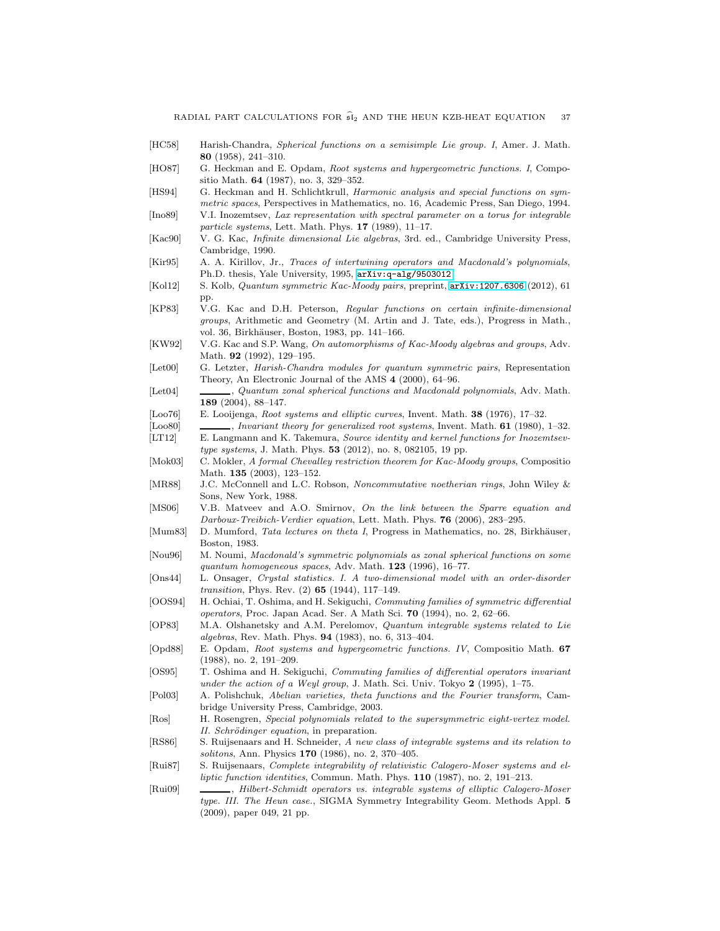- <span id="page-36-6"></span>[HC58] Harish-Chandra, Spherical functions on a semisimple Lie group. I, Amer. J. Math. 80 (1958), 241–310.
- <span id="page-36-7"></span>[HO87] G. Heckman and E. Opdam, Root systems and hypergeometric functions. I, Compositio Math. 64 (1987), no. 3, 329–352.
- <span id="page-36-9"></span>[HS94] G. Heckman and H. Schlichtkrull, Harmonic analysis and special functions on symmetric spaces, Perspectives in Mathematics, no. 16, Academic Press, San Diego, 1994.
- <span id="page-36-0"></span>[Ino89] V.I. Inozemtsev, Lax representation with spectral parameter on a torus for integrable particle systems, Lett. Math. Phys. 17 (1989), 11–17.
- <span id="page-36-22"></span>[Kac90] V. G. Kac, Infinite dimensional Lie algebras, 3rd. ed., Cambridge University Press, Cambridge, 1990.
- <span id="page-36-10"></span>[Kir95] A. A. Kirillov, Jr., Traces of intertwining operators and Macdonald's polynomials, Ph.D. thesis, Yale University, 1995, [arXiv:q-alg/9503012](http://arxiv.org/abs/q-alg/9503012).
- <span id="page-36-16"></span>[Kol12] S. Kolb, Quantum symmetric Kac-Moody pairs, preprint, [arXiv:1207.6306](http://arxiv.org/abs/1207.6306) (2012), 61 pp.
- <span id="page-36-25"></span>[KP83] V.G. Kac and D.H. Peterson, Regular functions on certain infinite-dimensional groups, Arithmetic and Geometry (M. Artin and J. Tate, eds.), Progress in Math., vol. 36, Birkhäuser, Boston, 1983, pp. 141–166.
- <span id="page-36-15"></span>[KW92] V.G. Kac and S.P. Wang, On automorphisms of Kac-Moody algebras and groups, Adv. Math. 92 (1992), 129–195.
- <span id="page-36-24"></span>[Let00] G. Letzter, *Harish-Chandra modules for quantum symmetric pairs*, Representation Theory, An Electronic Journal of the AMS 4 (2000), 64–96.
- <span id="page-36-18"></span>[Let04] , Quantum zonal spherical functions and Macdonald polynomials, Adv. Math. 189 (2004), 88–147.
- <span id="page-36-11"></span>[Loo76] E. Looijenga, Root systems and elliptic curves, Invent. Math. 38 (1976), 17–32.
- <span id="page-36-12"></span>[Loo80] , Invariant theory for generalized root systems, Invent. Math. **61** (1980), 1–32.
- <span id="page-36-14"></span>[LT12] E. Langmann and K. Takemura, Source identity and kernel functions for Inozemtsevtype systems, J. Math. Phys. **53** (2012), no. 8, 082105, 19 pp.
- <span id="page-36-26"></span>[Mok03] C. Mokler, A formal Chevalley restriction theorem for Kac-Moody groups, Compositio Math. 135 (2003), 123–152.
- <span id="page-36-27"></span>[MR88] J.C. McConnell and L.C. Robson, Noncommutative noetherian rings, John Wiley & Sons, New York, 1988.
- <span id="page-36-4"></span>[MS06] V.B. Matveev and A.O. Smirnov, On the link between the Sparre equation and Darboux-Treibich-Verdier equation, Lett. Math. Phys. 76 (2006), 283–295.
- <span id="page-36-21"></span>[Mum83] D. Mumford, Tata lectures on theta I, Progress in Mathematics, no. 28, Birkhäuser, Boston, 1983.
- <span id="page-36-17"></span>[Nou96] M. Noumi, Macdonald's symmetric polynomials as zonal spherical functions on some quantum homogeneous spaces, Adv. Math. 123 (1996), 16–77.
- <span id="page-36-23"></span>[Ons44] L. Onsager, Crystal statistics. I. A two-dimensional model with an order-disorder transition, Phys. Rev. (2) 65 (1944), 117–149.
- <span id="page-36-1"></span>[OOS94] H. Ochiai, T. Oshima, and H. Sekiguchi, Commuting families of symmetric differential operators, Proc. Japan Acad. Ser. A Math Sci. 70 (1994), no. 2, 62–66.
- <span id="page-36-5"></span>[OP83] M.A. Olshanetsky and A.M. Perelomov, Quantum integrable systems related to Lie algebras, Rev. Math. Phys. 94 (1983), no. 6, 313–404.
- <span id="page-36-8"></span>[Opd88] E. Opdam, Root systems and hypergeometric functions. IV, Compositio Math. 67 (1988), no. 2, 191–209.
- <span id="page-36-2"></span>[OS95] T. Oshima and H. Sekiguchi, Commuting families of differential operators invariant under the action of a Weyl group, J. Math. Sci. Univ. Tokyo 2 (1995), 1-75.
- <span id="page-36-28"></span>[Pol03] A. Polishchuk, Abelian varieties, theta functions and the Fourier transform, Cambridge University Press, Cambridge, 2003.
- <span id="page-36-13"></span>[Ros] H. Rosengren, Special polynomials related to the supersymmetric eight-vertex model. II. Schrödinger equation, in preparation.
- <span id="page-36-19"></span>[RS86] S. Ruijsenaars and H. Schneider, A new class of integrable systems and its relation to solitons, Ann. Physics 170 (1986), no. 2, 370–405.
- <span id="page-36-20"></span>[Rui87] S. Ruijsenaars, Complete integrability of relativistic Calogero-Moser systems and elliptic function identities, Commun. Math. Phys. 110 (1987), no. 2, 191-213.
- <span id="page-36-3"></span>[Rui09] , Hilbert-Schmidt operators vs. integrable systems of elliptic Calogero-Moser type. III. The Heun case., SIGMA Symmetry Integrability Geom. Methods Appl. 5 (2009), paper 049, 21 pp.